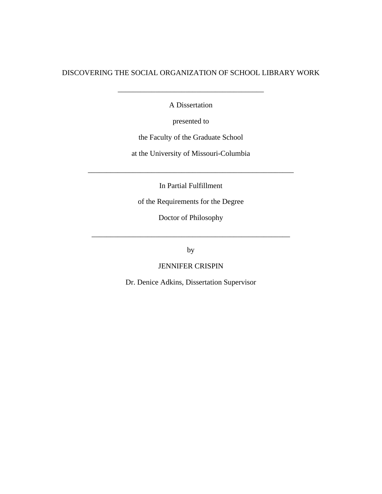## DISCOVERING THE SOCIAL ORGANIZATION OF SCHOOL LIBRARY WORK

A Dissertation

\_\_\_\_\_\_\_\_\_\_\_\_\_\_\_\_\_\_\_\_\_\_\_\_\_\_\_\_\_\_\_\_\_\_\_\_\_\_\_

presented to

the Faculty of the Graduate School

at the University of Missouri-Columbia

In Partial Fulfillment

\_\_\_\_\_\_\_\_\_\_\_\_\_\_\_\_\_\_\_\_\_\_\_\_\_\_\_\_\_\_\_\_\_\_\_\_\_\_\_\_\_\_\_\_\_\_\_\_\_\_\_\_\_\_\_

of the Requirements for the Degree

Doctor of Philosophy

\_\_\_\_\_\_\_\_\_\_\_\_\_\_\_\_\_\_\_\_\_\_\_\_\_\_\_\_\_\_\_\_\_\_\_\_\_\_\_\_\_\_\_\_\_\_\_\_\_\_\_\_\_

by

JENNIFER CRISPIN

Dr. Denice Adkins, Dissertation Supervisor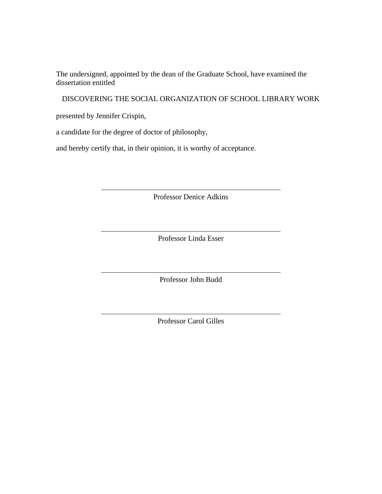The undersigned, appointed by the dean of the Graduate School, have examined the dissertation entitled

DISCOVERING THE SOCIAL ORGANIZATION OF SCHOOL LIBRARY WORK

presented by Jennifer Crispin,

a candidate for the degree of doctor of philosophy,

and hereby certify that, in their opinion, it is worthy of acceptance.

Professor Denice Adkins

Professor Linda Esser

Professor John Budd

Professor Carol Gilles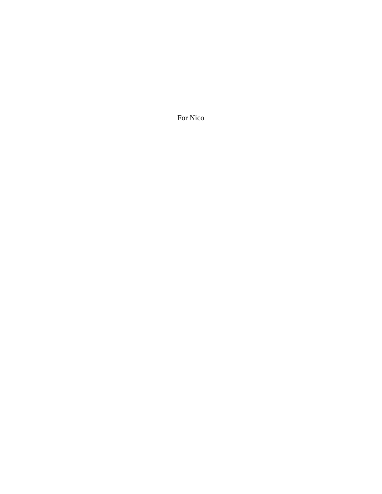For Nico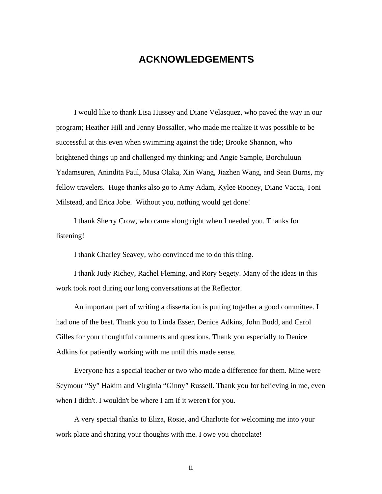# **ACKNOWLEDGEMENTS**

I would like to thank Lisa Hussey and Diane Velasquez, who paved the way in our program; Heather Hill and Jenny Bossaller, who made me realize it was possible to be successful at this even when swimming against the tide; Brooke Shannon, who brightened things up and challenged my thinking; and Angie Sample, Borchuluun Yadamsuren, Anindita Paul, Musa Olaka, Xin Wang, Jiazhen Wang, and Sean Burns, my fellow travelers. Huge thanks also go to Amy Adam, Kylee Rooney, Diane Vacca, Toni Milstead, and Erica Jobe. Without you, nothing would get done!

I thank Sherry Crow, who came along right when I needed you. Thanks for listening!

I thank Charley Seavey, who convinced me to do this thing.

I thank Judy Richey, Rachel Fleming, and Rory Segety. Many of the ideas in this work took root during our long conversations at the Reflector.

An important part of writing a dissertation is putting together a good committee. I had one of the best. Thank you to Linda Esser, Denice Adkins, John Budd, and Carol Gilles for your thoughtful comments and questions. Thank you especially to Denice Adkins for patiently working with me until this made sense.

Everyone has a special teacher or two who made a difference for them. Mine were Seymour "Sy" Hakim and Virginia "Ginny" Russell. Thank you for believing in me, even when I didn't. I wouldn't be where I am if it weren't for you.

A very special thanks to Eliza, Rosie, and Charlotte for welcoming me into your work place and sharing your thoughts with me. I owe you chocolate!

ii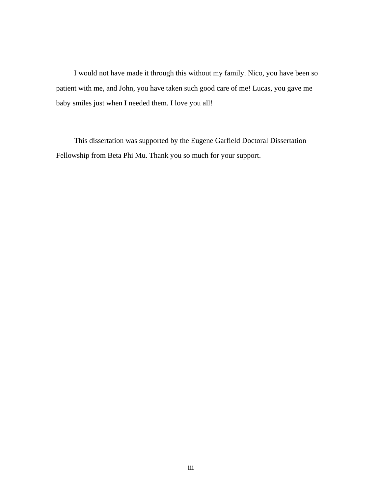I would not have made it through this without my family. Nico, you have been so patient with me, and John, you have taken such good care of me! Lucas, you gave me baby smiles just when I needed them. I love you all!

This dissertation was supported by the Eugene Garfield Doctoral Dissertation Fellowship from Beta Phi Mu. Thank you so much for your support.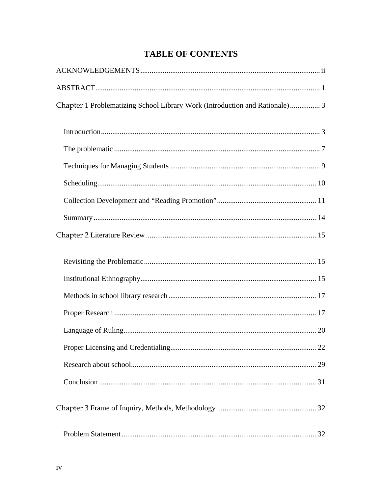# **TABLE OF CONTENTS**

| Chapter 1 Problematizing School Library Work (Introduction and Rationale) 3 |
|-----------------------------------------------------------------------------|
|                                                                             |
|                                                                             |
|                                                                             |
|                                                                             |
|                                                                             |
|                                                                             |
|                                                                             |
|                                                                             |
|                                                                             |
|                                                                             |
|                                                                             |
|                                                                             |
|                                                                             |
|                                                                             |
|                                                                             |
|                                                                             |
|                                                                             |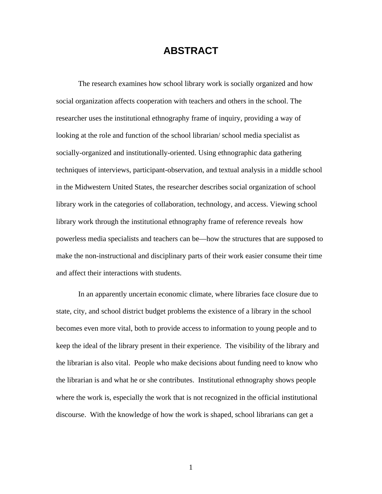# **ABSTRACT**

The research examines how school library work is socially organized and how social organization affects cooperation with teachers and others in the school. The researcher uses the institutional ethnography frame of inquiry, providing a way of looking at the role and function of the school librarian/ school media specialist as socially-organized and institutionally-oriented. Using ethnographic data gathering techniques of interviews, participant-observation, and textual analysis in a middle school in the Midwestern United States, the researcher describes social organization of school library work in the categories of collaboration, technology, and access. Viewing school library work through the institutional ethnography frame of reference reveals how powerless media specialists and teachers can be—how the structures that are supposed to make the non-instructional and disciplinary parts of their work easier consume their time and affect their interactions with students.

In an apparently uncertain economic climate, where libraries face closure due to state, city, and school district budget problems the existence of a library in the school becomes even more vital, both to provide access to information to young people and to keep the ideal of the library present in their experience. The visibility of the library and the librarian is also vital. People who make decisions about funding need to know who the librarian is and what he or she contributes. Institutional ethnography shows people where the work is, especially the work that is not recognized in the official institutional discourse. With the knowledge of how the work is shaped, school librarians can get a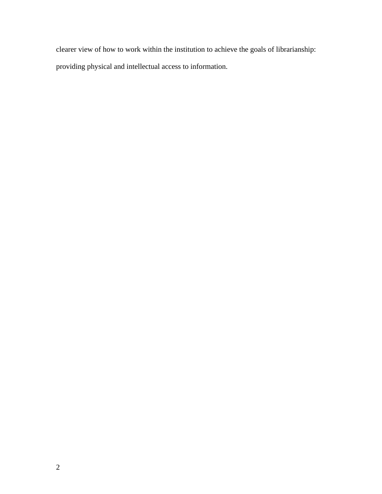clearer view of how to work within the institution to achieve the goals of librarianship: providing physical and intellectual access to information.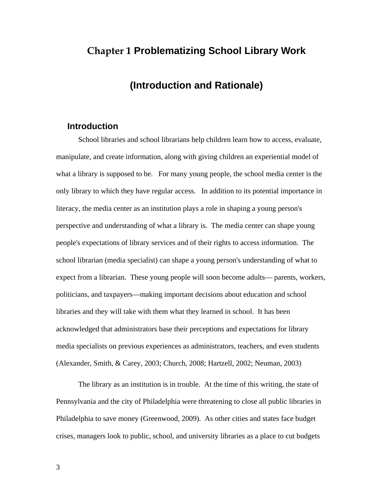# **Chapter 1 Problematizing School Library Work**

# **(Introduction and Rationale)**

### **Introduction**

School libraries and school librarians help children learn how to access, evaluate, manipulate, and create information, along with giving children an experiential model of what a library is supposed to be. For many young people, the school media center is the only library to which they have regular access. In addition to its potential importance in literacy, the media center as an institution plays a role in shaping a young person's perspective and understanding of what a library is. The media center can shape young people's expectations of library services and of their rights to access information. The school librarian (media specialist) can shape a young person's understanding of what to expect from a librarian. These young people will soon become adults— parents, workers, politicians, and taxpayers—making important decisions about education and school libraries and they will take with them what they learned in school. It has been acknowledged that administrators base their perceptions and expectations for library media specialists on previous experiences as administrators, teachers, and even students (Alexander, Smith, & Carey, 2003; Church, 2008; Hartzell, 2002; Neuman, 2003)

The library as an institution is in trouble. At the time of this writing, the state of Pennsylvania and the city of Philadelphia were threatening to close all public libraries in Philadelphia to save money (Greenwood, 2009). As other cities and states face budget crises, managers look to public, school, and university libraries as a place to cut budgets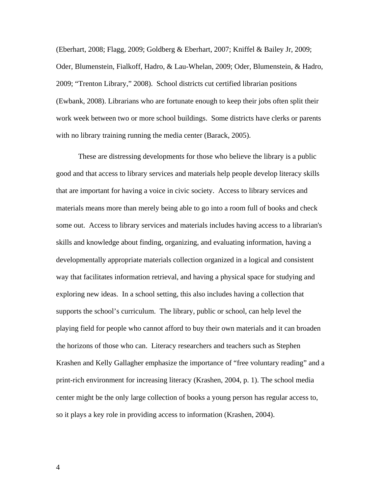(Eberhart, 2008; Flagg, 2009; Goldberg & Eberhart, 2007; Kniffel & Bailey Jr, 2009; Oder, Blumenstein, Fialkoff, Hadro, & Lau-Whelan, 2009; Oder, Blumenstein, & Hadro, 2009; "Trenton Library," 2008). School districts cut certified librarian positions (Ewbank, 2008). Librarians who are fortunate enough to keep their jobs often split their work week between two or more school buildings. Some districts have clerks or parents with no library training running the media center (Barack, 2005).

These are distressing developments for those who believe the library is a public good and that access to library services and materials help people develop literacy skills that are important for having a voice in civic society. Access to library services and materials means more than merely being able to go into a room full of books and check some out. Access to library services and materials includes having access to a librarian's skills and knowledge about finding, organizing, and evaluating information, having a developmentally appropriate materials collection organized in a logical and consistent way that facilitates information retrieval, and having a physical space for studying and exploring new ideas. In a school setting, this also includes having a collection that supports the school's curriculum. The library, public or school, can help level the playing field for people who cannot afford to buy their own materials and it can broaden the horizons of those who can. Literacy researchers and teachers such as Stephen Krashen and Kelly Gallagher emphasize the importance of "free voluntary reading" and a print-rich environment for increasing literacy (Krashen, 2004, p. 1). The school media center might be the only large collection of books a young person has regular access to, so it plays a key role in providing access to information (Krashen, 2004).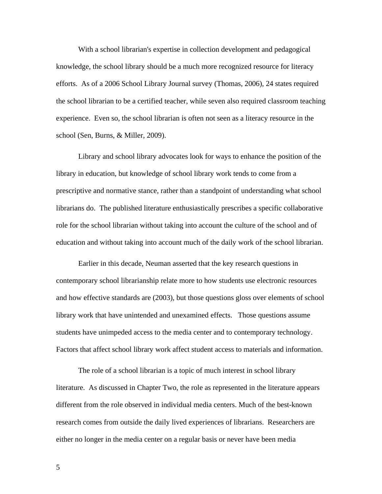With a school librarian's expertise in collection development and pedagogical knowledge, the school library should be a much more recognized resource for literacy efforts. As of a 2006 School Library Journal survey (Thomas, 2006), 24 states required the school librarian to be a certified teacher, while seven also required classroom teaching experience. Even so, the school librarian is often not seen as a literacy resource in the school (Sen, Burns, & Miller, 2009).

Library and school library advocates look for ways to enhance the position of the library in education, but knowledge of school library work tends to come from a prescriptive and normative stance, rather than a standpoint of understanding what school librarians do. The published literature enthusiastically prescribes a specific collaborative role for the school librarian without taking into account the culture of the school and of education and without taking into account much of the daily work of the school librarian.

Earlier in this decade, Neuman asserted that the key research questions in contemporary school librarianship relate more to how students use electronic resources and how effective standards are (2003), but those questions gloss over elements of school library work that have unintended and unexamined effects. Those questions assume students have unimpeded access to the media center and to contemporary technology. Factors that affect school library work affect student access to materials and information.

The role of a school librarian is a topic of much interest in school library literature. As discussed in Chapter Two, the role as represented in the literature appears different from the role observed in individual media centers. Much of the best-known research comes from outside the daily lived experiences of librarians. Researchers are either no longer in the media center on a regular basis or never have been media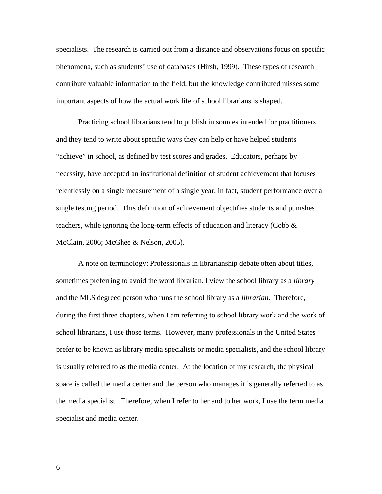specialists. The research is carried out from a distance and observations focus on specific phenomena, such as students' use of databases (Hirsh, 1999). These types of research contribute valuable information to the field, but the knowledge contributed misses some important aspects of how the actual work life of school librarians is shaped.

Practicing school librarians tend to publish in sources intended for practitioners and they tend to write about specific ways they can help or have helped students "achieve" in school, as defined by test scores and grades. Educators, perhaps by necessity, have accepted an institutional definition of student achievement that focuses relentlessly on a single measurement of a single year, in fact, student performance over a single testing period. This definition of achievement objectifies students and punishes teachers, while ignoring the long-term effects of education and literacy (Cobb  $\&$ McClain, 2006; McGhee & Nelson, 2005).

A note on terminology: Professionals in librarianship debate often about titles, sometimes preferring to avoid the word librarian. I view the school library as a *library* and the MLS degreed person who runs the school library as a *librarian*. Therefore, during the first three chapters, when I am referring to school library work and the work of school librarians, I use those terms. However, many professionals in the United States prefer to be known as library media specialists or media specialists, and the school library is usually referred to as the media center. At the location of my research, the physical space is called the media center and the person who manages it is generally referred to as the media specialist. Therefore, when I refer to her and to her work, I use the term media specialist and media center.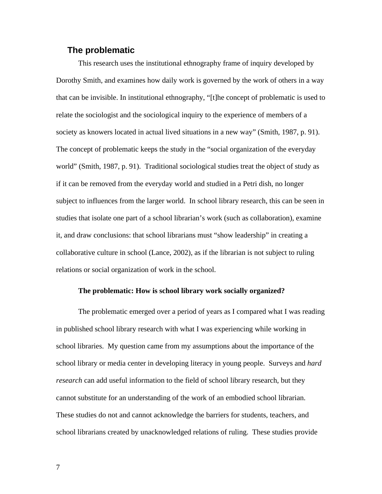#### **The problematic**

This research uses the institutional ethnography frame of inquiry developed by Dorothy Smith, and examines how daily work is governed by the work of others in a way that can be invisible. In institutional ethnography, "[t]he concept of problematic is used to relate the sociologist and the sociological inquiry to the experience of members of a society as knowers located in actual lived situations in a new way" (Smith, 1987, p. 91). The concept of problematic keeps the study in the "social organization of the everyday world" (Smith, 1987, p. 91). Traditional sociological studies treat the object of study as if it can be removed from the everyday world and studied in a Petri dish, no longer subject to influences from the larger world. In school library research, this can be seen in studies that isolate one part of a school librarian's work (such as collaboration), examine it, and draw conclusions: that school librarians must "show leadership" in creating a collaborative culture in school (Lance, 2002), as if the librarian is not subject to ruling relations or social organization of work in the school.

#### **The problematic: How is school library work socially organized?**

The problematic emerged over a period of years as I compared what I was reading in published school library research with what I was experiencing while working in school libraries. My question came from my assumptions about the importance of the school library or media center in developing literacy in young people. Surveys and *hard research* can add useful information to the field of school library research, but they cannot substitute for an understanding of the work of an embodied school librarian. These studies do not and cannot acknowledge the barriers for students, teachers, and school librarians created by unacknowledged relations of ruling. These studies provide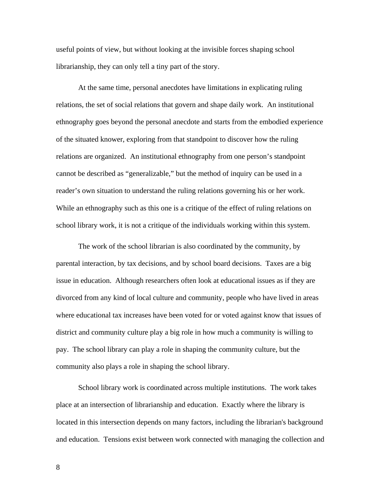useful points of view, but without looking at the invisible forces shaping school librarianship, they can only tell a tiny part of the story.

At the same time, personal anecdotes have limitations in explicating ruling relations, the set of social relations that govern and shape daily work. An institutional ethnography goes beyond the personal anecdote and starts from the embodied experience of the situated knower, exploring from that standpoint to discover how the ruling relations are organized. An institutional ethnography from one person's standpoint cannot be described as "generalizable," but the method of inquiry can be used in a reader's own situation to understand the ruling relations governing his or her work. While an ethnography such as this one is a critique of the effect of ruling relations on school library work, it is not a critique of the individuals working within this system.

The work of the school librarian is also coordinated by the community, by parental interaction, by tax decisions, and by school board decisions. Taxes are a big issue in education. Although researchers often look at educational issues as if they are divorced from any kind of local culture and community, people who have lived in areas where educational tax increases have been voted for or voted against know that issues of district and community culture play a big role in how much a community is willing to pay. The school library can play a role in shaping the community culture, but the community also plays a role in shaping the school library.

School library work is coordinated across multiple institutions. The work takes place at an intersection of librarianship and education. Exactly where the library is located in this intersection depends on many factors, including the librarian's background and education. Tensions exist between work connected with managing the collection and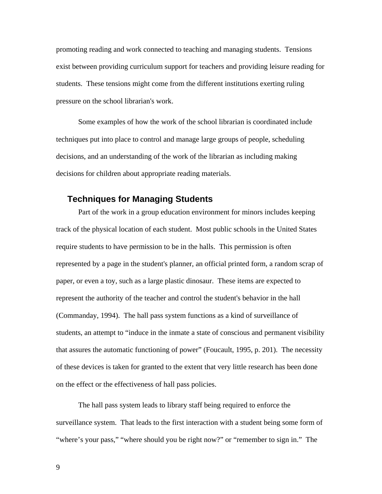promoting reading and work connected to teaching and managing students. Tensions exist between providing curriculum support for teachers and providing leisure reading for students. These tensions might come from the different institutions exerting ruling pressure on the school librarian's work.

Some examples of how the work of the school librarian is coordinated include techniques put into place to control and manage large groups of people, scheduling decisions, and an understanding of the work of the librarian as including making decisions for children about appropriate reading materials.

### **Techniques for Managing Students**

Part of the work in a group education environment for minors includes keeping track of the physical location of each student. Most public schools in the United States require students to have permission to be in the halls. This permission is often represented by a page in the student's planner, an official printed form, a random scrap of paper, or even a toy, such as a large plastic dinosaur. These items are expected to represent the authority of the teacher and control the student's behavior in the hall (Commanday, 1994). The hall pass system functions as a kind of surveillance of students, an attempt to "induce in the inmate a state of conscious and permanent visibility that assures the automatic functioning of power" (Foucault, 1995, p. 201). The necessity of these devices is taken for granted to the extent that very little research has been done on the effect or the effectiveness of hall pass policies.

The hall pass system leads to library staff being required to enforce the surveillance system. That leads to the first interaction with a student being some form of "where's your pass," "where should you be right now?" or "remember to sign in." The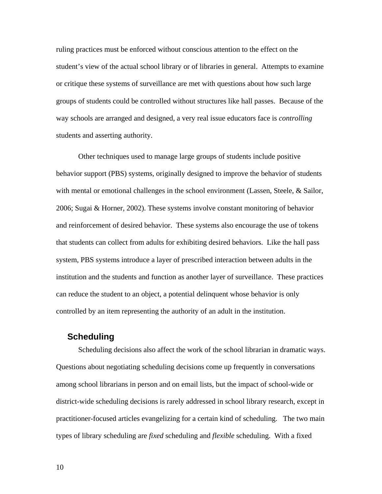ruling practices must be enforced without conscious attention to the effect on the student's view of the actual school library or of libraries in general. Attempts to examine or critique these systems of surveillance are met with questions about how such large groups of students could be controlled without structures like hall passes. Because of the way schools are arranged and designed, a very real issue educators face is *controlling* students and asserting authority.

Other techniques used to manage large groups of students include positive behavior support (PBS) systems, originally designed to improve the behavior of students with mental or emotional challenges in the school environment (Lassen, Steele, & Sailor, 2006; Sugai & Horner, 2002). These systems involve constant monitoring of behavior and reinforcement of desired behavior. These systems also encourage the use of tokens that students can collect from adults for exhibiting desired behaviors. Like the hall pass system, PBS systems introduce a layer of prescribed interaction between adults in the institution and the students and function as another layer of surveillance. These practices can reduce the student to an object, a potential delinquent whose behavior is only controlled by an item representing the authority of an adult in the institution.

#### **Scheduling**

Scheduling decisions also affect the work of the school librarian in dramatic ways. Questions about negotiating scheduling decisions come up frequently in conversations among school librarians in person and on email lists, but the impact of school-wide or district-wide scheduling decisions is rarely addressed in school library research, except in practitioner-focused articles evangelizing for a certain kind of scheduling. The two main types of library scheduling are *fixed* scheduling and *flexible* scheduling. With a fixed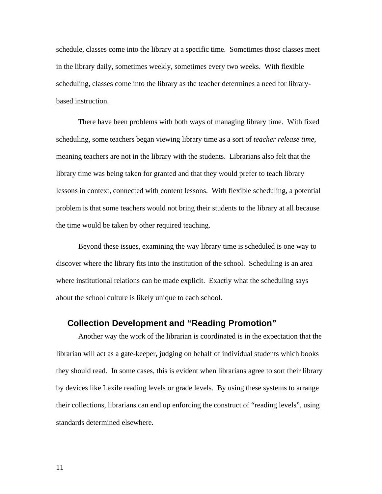schedule, classes come into the library at a specific time. Sometimes those classes meet in the library daily, sometimes weekly, sometimes every two weeks. With flexible scheduling, classes come into the library as the teacher determines a need for librarybased instruction.

There have been problems with both ways of managing library time. With fixed scheduling, some teachers began viewing library time as a sort of *teacher release time*, meaning teachers are not in the library with the students. Librarians also felt that the library time was being taken for granted and that they would prefer to teach library lessons in context, connected with content lessons. With flexible scheduling, a potential problem is that some teachers would not bring their students to the library at all because the time would be taken by other required teaching.

Beyond these issues, examining the way library time is scheduled is one way to discover where the library fits into the institution of the school. Scheduling is an area where institutional relations can be made explicit. Exactly what the scheduling says about the school culture is likely unique to each school.

## **Collection Development and "Reading Promotion"**

Another way the work of the librarian is coordinated is in the expectation that the librarian will act as a gate-keeper, judging on behalf of individual students which books they should read. In some cases, this is evident when librarians agree to sort their library by devices like Lexile reading levels or grade levels. By using these systems to arrange their collections, librarians can end up enforcing the construct of "reading levels", using standards determined elsewhere.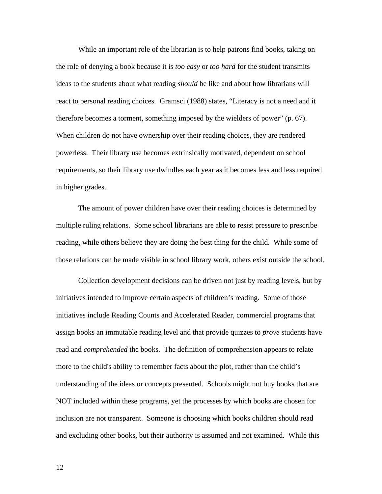While an important role of the librarian is to help patrons find books, taking on the role of denying a book because it is *too easy* or *too hard* for the student transmits ideas to the students about what reading *should* be like and about how librarians will react to personal reading choices. Gramsci (1988) states, "Literacy is not a need and it therefore becomes a torment, something imposed by the wielders of power" (p. 67). When children do not have ownership over their reading choices, they are rendered powerless. Their library use becomes extrinsically motivated, dependent on school requirements, so their library use dwindles each year as it becomes less and less required in higher grades.

The amount of power children have over their reading choices is determined by multiple ruling relations. Some school librarians are able to resist pressure to prescribe reading, while others believe they are doing the best thing for the child. While some of those relations can be made visible in school library work, others exist outside the school.

Collection development decisions can be driven not just by reading levels, but by initiatives intended to improve certain aspects of children's reading. Some of those initiatives include Reading Counts and Accelerated Reader, commercial programs that assign books an immutable reading level and that provide quizzes to *prove* students have read and *comprehended* the books. The definition of comprehension appears to relate more to the child's ability to remember facts about the plot, rather than the child's understanding of the ideas or concepts presented. Schools might not buy books that are NOT included within these programs, yet the processes by which books are chosen for inclusion are not transparent. Someone is choosing which books children should read and excluding other books, but their authority is assumed and not examined. While this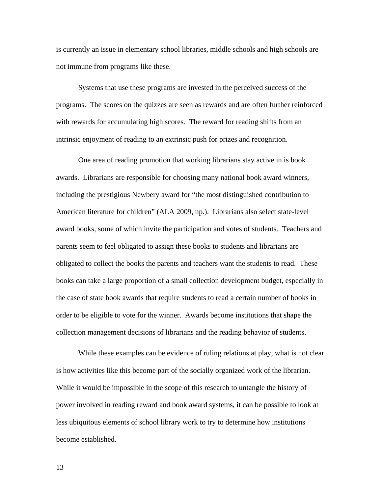is currently an issue in elementary school libraries, middle schools and high schools are not immune from programs like these.

Systems that use these programs are invested in the perceived success of the programs. The scores on the quizzes are seen as rewards and are often further reinforced with rewards for accumulating high scores. The reward for reading shifts from an intrinsic enjoyment of reading to an extrinsic push for prizes and recognition.

One area of reading promotion that working librarians stay active in is book awards. Librarians are responsible for choosing many national book award winners, including the prestigious Newbery award for "the most distinguished contribution to American literature for children" (ALA 2009, np.). Librarians also select state-level award books, some of which invite the participation and votes of students. Teachers and parents seem to feel obligated to assign these books to students and librarians are obligated to collect the books the parents and teachers want the students to read. These books can take a large proportion of a small collection development budget, especially in the case of state book awards that require students to read a certain number of books in order to be eligible to vote for the winner. Awards become institutions that shape the collection management decisions of librarians and the reading behavior of students.

While these examples can be evidence of ruling relations at play, what is not clear is how activities like this become part of the socially organized work of the librarian. While it would be impossible in the scope of this research to untangle the history of power involved in reading reward and book award systems, it can be possible to look at less ubiquitous elements of school library work to try to determine how institutions become established.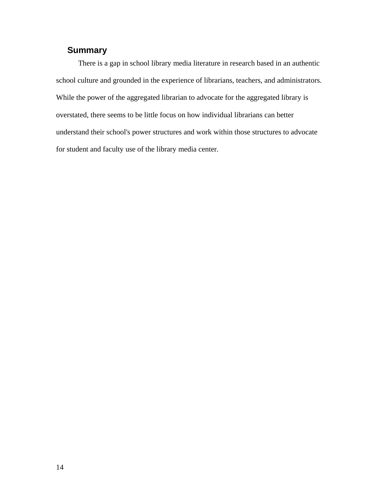## **Summary**

There is a gap in school library media literature in research based in an authentic school culture and grounded in the experience of librarians, teachers, and administrators. While the power of the aggregated librarian to advocate for the aggregated library is overstated, there seems to be little focus on how individual librarians can better understand their school's power structures and work within those structures to advocate for student and faculty use of the library media center.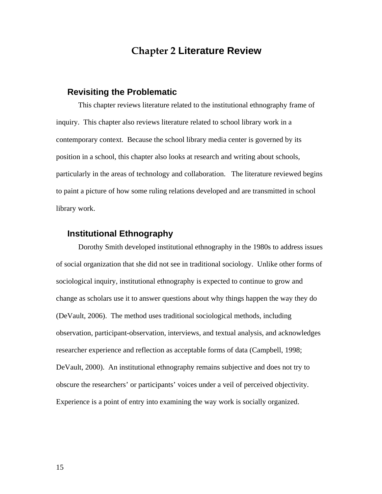# **Chapter 2 Literature Review**

### **Revisiting the Problematic**

This chapter reviews literature related to the institutional ethnography frame of inquiry. This chapter also reviews literature related to school library work in a contemporary context. Because the school library media center is governed by its position in a school, this chapter also looks at research and writing about schools, particularly in the areas of technology and collaboration. The literature reviewed begins to paint a picture of how some ruling relations developed and are transmitted in school library work.

## **Institutional Ethnography**

Dorothy Smith developed institutional ethnography in the 1980s to address issues of social organization that she did not see in traditional sociology. Unlike other forms of sociological inquiry, institutional ethnography is expected to continue to grow and change as scholars use it to answer questions about why things happen the way they do (DeVault, 2006). The method uses traditional sociological methods, including observation, participant-observation, interviews, and textual analysis, and acknowledges researcher experience and reflection as acceptable forms of data (Campbell, 1998; DeVault, 2000). An institutional ethnography remains subjective and does not try to obscure the researchers' or participants' voices under a veil of perceived objectivity. Experience is a point of entry into examining the way work is socially organized.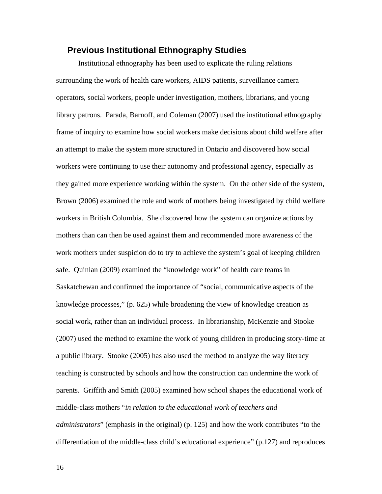### **Previous Institutional Ethnography Studies**

Institutional ethnography has been used to explicate the ruling relations surrounding the work of health care workers, AIDS patients, surveillance camera operators, social workers, people under investigation, mothers, librarians, and young library patrons. Parada, Barnoff, and Coleman (2007) used the institutional ethnography frame of inquiry to examine how social workers make decisions about child welfare after an attempt to make the system more structured in Ontario and discovered how social workers were continuing to use their autonomy and professional agency, especially as they gained more experience working within the system. On the other side of the system, Brown (2006) examined the role and work of mothers being investigated by child welfare workers in British Columbia. She discovered how the system can organize actions by mothers than can then be used against them and recommended more awareness of the work mothers under suspicion do to try to achieve the system's goal of keeping children safe. Quinlan (2009) examined the "knowledge work" of health care teams in Saskatchewan and confirmed the importance of "social, communicative aspects of the knowledge processes," (p. 625) while broadening the view of knowledge creation as social work, rather than an individual process. In librarianship, McKenzie and Stooke (2007) used the method to examine the work of young children in producing story-time at a public library. Stooke (2005) has also used the method to analyze the way literacy teaching is constructed by schools and how the construction can undermine the work of parents. Griffith and Smith (2005) examined how school shapes the educational work of middle-class mothers "*in relation to the educational work of teachers and administrators*" (emphasis in the original) (p. 125) and how the work contributes "to the differentiation of the middle-class child's educational experience" (p.127) and reproduces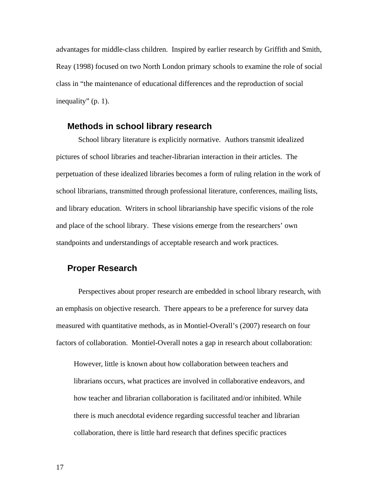advantages for middle-class children. Inspired by earlier research by Griffith and Smith, Reay (1998) focused on two North London primary schools to examine the role of social class in "the maintenance of educational differences and the reproduction of social inequality" (p. 1).

### **Methods in school library research**

School library literature is explicitly normative. Authors transmit idealized pictures of school libraries and teacher-librarian interaction in their articles. The perpetuation of these idealized libraries becomes a form of ruling relation in the work of school librarians, transmitted through professional literature, conferences, mailing lists, and library education. Writers in school librarianship have specific visions of the role and place of the school library. These visions emerge from the researchers' own standpoints and understandings of acceptable research and work practices.

## **Proper Research**

Perspectives about proper research are embedded in school library research, with an emphasis on objective research. There appears to be a preference for survey data measured with quantitative methods, as in Montiel-Overall's (2007) research on four factors of collaboration. Montiel-Overall notes a gap in research about collaboration:

However, little is known about how collaboration between teachers and librarians occurs, what practices are involved in collaborative endeavors, and how teacher and librarian collaboration is facilitated and/or inhibited. While there is much anecdotal evidence regarding successful teacher and librarian collaboration, there is little hard research that defines specific practices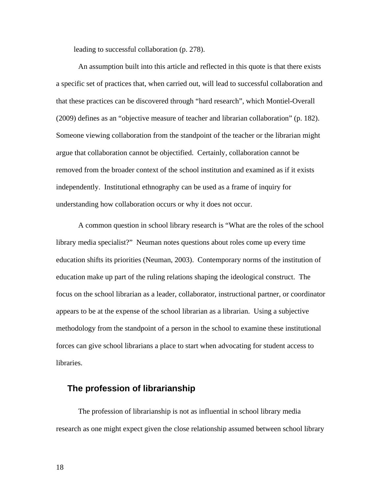leading to successful collaboration (p. 278).

An assumption built into this article and reflected in this quote is that there exists a specific set of practices that, when carried out, will lead to successful collaboration and that these practices can be discovered through "hard research", which Montiel-Overall (2009) defines as an "objective measure of teacher and librarian collaboration" (p. 182). Someone viewing collaboration from the standpoint of the teacher or the librarian might argue that collaboration cannot be objectified. Certainly, collaboration cannot be removed from the broader context of the school institution and examined as if it exists independently. Institutional ethnography can be used as a frame of inquiry for understanding how collaboration occurs or why it does not occur.

A common question in school library research is "What are the roles of the school library media specialist?" Neuman notes questions about roles come up every time education shifts its priorities (Neuman, 2003). Contemporary norms of the institution of education make up part of the ruling relations shaping the ideological construct. The focus on the school librarian as a leader, collaborator, instructional partner, or coordinator appears to be at the expense of the school librarian as a librarian. Using a subjective methodology from the standpoint of a person in the school to examine these institutional forces can give school librarians a place to start when advocating for student access to libraries.

## **The profession of librarianship**

The profession of librarianship is not as influential in school library media research as one might expect given the close relationship assumed between school library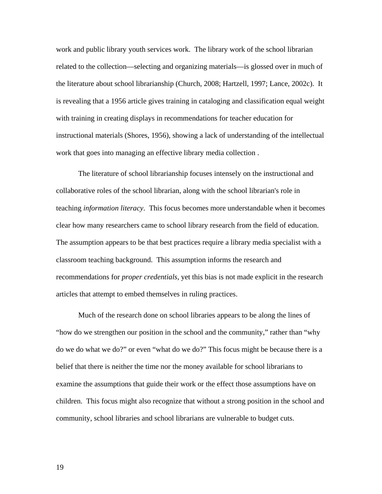work and public library youth services work. The library work of the school librarian related to the collection—selecting and organizing materials—is glossed over in much of the literature about school librarianship (Church, 2008; Hartzell, 1997; Lance, 2002c). It is revealing that a 1956 article gives training in cataloging and classification equal weight with training in creating displays in recommendations for teacher education for instructional materials (Shores, 1956), showing a lack of understanding of the intellectual work that goes into managing an effective library media collection .

The literature of school librarianship focuses intensely on the instructional and collaborative roles of the school librarian, along with the school librarian's role in teaching *information literacy*. This focus becomes more understandable when it becomes clear how many researchers came to school library research from the field of education. The assumption appears to be that best practices require a library media specialist with a classroom teaching background. This assumption informs the research and recommendations for *proper credentials*, yet this bias is not made explicit in the research articles that attempt to embed themselves in ruling practices.

Much of the research done on school libraries appears to be along the lines of "how do we strengthen our position in the school and the community," rather than "why do we do what we do?" or even "what do we do?" This focus might be because there is a belief that there is neither the time nor the money available for school librarians to examine the assumptions that guide their work or the effect those assumptions have on children. This focus might also recognize that without a strong position in the school and community, school libraries and school librarians are vulnerable to budget cuts.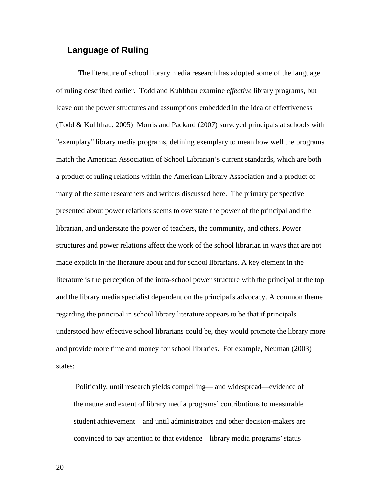## **Language of Ruling**

The literature of school library media research has adopted some of the language of ruling described earlier. Todd and Kuhlthau examine *effective* library programs, but leave out the power structures and assumptions embedded in the idea of effectiveness (Todd & Kuhlthau, 2005) Morris and Packard (2007) surveyed principals at schools with "exemplary" library media programs, defining exemplary to mean how well the programs match the American Association of School Librarian's current standards, which are both a product of ruling relations within the American Library Association and a product of many of the same researchers and writers discussed here. The primary perspective presented about power relations seems to overstate the power of the principal and the librarian, and understate the power of teachers, the community, and others. Power structures and power relations affect the work of the school librarian in ways that are not made explicit in the literature about and for school librarians. A key element in the literature is the perception of the intra-school power structure with the principal at the top and the library media specialist dependent on the principal's advocacy. A common theme regarding the principal in school library literature appears to be that if principals understood how effective school librarians could be, they would promote the library more and provide more time and money for school libraries. For example, Neuman (2003) states:

 Politically, until research yields compelling— and widespread—evidence of the nature and extent of library media programs' contributions to measurable student achievement—and until administrators and other decision-makers are convinced to pay attention to that evidence—library media programs' status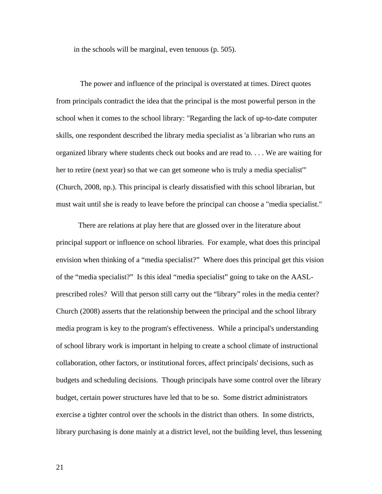in the schools will be marginal, even tenuous (p. 505).

 The power and influence of the principal is overstated at times. Direct quotes from principals contradict the idea that the principal is the most powerful person in the school when it comes to the school library: "Regarding the lack of up-to-date computer skills, one respondent described the library media specialist as 'a librarian who runs an organized library where students check out books and are read to. . . . We are waiting for her to retire (next year) so that we can get someone who is truly a media specialist'" (Church, 2008, np.). This principal is clearly dissatisfied with this school librarian, but must wait until she is ready to leave before the principal can choose a "media specialist."

There are relations at play here that are glossed over in the literature about principal support or influence on school libraries. For example, what does this principal envision when thinking of a "media specialist?" Where does this principal get this vision of the "media specialist?" Is this ideal "media specialist" going to take on the AASLprescribed roles? Will that person still carry out the "library" roles in the media center? Church (2008) asserts that the relationship between the principal and the school library media program is key to the program's effectiveness. While a principal's understanding of school library work is important in helping to create a school climate of instructional collaboration, other factors, or institutional forces, affect principals' decisions, such as budgets and scheduling decisions. Though principals have some control over the library budget, certain power structures have led that to be so. Some district administrators exercise a tighter control over the schools in the district than others. In some districts, library purchasing is done mainly at a district level, not the building level, thus lessening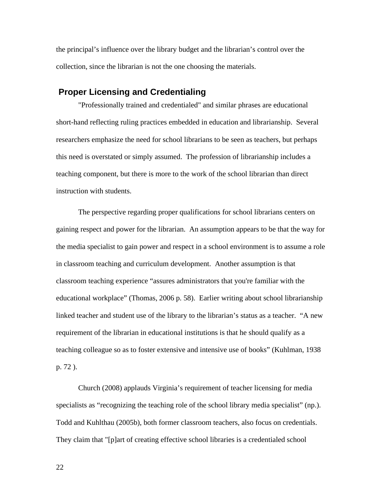the principal's influence over the library budget and the librarian's control over the collection, since the librarian is not the one choosing the materials.

### **Proper Licensing and Credentialing**

"Professionally trained and credentialed" and similar phrases are educational short-hand reflecting ruling practices embedded in education and librarianship. Several researchers emphasize the need for school librarians to be seen as teachers, but perhaps this need is overstated or simply assumed. The profession of librarianship includes a teaching component, but there is more to the work of the school librarian than direct instruction with students.

The perspective regarding proper qualifications for school librarians centers on gaining respect and power for the librarian. An assumption appears to be that the way for the media specialist to gain power and respect in a school environment is to assume a role in classroom teaching and curriculum development. Another assumption is that classroom teaching experience "assures administrators that you're familiar with the educational workplace" (Thomas, 2006 p. 58). Earlier writing about school librarianship linked teacher and student use of the library to the librarian's status as a teacher. "A new requirement of the librarian in educational institutions is that he should qualify as a teaching colleague so as to foster extensive and intensive use of books" (Kuhlman, 1938 p. 72 ).

Church (2008) applauds Virginia's requirement of teacher licensing for media specialists as "recognizing the teaching role of the school library media specialist" (np.). Todd and Kuhlthau (2005b), both former classroom teachers, also focus on credentials. They claim that "[p]art of creating effective school libraries is a credentialed school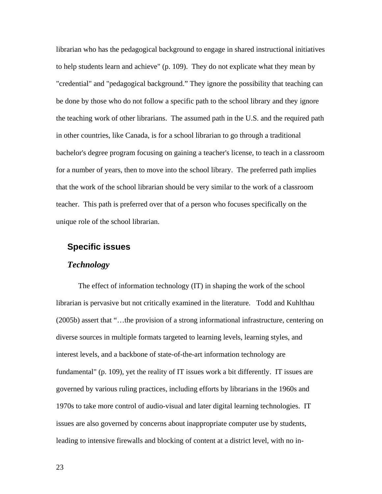librarian who has the pedagogical background to engage in shared instructional initiatives to help students learn and achieve" (p. 109). They do not explicate what they mean by "credential" and "pedagogical background." They ignore the possibility that teaching can be done by those who do not follow a specific path to the school library and they ignore the teaching work of other librarians. The assumed path in the U.S. and the required path in other countries, like Canada, is for a school librarian to go through a traditional bachelor's degree program focusing on gaining a teacher's license, to teach in a classroom for a number of years, then to move into the school library. The preferred path implies that the work of the school librarian should be very similar to the work of a classroom teacher. This path is preferred over that of a person who focuses specifically on the unique role of the school librarian.

### **Specific issues**

#### *Technology*

The effect of information technology (IT) in shaping the work of the school librarian is pervasive but not critically examined in the literature. Todd and Kuhlthau (2005b) assert that "…the provision of a strong informational infrastructure, centering on diverse sources in multiple formats targeted to learning levels, learning styles, and interest levels, and a backbone of state-of-the-art information technology are fundamental" (p. 109), yet the reality of IT issues work a bit differently. IT issues are governed by various ruling practices, including efforts by librarians in the 1960s and 1970s to take more control of audio-visual and later digital learning technologies. IT issues are also governed by concerns about inappropriate computer use by students, leading to intensive firewalls and blocking of content at a district level, with no in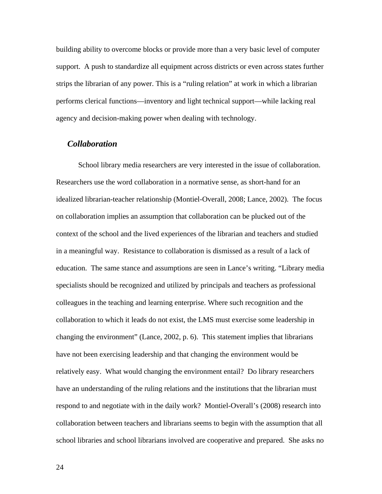building ability to overcome blocks or provide more than a very basic level of computer support. A push to standardize all equipment across districts or even across states further strips the librarian of any power. This is a "ruling relation" at work in which a librarian performs clerical functions—inventory and light technical support—while lacking real agency and decision-making power when dealing with technology.

#### *Collaboration*

School library media researchers are very interested in the issue of collaboration. Researchers use the word collaboration in a normative sense, as short-hand for an idealized librarian-teacher relationship (Montiel-Overall, 2008; Lance, 2002). The focus on collaboration implies an assumption that collaboration can be plucked out of the context of the school and the lived experiences of the librarian and teachers and studied in a meaningful way. Resistance to collaboration is dismissed as a result of a lack of education. The same stance and assumptions are seen in Lance's writing. "Library media specialists should be recognized and utilized by principals and teachers as professional colleagues in the teaching and learning enterprise. Where such recognition and the collaboration to which it leads do not exist, the LMS must exercise some leadership in changing the environment" (Lance, 2002, p. 6). This statement implies that librarians have not been exercising leadership and that changing the environment would be relatively easy. What would changing the environment entail? Do library researchers have an understanding of the ruling relations and the institutions that the librarian must respond to and negotiate with in the daily work? Montiel-Overall's (2008) research into collaboration between teachers and librarians seems to begin with the assumption that all school libraries and school librarians involved are cooperative and prepared. She asks no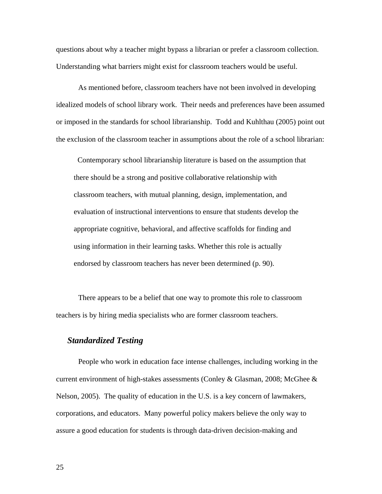questions about why a teacher might bypass a librarian or prefer a classroom collection. Understanding what barriers might exist for classroom teachers would be useful.

As mentioned before, classroom teachers have not been involved in developing idealized models of school library work. Their needs and preferences have been assumed or imposed in the standards for school librarianship. Todd and Kuhlthau (2005) point out the exclusion of the classroom teacher in assumptions about the role of a school librarian:

 Contemporary school librarianship literature is based on the assumption that there should be a strong and positive collaborative relationship with classroom teachers, with mutual planning, design, implementation, and evaluation of instructional interventions to ensure that students develop the appropriate cognitive, behavioral, and affective scaffolds for finding and using information in their learning tasks. Whether this role is actually endorsed by classroom teachers has never been determined (p. 90).

There appears to be a belief that one way to promote this role to classroom teachers is by hiring media specialists who are former classroom teachers.

### *Standardized Testing*

People who work in education face intense challenges, including working in the current environment of high-stakes assessments (Conley & Glasman, 2008; McGhee  $\&$ Nelson, 2005). The quality of education in the U.S. is a key concern of lawmakers, corporations, and educators. Many powerful policy makers believe the only way to assure a good education for students is through data-driven decision-making and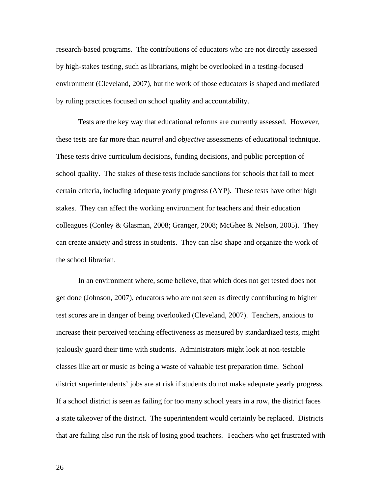research-based programs. The contributions of educators who are not directly assessed by high-stakes testing, such as librarians, might be overlooked in a testing-focused environment (Cleveland, 2007), but the work of those educators is shaped and mediated by ruling practices focused on school quality and accountability.

Tests are the key way that educational reforms are currently assessed. However, these tests are far more than *neutral* and *objective* assessments of educational technique. These tests drive curriculum decisions, funding decisions, and public perception of school quality. The stakes of these tests include sanctions for schools that fail to meet certain criteria, including adequate yearly progress (AYP). These tests have other high stakes. They can affect the working environment for teachers and their education colleagues (Conley & Glasman, 2008; Granger, 2008; McGhee & Nelson, 2005). They can create anxiety and stress in students. They can also shape and organize the work of the school librarian.

In an environment where, some believe, that which does not get tested does not get done (Johnson, 2007), educators who are not seen as directly contributing to higher test scores are in danger of being overlooked (Cleveland, 2007). Teachers, anxious to increase their perceived teaching effectiveness as measured by standardized tests, might jealously guard their time with students. Administrators might look at non-testable classes like art or music as being a waste of valuable test preparation time. School district superintendents' jobs are at risk if students do not make adequate yearly progress. If a school district is seen as failing for too many school years in a row, the district faces a state takeover of the district. The superintendent would certainly be replaced. Districts that are failing also run the risk of losing good teachers. Teachers who get frustrated with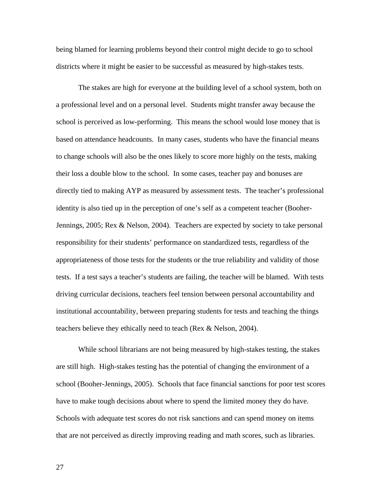being blamed for learning problems beyond their control might decide to go to school districts where it might be easier to be successful as measured by high-stakes tests.

The stakes are high for everyone at the building level of a school system, both on a professional level and on a personal level. Students might transfer away because the school is perceived as low-performing. This means the school would lose money that is based on attendance headcounts. In many cases, students who have the financial means to change schools will also be the ones likely to score more highly on the tests, making their loss a double blow to the school. In some cases, teacher pay and bonuses are directly tied to making AYP as measured by assessment tests. The teacher's professional identity is also tied up in the perception of one's self as a competent teacher (Booher-Jennings, 2005; Rex & Nelson, 2004). Teachers are expected by society to take personal responsibility for their students' performance on standardized tests, regardless of the appropriateness of those tests for the students or the true reliability and validity of those tests. If a test says a teacher's students are failing, the teacher will be blamed. With tests driving curricular decisions, teachers feel tension between personal accountability and institutional accountability, between preparing students for tests and teaching the things teachers believe they ethically need to teach (Rex & Nelson, 2004).

While school librarians are not being measured by high-stakes testing, the stakes are still high. High-stakes testing has the potential of changing the environment of a school (Booher-Jennings, 2005). Schools that face financial sanctions for poor test scores have to make tough decisions about where to spend the limited money they do have. Schools with adequate test scores do not risk sanctions and can spend money on items that are not perceived as directly improving reading and math scores, such as libraries.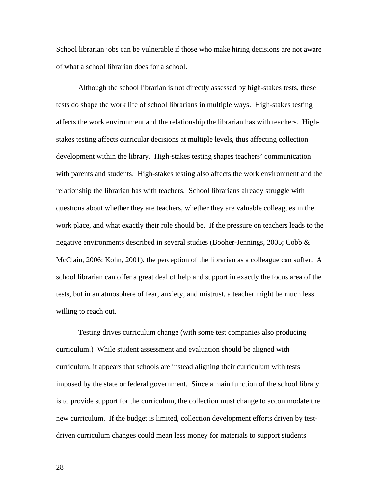School librarian jobs can be vulnerable if those who make hiring decisions are not aware of what a school librarian does for a school.

Although the school librarian is not directly assessed by high-stakes tests, these tests do shape the work life of school librarians in multiple ways. High-stakes testing affects the work environment and the relationship the librarian has with teachers. Highstakes testing affects curricular decisions at multiple levels, thus affecting collection development within the library. High-stakes testing shapes teachers' communication with parents and students. High-stakes testing also affects the work environment and the relationship the librarian has with teachers. School librarians already struggle with questions about whether they are teachers, whether they are valuable colleagues in the work place, and what exactly their role should be. If the pressure on teachers leads to the negative environments described in several studies (Booher-Jennings, 2005; Cobb & McClain, 2006; Kohn, 2001), the perception of the librarian as a colleague can suffer. A school librarian can offer a great deal of help and support in exactly the focus area of the tests, but in an atmosphere of fear, anxiety, and mistrust, a teacher might be much less willing to reach out.

Testing drives curriculum change (with some test companies also producing curriculum.) While student assessment and evaluation should be aligned with curriculum, it appears that schools are instead aligning their curriculum with tests imposed by the state or federal government. Since a main function of the school library is to provide support for the curriculum, the collection must change to accommodate the new curriculum. If the budget is limited, collection development efforts driven by testdriven curriculum changes could mean less money for materials to support students'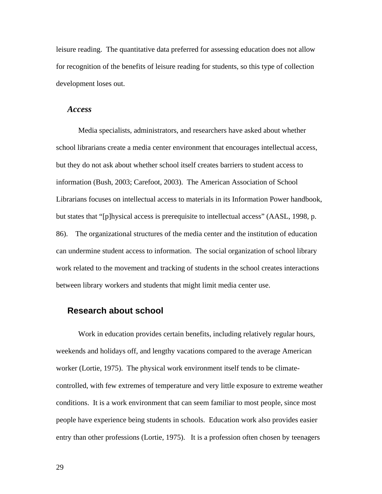leisure reading. The quantitative data preferred for assessing education does not allow for recognition of the benefits of leisure reading for students, so this type of collection development loses out.

#### *Access*

Media specialists, administrators, and researchers have asked about whether school librarians create a media center environment that encourages intellectual access, but they do not ask about whether school itself creates barriers to student access to information (Bush, 2003; Carefoot, 2003). The American Association of School Librarians focuses on intellectual access to materials in its Information Power handbook, but states that "[p]hysical access is prerequisite to intellectual access" (AASL, 1998, p. 86). The organizational structures of the media center and the institution of education can undermine student access to information. The social organization of school library work related to the movement and tracking of students in the school creates interactions between library workers and students that might limit media center use.

## **Research about school**

Work in education provides certain benefits, including relatively regular hours, weekends and holidays off, and lengthy vacations compared to the average American worker (Lortie, 1975). The physical work environment itself tends to be climatecontrolled, with few extremes of temperature and very little exposure to extreme weather conditions. It is a work environment that can seem familiar to most people, since most people have experience being students in schools. Education work also provides easier entry than other professions (Lortie, 1975). It is a profession often chosen by teenagers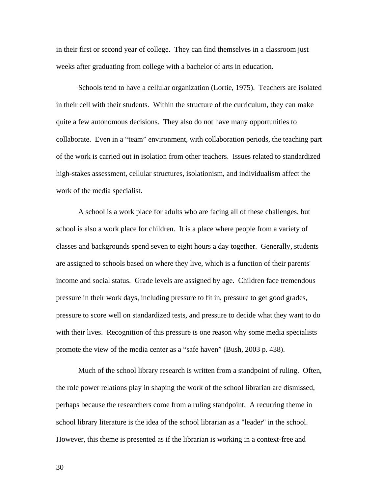in their first or second year of college. They can find themselves in a classroom just weeks after graduating from college with a bachelor of arts in education.

Schools tend to have a cellular organization (Lortie, 1975). Teachers are isolated in their cell with their students. Within the structure of the curriculum, they can make quite a few autonomous decisions. They also do not have many opportunities to collaborate. Even in a "team" environment, with collaboration periods, the teaching part of the work is carried out in isolation from other teachers. Issues related to standardized high-stakes assessment, cellular structures, isolationism, and individualism affect the work of the media specialist.

A school is a work place for adults who are facing all of these challenges, but school is also a work place for children. It is a place where people from a variety of classes and backgrounds spend seven to eight hours a day together. Generally, students are assigned to schools based on where they live, which is a function of their parents' income and social status. Grade levels are assigned by age. Children face tremendous pressure in their work days, including pressure to fit in, pressure to get good grades, pressure to score well on standardized tests, and pressure to decide what they want to do with their lives. Recognition of this pressure is one reason why some media specialists promote the view of the media center as a "safe haven" (Bush, 2003 p. 438).

Much of the school library research is written from a standpoint of ruling. Often, the role power relations play in shaping the work of the school librarian are dismissed, perhaps because the researchers come from a ruling standpoint. A recurring theme in school library literature is the idea of the school librarian as a "leader" in the school. However, this theme is presented as if the librarian is working in a context-free and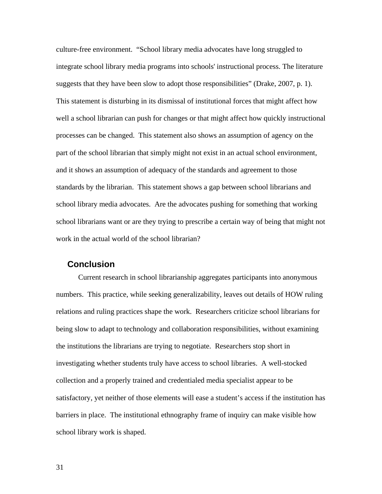culture-free environment. "School library media advocates have long struggled to integrate school library media programs into schools' instructional process. The literature suggests that they have been slow to adopt those responsibilities" (Drake, 2007, p. 1). This statement is disturbing in its dismissal of institutional forces that might affect how well a school librarian can push for changes or that might affect how quickly instructional processes can be changed. This statement also shows an assumption of agency on the part of the school librarian that simply might not exist in an actual school environment, and it shows an assumption of adequacy of the standards and agreement to those standards by the librarian. This statement shows a gap between school librarians and school library media advocates. Are the advocates pushing for something that working school librarians want or are they trying to prescribe a certain way of being that might not work in the actual world of the school librarian?

### **Conclusion**

Current research in school librarianship aggregates participants into anonymous numbers. This practice, while seeking generalizability, leaves out details of HOW ruling relations and ruling practices shape the work. Researchers criticize school librarians for being slow to adapt to technology and collaboration responsibilities, without examining the institutions the librarians are trying to negotiate. Researchers stop short in investigating whether students truly have access to school libraries. A well-stocked collection and a properly trained and credentialed media specialist appear to be satisfactory, yet neither of those elements will ease a student's access if the institution has barriers in place. The institutional ethnography frame of inquiry can make visible how school library work is shaped.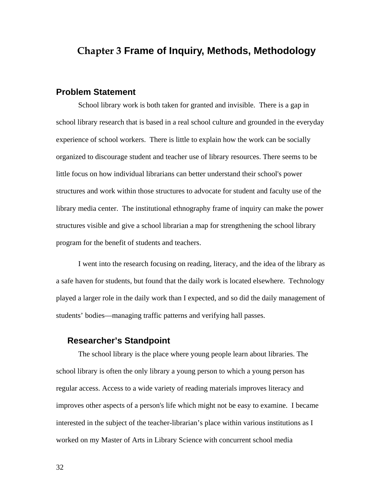# **Chapter 3 Frame of Inquiry, Methods, Methodology**

#### **Problem Statement**

School library work is both taken for granted and invisible. There is a gap in school library research that is based in a real school culture and grounded in the everyday experience of school workers. There is little to explain how the work can be socially organized to discourage student and teacher use of library resources. There seems to be little focus on how individual librarians can better understand their school's power structures and work within those structures to advocate for student and faculty use of the library media center. The institutional ethnography frame of inquiry can make the power structures visible and give a school librarian a map for strengthening the school library program for the benefit of students and teachers.

I went into the research focusing on reading, literacy, and the idea of the library as a safe haven for students, but found that the daily work is located elsewhere. Technology played a larger role in the daily work than I expected, and so did the daily management of students' bodies—managing traffic patterns and verifying hall passes.

## **Researcher's Standpoint**

The school library is the place where young people learn about libraries. The school library is often the only library a young person to which a young person has regular access. Access to a wide variety of reading materials improves literacy and improves other aspects of a person's life which might not be easy to examine. I became interested in the subject of the teacher-librarian's place within various institutions as I worked on my Master of Arts in Library Science with concurrent school media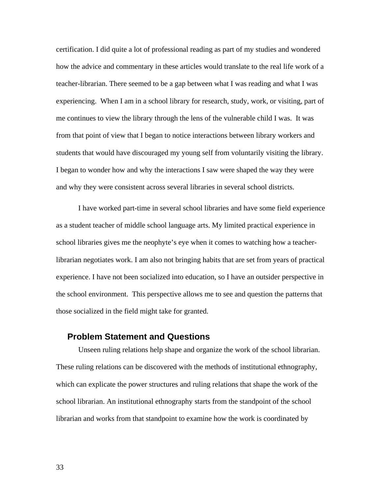certification. I did quite a lot of professional reading as part of my studies and wondered how the advice and commentary in these articles would translate to the real life work of a teacher-librarian. There seemed to be a gap between what I was reading and what I was experiencing. When I am in a school library for research, study, work, or visiting, part of me continues to view the library through the lens of the vulnerable child I was. It was from that point of view that I began to notice interactions between library workers and students that would have discouraged my young self from voluntarily visiting the library. I began to wonder how and why the interactions I saw were shaped the way they were and why they were consistent across several libraries in several school districts.

I have worked part-time in several school libraries and have some field experience as a student teacher of middle school language arts. My limited practical experience in school libraries gives me the neophyte's eye when it comes to watching how a teacherlibrarian negotiates work. I am also not bringing habits that are set from years of practical experience. I have not been socialized into education, so I have an outsider perspective in the school environment. This perspective allows me to see and question the patterns that those socialized in the field might take for granted.

## **Problem Statement and Questions**

Unseen ruling relations help shape and organize the work of the school librarian. These ruling relations can be discovered with the methods of institutional ethnography, which can explicate the power structures and ruling relations that shape the work of the school librarian. An institutional ethnography starts from the standpoint of the school librarian and works from that standpoint to examine how the work is coordinated by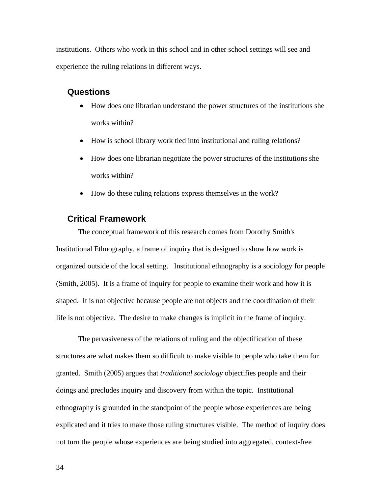institutions. Others who work in this school and in other school settings will see and experience the ruling relations in different ways.

## **Questions**

- How does one librarian understand the power structures of the institutions she works within?
- How is school library work tied into institutional and ruling relations?
- How does one librarian negotiate the power structures of the institutions she works within?
- How do these ruling relations express themselves in the work?

## **Critical Framework**

The conceptual framework of this research comes from Dorothy Smith's Institutional Ethnography, a frame of inquiry that is designed to show how work is organized outside of the local setting. Institutional ethnography is a sociology for people (Smith, 2005). It is a frame of inquiry for people to examine their work and how it is shaped. It is not objective because people are not objects and the coordination of their life is not objective. The desire to make changes is implicit in the frame of inquiry.

The pervasiveness of the relations of ruling and the objectification of these structures are what makes them so difficult to make visible to people who take them for granted. Smith (2005) argues that *traditional sociology* objectifies people and their doings and precludes inquiry and discovery from within the topic. Institutional ethnography is grounded in the standpoint of the people whose experiences are being explicated and it tries to make those ruling structures visible. The method of inquiry does not turn the people whose experiences are being studied into aggregated, context-free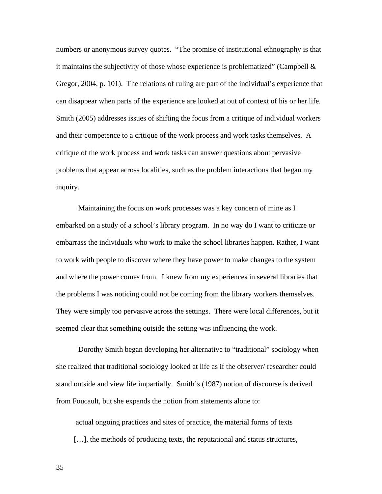numbers or anonymous survey quotes. "The promise of institutional ethnography is that it maintains the subjectivity of those whose experience is problematized" (Campbell  $\&$ Gregor, 2004, p. 101). The relations of ruling are part of the individual's experience that can disappear when parts of the experience are looked at out of context of his or her life. Smith (2005) addresses issues of shifting the focus from a critique of individual workers and their competence to a critique of the work process and work tasks themselves. A critique of the work process and work tasks can answer questions about pervasive problems that appear across localities, such as the problem interactions that began my inquiry.

Maintaining the focus on work processes was a key concern of mine as I embarked on a study of a school's library program. In no way do I want to criticize or embarrass the individuals who work to make the school libraries happen. Rather, I want to work with people to discover where they have power to make changes to the system and where the power comes from. I knew from my experiences in several libraries that the problems I was noticing could not be coming from the library workers themselves. They were simply too pervasive across the settings. There were local differences, but it seemed clear that something outside the setting was influencing the work.

Dorothy Smith began developing her alternative to "traditional" sociology when she realized that traditional sociology looked at life as if the observer/ researcher could stand outside and view life impartially. Smith's (1987) notion of discourse is derived from Foucault, but she expands the notion from statements alone to:

 actual ongoing practices and sites of practice, the material forms of texts [...], the methods of producing texts, the reputational and status structures,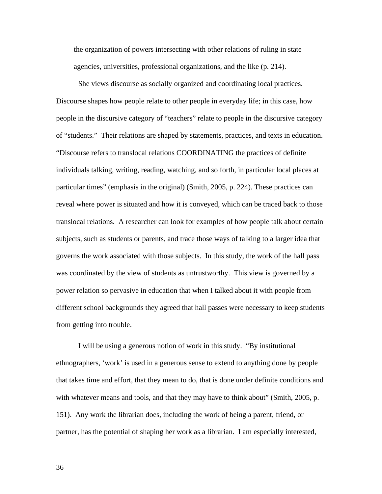the organization of powers intersecting with other relations of ruling in state agencies, universities, professional organizations, and the like (p. 214).

She views discourse as socially organized and coordinating local practices. Discourse shapes how people relate to other people in everyday life; in this case, how people in the discursive category of "teachers" relate to people in the discursive category of "students." Their relations are shaped by statements, practices, and texts in education. "Discourse refers to translocal relations COORDINATING the practices of definite individuals talking, writing, reading, watching, and so forth, in particular local places at particular times" (emphasis in the original) (Smith, 2005, p. 224). These practices can reveal where power is situated and how it is conveyed, which can be traced back to those translocal relations. A researcher can look for examples of how people talk about certain subjects, such as students or parents, and trace those ways of talking to a larger idea that governs the work associated with those subjects. In this study, the work of the hall pass was coordinated by the view of students as untrustworthy. This view is governed by a power relation so pervasive in education that when I talked about it with people from different school backgrounds they agreed that hall passes were necessary to keep students from getting into trouble.

I will be using a generous notion of work in this study. "By institutional ethnographers, 'work' is used in a generous sense to extend to anything done by people that takes time and effort, that they mean to do, that is done under definite conditions and with whatever means and tools, and that they may have to think about" (Smith, 2005, p. 151). Any work the librarian does, including the work of being a parent, friend, or partner, has the potential of shaping her work as a librarian. I am especially interested,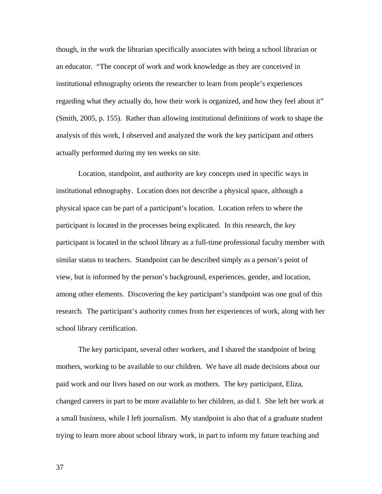though, in the work the librarian specifically associates with being a school librarian or an educator. "The concept of work and work knowledge as they are conceived in institutional ethnography orients the researcher to learn from people's experiences regarding what they actually do, how their work is organized, and how they feel about it" (Smith, 2005, p. 155). Rather than allowing institutional definitions of work to shape the analysis of this work, I observed and analyzed the work the key participant and others actually performed during my ten weeks on site.

Location, standpoint, and authority are key concepts used in specific ways in institutional ethnography. Location does not describe a physical space, although a physical space can be part of a participant's location. Location refers to where the participant is located in the processes being explicated. In this research, the key participant is located in the school library as a full-time professional faculty member with similar status to teachers. Standpoint can be described simply as a person's point of view, but is informed by the person's background, experiences, gender, and location, among other elements. Discovering the key participant's standpoint was one goal of this research. The participant's authority comes from her experiences of work, along with her school library certification.

The key participant, several other workers, and I shared the standpoint of being mothers, working to be available to our children. We have all made decisions about our paid work and our lives based on our work as mothers. The key participant, Eliza, changed careers in part to be more available to her children, as did I. She left her work at a small business, while I left journalism. My standpoint is also that of a graduate student trying to learn more about school library work, in part to inform my future teaching and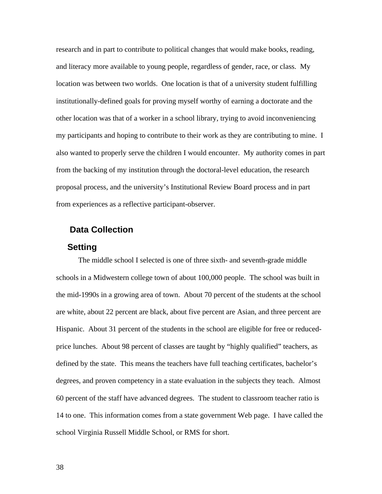research and in part to contribute to political changes that would make books, reading, and literacy more available to young people, regardless of gender, race, or class. My location was between two worlds. One location is that of a university student fulfilling institutionally-defined goals for proving myself worthy of earning a doctorate and the other location was that of a worker in a school library, trying to avoid inconveniencing my participants and hoping to contribute to their work as they are contributing to mine. I also wanted to properly serve the children I would encounter. My authority comes in part from the backing of my institution through the doctoral-level education, the research proposal process, and the university's Institutional Review Board process and in part from experiences as a reflective participant-observer.

## **Data Collection**

#### **Setting**

The middle school I selected is one of three sixth- and seventh-grade middle schools in a Midwestern college town of about 100,000 people. The school was built in the mid-1990s in a growing area of town. About 70 percent of the students at the school are white, about 22 percent are black, about five percent are Asian, and three percent are Hispanic. About 31 percent of the students in the school are eligible for free or reducedprice lunches. About 98 percent of classes are taught by "highly qualified" teachers, as defined by the state. This means the teachers have full teaching certificates, bachelor's degrees, and proven competency in a state evaluation in the subjects they teach. Almost 60 percent of the staff have advanced degrees. The student to classroom teacher ratio is 14 to one. This information comes from a state government Web page. I have called the school Virginia Russell Middle School, or RMS for short.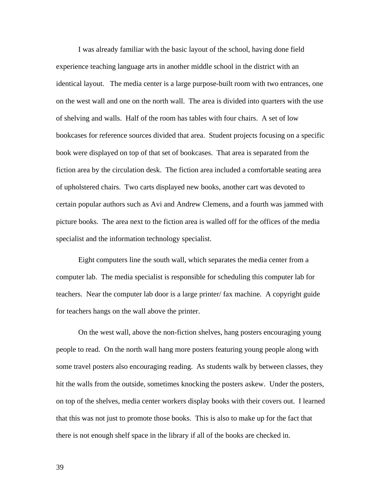I was already familiar with the basic layout of the school, having done field experience teaching language arts in another middle school in the district with an identical layout. The media center is a large purpose-built room with two entrances, one on the west wall and one on the north wall. The area is divided into quarters with the use of shelving and walls. Half of the room has tables with four chairs. A set of low bookcases for reference sources divided that area. Student projects focusing on a specific book were displayed on top of that set of bookcases. That area is separated from the fiction area by the circulation desk. The fiction area included a comfortable seating area of upholstered chairs. Two carts displayed new books, another cart was devoted to certain popular authors such as Avi and Andrew Clemens, and a fourth was jammed with picture books. The area next to the fiction area is walled off for the offices of the media specialist and the information technology specialist.

Eight computers line the south wall, which separates the media center from a computer lab. The media specialist is responsible for scheduling this computer lab for teachers. Near the computer lab door is a large printer/ fax machine. A copyright guide for teachers hangs on the wall above the printer.

On the west wall, above the non-fiction shelves, hang posters encouraging young people to read. On the north wall hang more posters featuring young people along with some travel posters also encouraging reading. As students walk by between classes, they hit the walls from the outside, sometimes knocking the posters askew. Under the posters, on top of the shelves, media center workers display books with their covers out. I learned that this was not just to promote those books. This is also to make up for the fact that there is not enough shelf space in the library if all of the books are checked in.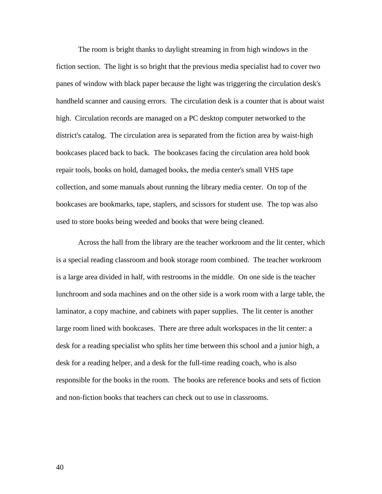The room is bright thanks to daylight streaming in from high windows in the fiction section. The light is so bright that the previous media specialist had to cover two panes of window with black paper because the light was triggering the circulation desk's handheld scanner and causing errors. The circulation desk is a counter that is about waist high. Circulation records are managed on a PC desktop computer networked to the district's catalog. The circulation area is separated from the fiction area by waist-high bookcases placed back to back. The bookcases facing the circulation area hold book repair tools, books on hold, damaged books, the media center's small VHS tape collection, and some manuals about running the library media center. On top of the bookcases are bookmarks, tape, staplers, and scissors for student use. The top was also used to store books being weeded and books that were being cleaned.

Across the hall from the library are the teacher workroom and the lit center, which is a special reading classroom and book storage room combined. The teacher workroom is a large area divided in half, with restrooms in the middle. On one side is the teacher lunchroom and soda machines and on the other side is a work room with a large table, the laminator, a copy machine, and cabinets with paper supplies. The lit center is another large room lined with bookcases. There are three adult workspaces in the lit center: a desk for a reading specialist who splits her time between this school and a junior high, a desk for a reading helper, and a desk for the full-time reading coach, who is also responsible for the books in the room. The books are reference books and sets of fiction and non-fiction books that teachers can check out to use in classrooms.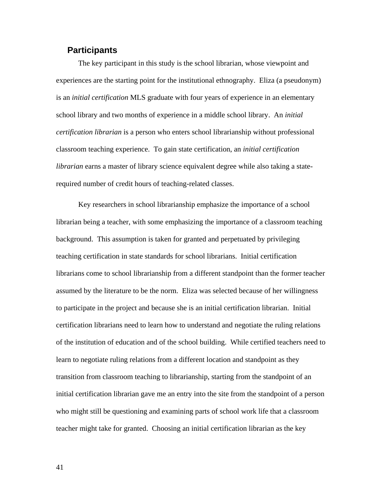## **Participants**

The key participant in this study is the school librarian, whose viewpoint and experiences are the starting point for the institutional ethnography. Eliza (a pseudonym) is an *initial certification* MLS graduate with four years of experience in an elementary school library and two months of experience in a middle school library. An *initial certification librarian* is a person who enters school librarianship without professional classroom teaching experience. To gain state certification, an *initial certification librarian* earns a master of library science equivalent degree while also taking a staterequired number of credit hours of teaching-related classes.

Key researchers in school librarianship emphasize the importance of a school librarian being a teacher, with some emphasizing the importance of a classroom teaching background. This assumption is taken for granted and perpetuated by privileging teaching certification in state standards for school librarians. Initial certification librarians come to school librarianship from a different standpoint than the former teacher assumed by the literature to be the norm. Eliza was selected because of her willingness to participate in the project and because she is an initial certification librarian. Initial certification librarians need to learn how to understand and negotiate the ruling relations of the institution of education and of the school building. While certified teachers need to learn to negotiate ruling relations from a different location and standpoint as they transition from classroom teaching to librarianship, starting from the standpoint of an initial certification librarian gave me an entry into the site from the standpoint of a person who might still be questioning and examining parts of school work life that a classroom teacher might take for granted. Choosing an initial certification librarian as the key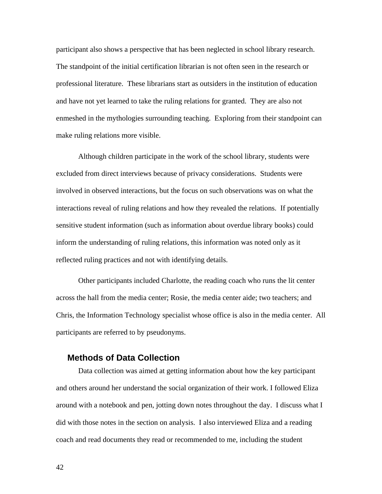participant also shows a perspective that has been neglected in school library research. The standpoint of the initial certification librarian is not often seen in the research or professional literature. These librarians start as outsiders in the institution of education and have not yet learned to take the ruling relations for granted. They are also not enmeshed in the mythologies surrounding teaching. Exploring from their standpoint can make ruling relations more visible.

Although children participate in the work of the school library, students were excluded from direct interviews because of privacy considerations. Students were involved in observed interactions, but the focus on such observations was on what the interactions reveal of ruling relations and how they revealed the relations. If potentially sensitive student information (such as information about overdue library books) could inform the understanding of ruling relations, this information was noted only as it reflected ruling practices and not with identifying details.

Other participants included Charlotte, the reading coach who runs the lit center across the hall from the media center; Rosie, the media center aide; two teachers; and Chris, the Information Technology specialist whose office is also in the media center. All participants are referred to by pseudonyms.

## **Methods of Data Collection**

Data collection was aimed at getting information about how the key participant and others around her understand the social organization of their work. I followed Eliza around with a notebook and pen, jotting down notes throughout the day. I discuss what I did with those notes in the section on analysis. I also interviewed Eliza and a reading coach and read documents they read or recommended to me, including the student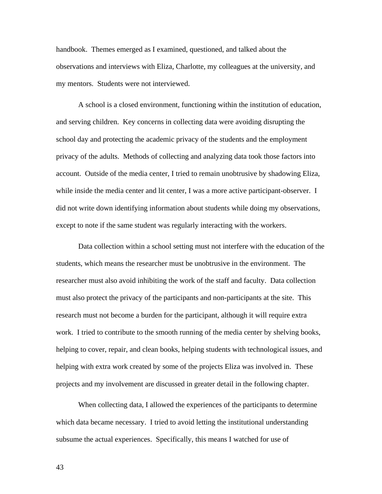handbook. Themes emerged as I examined, questioned, and talked about the observations and interviews with Eliza, Charlotte, my colleagues at the university, and my mentors. Students were not interviewed.

A school is a closed environment, functioning within the institution of education, and serving children. Key concerns in collecting data were avoiding disrupting the school day and protecting the academic privacy of the students and the employment privacy of the adults. Methods of collecting and analyzing data took those factors into account. Outside of the media center, I tried to remain unobtrusive by shadowing Eliza, while inside the media center and lit center, I was a more active participant-observer. I did not write down identifying information about students while doing my observations, except to note if the same student was regularly interacting with the workers.

Data collection within a school setting must not interfere with the education of the students, which means the researcher must be unobtrusive in the environment. The researcher must also avoid inhibiting the work of the staff and faculty. Data collection must also protect the privacy of the participants and non-participants at the site. This research must not become a burden for the participant, although it will require extra work. I tried to contribute to the smooth running of the media center by shelving books, helping to cover, repair, and clean books, helping students with technological issues, and helping with extra work created by some of the projects Eliza was involved in. These projects and my involvement are discussed in greater detail in the following chapter.

When collecting data, I allowed the experiences of the participants to determine which data became necessary. I tried to avoid letting the institutional understanding subsume the actual experiences. Specifically, this means I watched for use of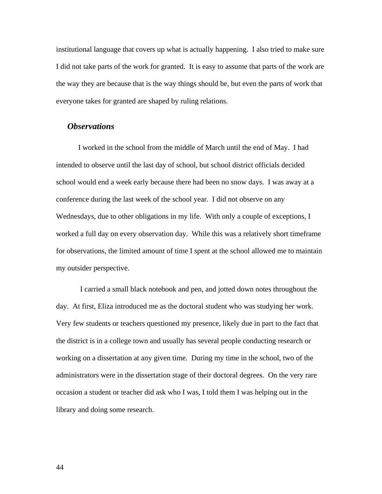institutional language that covers up what is actually happening. I also tried to make sure I did not take parts of the work for granted. It is easy to assume that parts of the work are the way they are because that is the way things should be, but even the parts of work that everyone takes for granted are shaped by ruling relations.

## *Observations*

I worked in the school from the middle of March until the end of May. I had intended to observe until the last day of school, but school district officials decided school would end a week early because there had been no snow days. I was away at a conference during the last week of the school year. I did not observe on any Wednesdays, due to other obligations in my life. With only a couple of exceptions, I worked a full day on every observation day. While this was a relatively short timeframe for observations, the limited amount of time I spent at the school allowed me to maintain my outsider perspective.

 I carried a small black notebook and pen, and jotted down notes throughout the day. At first, Eliza introduced me as the doctoral student who was studying her work. Very few students or teachers questioned my presence, likely due in part to the fact that the district is in a college town and usually has several people conducting research or working on a dissertation at any given time. During my time in the school, two of the administrators were in the dissertation stage of their doctoral degrees. On the very rare occasion a student or teacher did ask who I was, I told them I was helping out in the library and doing some research.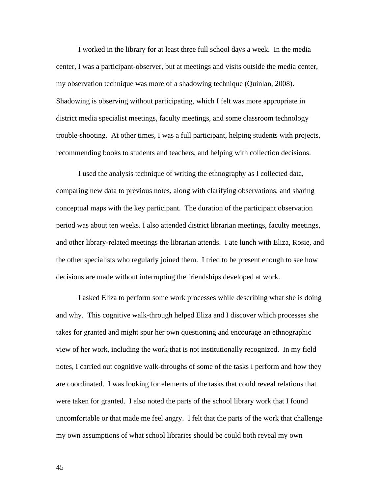I worked in the library for at least three full school days a week. In the media center, I was a participant-observer, but at meetings and visits outside the media center, my observation technique was more of a shadowing technique (Quinlan, 2008). Shadowing is observing without participating, which I felt was more appropriate in district media specialist meetings, faculty meetings, and some classroom technology trouble-shooting. At other times, I was a full participant, helping students with projects, recommending books to students and teachers, and helping with collection decisions.

I used the analysis technique of writing the ethnography as I collected data, comparing new data to previous notes, along with clarifying observations, and sharing conceptual maps with the key participant. The duration of the participant observation period was about ten weeks. I also attended district librarian meetings, faculty meetings, and other library-related meetings the librarian attends. I ate lunch with Eliza, Rosie, and the other specialists who regularly joined them. I tried to be present enough to see how decisions are made without interrupting the friendships developed at work.

I asked Eliza to perform some work processes while describing what she is doing and why. This cognitive walk-through helped Eliza and I discover which processes she takes for granted and might spur her own questioning and encourage an ethnographic view of her work, including the work that is not institutionally recognized. In my field notes, I carried out cognitive walk-throughs of some of the tasks I perform and how they are coordinated. I was looking for elements of the tasks that could reveal relations that were taken for granted. I also noted the parts of the school library work that I found uncomfortable or that made me feel angry. I felt that the parts of the work that challenge my own assumptions of what school libraries should be could both reveal my own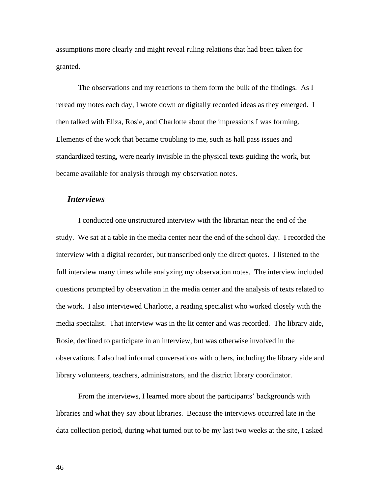assumptions more clearly and might reveal ruling relations that had been taken for granted.

The observations and my reactions to them form the bulk of the findings. As I reread my notes each day, I wrote down or digitally recorded ideas as they emerged. I then talked with Eliza, Rosie, and Charlotte about the impressions I was forming. Elements of the work that became troubling to me, such as hall pass issues and standardized testing, were nearly invisible in the physical texts guiding the work, but became available for analysis through my observation notes.

#### *Interviews*

I conducted one unstructured interview with the librarian near the end of the study. We sat at a table in the media center near the end of the school day. I recorded the interview with a digital recorder, but transcribed only the direct quotes. I listened to the full interview many times while analyzing my observation notes. The interview included questions prompted by observation in the media center and the analysis of texts related to the work. I also interviewed Charlotte, a reading specialist who worked closely with the media specialist. That interview was in the lit center and was recorded. The library aide, Rosie, declined to participate in an interview, but was otherwise involved in the observations. I also had informal conversations with others, including the library aide and library volunteers, teachers, administrators, and the district library coordinator.

From the interviews, I learned more about the participants' backgrounds with libraries and what they say about libraries. Because the interviews occurred late in the data collection period, during what turned out to be my last two weeks at the site, I asked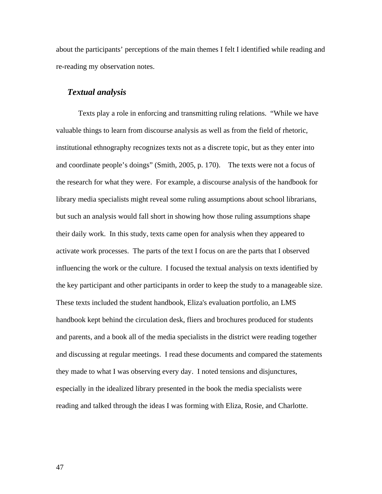about the participants' perceptions of the main themes I felt I identified while reading and re-reading my observation notes.

#### *Textual analysis*

Texts play a role in enforcing and transmitting ruling relations. "While we have valuable things to learn from discourse analysis as well as from the field of rhetoric, institutional ethnography recognizes texts not as a discrete topic, but as they enter into and coordinate people's doings" (Smith, 2005, p. 170). The texts were not a focus of the research for what they were. For example, a discourse analysis of the handbook for library media specialists might reveal some ruling assumptions about school librarians, but such an analysis would fall short in showing how those ruling assumptions shape their daily work. In this study, texts came open for analysis when they appeared to activate work processes. The parts of the text I focus on are the parts that I observed influencing the work or the culture. I focused the textual analysis on texts identified by the key participant and other participants in order to keep the study to a manageable size. These texts included the student handbook, Eliza's evaluation portfolio, an LMS handbook kept behind the circulation desk, fliers and brochures produced for students and parents, and a book all of the media specialists in the district were reading together and discussing at regular meetings. I read these documents and compared the statements they made to what I was observing every day. I noted tensions and disjunctures, especially in the idealized library presented in the book the media specialists were reading and talked through the ideas I was forming with Eliza, Rosie, and Charlotte.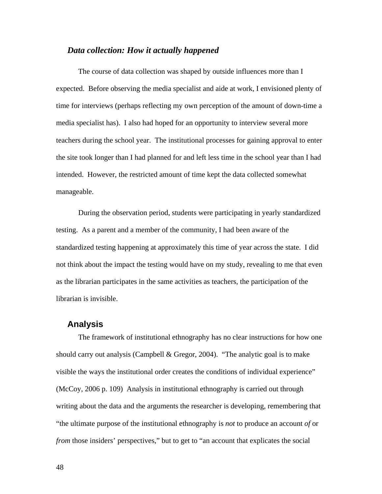#### *Data collection: How it actually happened*

The course of data collection was shaped by outside influences more than I expected. Before observing the media specialist and aide at work, I envisioned plenty of time for interviews (perhaps reflecting my own perception of the amount of down-time a media specialist has). I also had hoped for an opportunity to interview several more teachers during the school year. The institutional processes for gaining approval to enter the site took longer than I had planned for and left less time in the school year than I had intended. However, the restricted amount of time kept the data collected somewhat manageable.

During the observation period, students were participating in yearly standardized testing. As a parent and a member of the community, I had been aware of the standardized testing happening at approximately this time of year across the state. I did not think about the impact the testing would have on my study, revealing to me that even as the librarian participates in the same activities as teachers, the participation of the librarian is invisible.

### **Analysis**

The framework of institutional ethnography has no clear instructions for how one should carry out analysis (Campbell & Gregor, 2004). "The analytic goal is to make visible the ways the institutional order creates the conditions of individual experience" (McCoy, 2006 p. 109) Analysis in institutional ethnography is carried out through writing about the data and the arguments the researcher is developing, remembering that "the ultimate purpose of the institutional ethnography is *not* to produce an account *of* or *from* those insiders' perspectives," but to get to "an account that explicates the social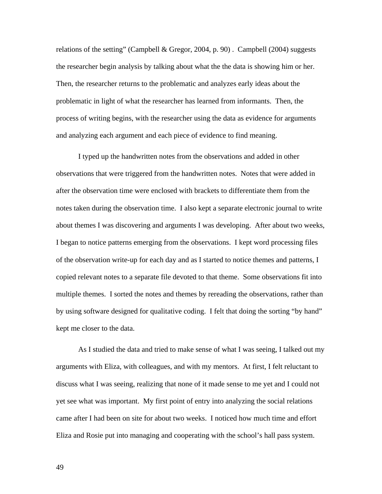relations of the setting" (Campbell & Gregor, 2004, p. 90). Campbell (2004) suggests the researcher begin analysis by talking about what the the data is showing him or her. Then, the researcher returns to the problematic and analyzes early ideas about the problematic in light of what the researcher has learned from informants. Then, the process of writing begins, with the researcher using the data as evidence for arguments and analyzing each argument and each piece of evidence to find meaning.

I typed up the handwritten notes from the observations and added in other observations that were triggered from the handwritten notes. Notes that were added in after the observation time were enclosed with brackets to differentiate them from the notes taken during the observation time. I also kept a separate electronic journal to write about themes I was discovering and arguments I was developing. After about two weeks, I began to notice patterns emerging from the observations. I kept word processing files of the observation write-up for each day and as I started to notice themes and patterns, I copied relevant notes to a separate file devoted to that theme. Some observations fit into multiple themes. I sorted the notes and themes by rereading the observations, rather than by using software designed for qualitative coding. I felt that doing the sorting "by hand" kept me closer to the data.

As I studied the data and tried to make sense of what I was seeing, I talked out my arguments with Eliza, with colleagues, and with my mentors. At first, I felt reluctant to discuss what I was seeing, realizing that none of it made sense to me yet and I could not yet see what was important. My first point of entry into analyzing the social relations came after I had been on site for about two weeks. I noticed how much time and effort Eliza and Rosie put into managing and cooperating with the school's hall pass system.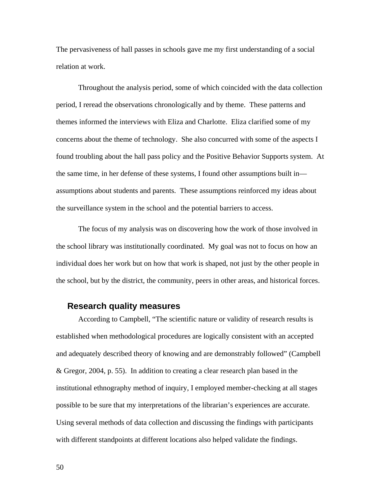The pervasiveness of hall passes in schools gave me my first understanding of a social relation at work.

Throughout the analysis period, some of which coincided with the data collection period, I reread the observations chronologically and by theme. These patterns and themes informed the interviews with Eliza and Charlotte. Eliza clarified some of my concerns about the theme of technology. She also concurred with some of the aspects I found troubling about the hall pass policy and the Positive Behavior Supports system. At the same time, in her defense of these systems, I found other assumptions built in assumptions about students and parents. These assumptions reinforced my ideas about the surveillance system in the school and the potential barriers to access.

The focus of my analysis was on discovering how the work of those involved in the school library was institutionally coordinated. My goal was not to focus on how an individual does her work but on how that work is shaped, not just by the other people in the school, but by the district, the community, peers in other areas, and historical forces.

#### **Research quality measures**

According to Campbell, "The scientific nature or validity of research results is established when methodological procedures are logically consistent with an accepted and adequately described theory of knowing and are demonstrably followed" (Campbell & Gregor, 2004, p. 55). In addition to creating a clear research plan based in the institutional ethnography method of inquiry, I employed member-checking at all stages possible to be sure that my interpretations of the librarian's experiences are accurate. Using several methods of data collection and discussing the findings with participants with different standpoints at different locations also helped validate the findings.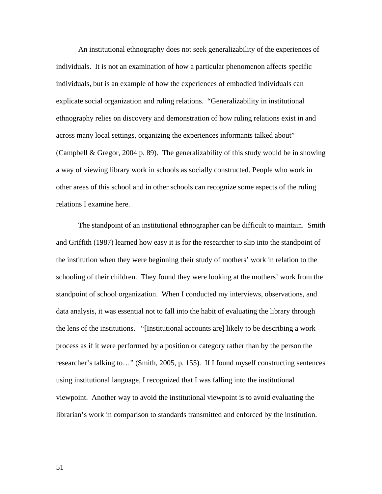An institutional ethnography does not seek generalizability of the experiences of individuals. It is not an examination of how a particular phenomenon affects specific individuals, but is an example of how the experiences of embodied individuals can explicate social organization and ruling relations. "Generalizability in institutional ethnography relies on discovery and demonstration of how ruling relations exist in and across many local settings, organizing the experiences informants talked about" (Campbell & Gregor, 2004 p. 89). The generalizability of this study would be in showing a way of viewing library work in schools as socially constructed. People who work in other areas of this school and in other schools can recognize some aspects of the ruling relations I examine here.

The standpoint of an institutional ethnographer can be difficult to maintain. Smith and Griffith (1987) learned how easy it is for the researcher to slip into the standpoint of the institution when they were beginning their study of mothers' work in relation to the schooling of their children. They found they were looking at the mothers' work from the standpoint of school organization. When I conducted my interviews, observations, and data analysis, it was essential not to fall into the habit of evaluating the library through the lens of the institutions. "[Institutional accounts are] likely to be describing a work process as if it were performed by a position or category rather than by the person the researcher's talking to…" (Smith, 2005, p. 155). If I found myself constructing sentences using institutional language, I recognized that I was falling into the institutional viewpoint. Another way to avoid the institutional viewpoint is to avoid evaluating the librarian's work in comparison to standards transmitted and enforced by the institution.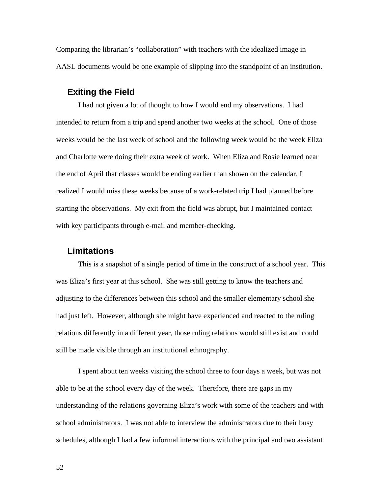Comparing the librarian's "collaboration" with teachers with the idealized image in AASL documents would be one example of slipping into the standpoint of an institution.

#### **Exiting the Field**

I had not given a lot of thought to how I would end my observations. I had intended to return from a trip and spend another two weeks at the school. One of those weeks would be the last week of school and the following week would be the week Eliza and Charlotte were doing their extra week of work. When Eliza and Rosie learned near the end of April that classes would be ending earlier than shown on the calendar, I realized I would miss these weeks because of a work-related trip I had planned before starting the observations. My exit from the field was abrupt, but I maintained contact with key participants through e-mail and member-checking.

## **Limitations**

This is a snapshot of a single period of time in the construct of a school year. This was Eliza's first year at this school. She was still getting to know the teachers and adjusting to the differences between this school and the smaller elementary school she had just left. However, although she might have experienced and reacted to the ruling relations differently in a different year, those ruling relations would still exist and could still be made visible through an institutional ethnography.

I spent about ten weeks visiting the school three to four days a week, but was not able to be at the school every day of the week. Therefore, there are gaps in my understanding of the relations governing Eliza's work with some of the teachers and with school administrators. I was not able to interview the administrators due to their busy schedules, although I had a few informal interactions with the principal and two assistant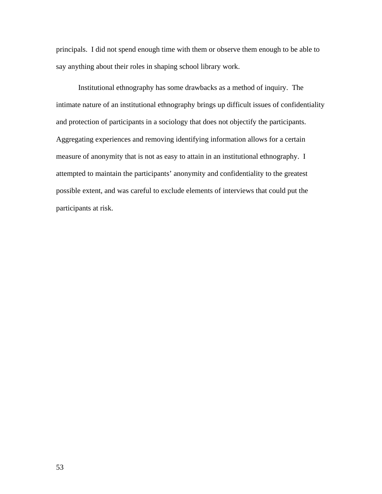principals. I did not spend enough time with them or observe them enough to be able to say anything about their roles in shaping school library work.

Institutional ethnography has some drawbacks as a method of inquiry. The intimate nature of an institutional ethnography brings up difficult issues of confidentiality and protection of participants in a sociology that does not objectify the participants. Aggregating experiences and removing identifying information allows for a certain measure of anonymity that is not as easy to attain in an institutional ethnography. I attempted to maintain the participants' anonymity and confidentiality to the greatest possible extent, and was careful to exclude elements of interviews that could put the participants at risk.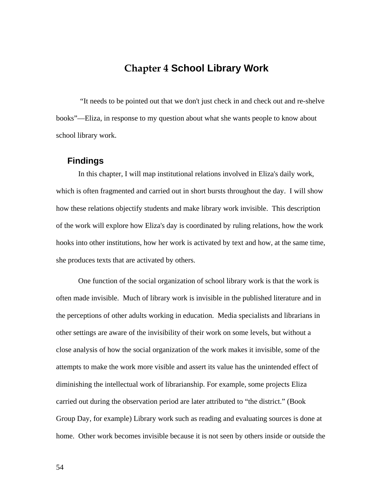# **Chapter 4 School Library Work**

 "It needs to be pointed out that we don't just check in and check out and re-shelve books"—Eliza, in response to my question about what she wants people to know about school library work.

## **Findings**

In this chapter, I will map institutional relations involved in Eliza's daily work, which is often fragmented and carried out in short bursts throughout the day. I will show how these relations objectify students and make library work invisible. This description of the work will explore how Eliza's day is coordinated by ruling relations, how the work hooks into other institutions, how her work is activated by text and how, at the same time, she produces texts that are activated by others.

One function of the social organization of school library work is that the work is often made invisible. Much of library work is invisible in the published literature and in the perceptions of other adults working in education. Media specialists and librarians in other settings are aware of the invisibility of their work on some levels, but without a close analysis of how the social organization of the work makes it invisible, some of the attempts to make the work more visible and assert its value has the unintended effect of diminishing the intellectual work of librarianship. For example, some projects Eliza carried out during the observation period are later attributed to "the district." (Book Group Day, for example) Library work such as reading and evaluating sources is done at home. Other work becomes invisible because it is not seen by others inside or outside the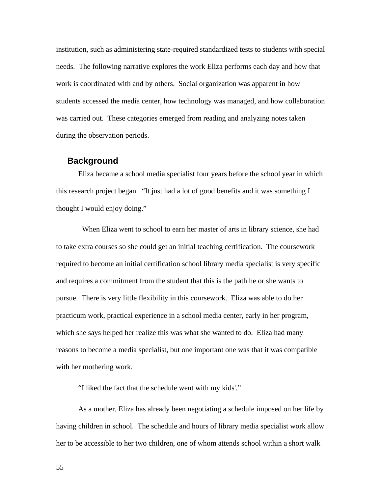institution, such as administering state-required standardized tests to students with special needs. The following narrative explores the work Eliza performs each day and how that work is coordinated with and by others. Social organization was apparent in how students accessed the media center, how technology was managed, and how collaboration was carried out. These categories emerged from reading and analyzing notes taken during the observation periods.

#### **Background**

Eliza became a school media specialist four years before the school year in which this research project began. "It just had a lot of good benefits and it was something I thought I would enjoy doing."

 When Eliza went to school to earn her master of arts in library science, she had to take extra courses so she could get an initial teaching certification. The coursework required to become an initial certification school library media specialist is very specific and requires a commitment from the student that this is the path he or she wants to pursue. There is very little flexibility in this coursework. Eliza was able to do her practicum work, practical experience in a school media center, early in her program, which she says helped her realize this was what she wanted to do. Eliza had many reasons to become a media specialist, but one important one was that it was compatible with her mothering work.

"I liked the fact that the schedule went with my kids'."

As a mother, Eliza has already been negotiating a schedule imposed on her life by having children in school. The schedule and hours of library media specialist work allow her to be accessible to her two children, one of whom attends school within a short walk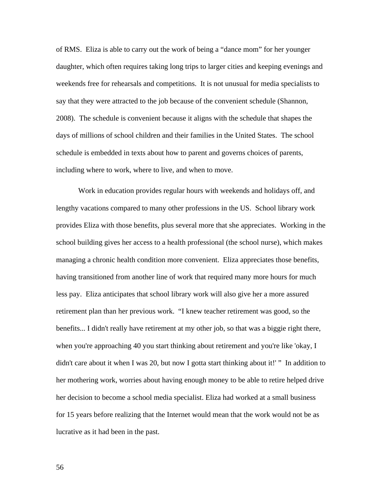of RMS. Eliza is able to carry out the work of being a "dance mom" for her younger daughter, which often requires taking long trips to larger cities and keeping evenings and weekends free for rehearsals and competitions. It is not unusual for media specialists to say that they were attracted to the job because of the convenient schedule (Shannon, 2008). The schedule is convenient because it aligns with the schedule that shapes the days of millions of school children and their families in the United States. The school schedule is embedded in texts about how to parent and governs choices of parents, including where to work, where to live, and when to move.

Work in education provides regular hours with weekends and holidays off, and lengthy vacations compared to many other professions in the US. School library work provides Eliza with those benefits, plus several more that she appreciates. Working in the school building gives her access to a health professional (the school nurse), which makes managing a chronic health condition more convenient. Eliza appreciates those benefits, having transitioned from another line of work that required many more hours for much less pay. Eliza anticipates that school library work will also give her a more assured retirement plan than her previous work. "I knew teacher retirement was good, so the benefits... I didn't really have retirement at my other job, so that was a biggie right there, when you're approaching 40 you start thinking about retirement and you're like 'okay, I didn't care about it when I was 20, but now I gotta start thinking about it!' " In addition to her mothering work, worries about having enough money to be able to retire helped drive her decision to become a school media specialist. Eliza had worked at a small business for 15 years before realizing that the Internet would mean that the work would not be as lucrative as it had been in the past.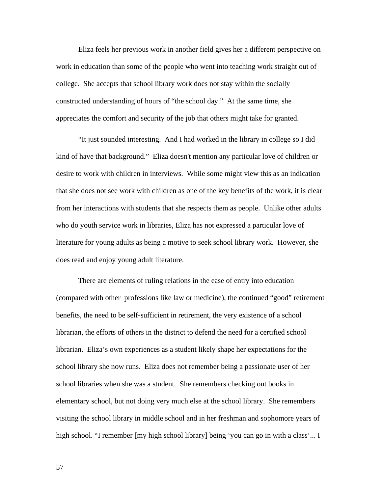Eliza feels her previous work in another field gives her a different perspective on work in education than some of the people who went into teaching work straight out of college. She accepts that school library work does not stay within the socially constructed understanding of hours of "the school day." At the same time, she appreciates the comfort and security of the job that others might take for granted.

"It just sounded interesting. And I had worked in the library in college so I did kind of have that background." Eliza doesn't mention any particular love of children or desire to work with children in interviews. While some might view this as an indication that she does not see work with children as one of the key benefits of the work, it is clear from her interactions with students that she respects them as people. Unlike other adults who do youth service work in libraries, Eliza has not expressed a particular love of literature for young adults as being a motive to seek school library work. However, she does read and enjoy young adult literature.

There are elements of ruling relations in the ease of entry into education (compared with other professions like law or medicine), the continued "good" retirement benefits, the need to be self-sufficient in retirement, the very existence of a school librarian, the efforts of others in the district to defend the need for a certified school librarian. Eliza's own experiences as a student likely shape her expectations for the school library she now runs. Eliza does not remember being a passionate user of her school libraries when she was a student. She remembers checking out books in elementary school, but not doing very much else at the school library. She remembers visiting the school library in middle school and in her freshman and sophomore years of high school. "I remember [my high school library] being 'you can go in with a class'... I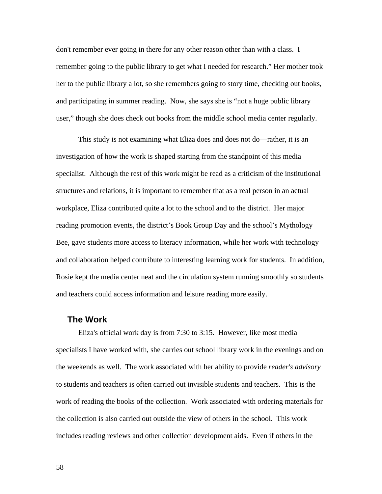don't remember ever going in there for any other reason other than with a class. I remember going to the public library to get what I needed for research." Her mother took her to the public library a lot, so she remembers going to story time, checking out books, and participating in summer reading. Now, she says she is "not a huge public library user," though she does check out books from the middle school media center regularly.

This study is not examining what Eliza does and does not do—rather, it is an investigation of how the work is shaped starting from the standpoint of this media specialist. Although the rest of this work might be read as a criticism of the institutional structures and relations, it is important to remember that as a real person in an actual workplace, Eliza contributed quite a lot to the school and to the district. Her major reading promotion events, the district's Book Group Day and the school's Mythology Bee, gave students more access to literacy information, while her work with technology and collaboration helped contribute to interesting learning work for students. In addition, Rosie kept the media center neat and the circulation system running smoothly so students and teachers could access information and leisure reading more easily.

## **The Work**

Eliza's official work day is from 7:30 to 3:15. However, like most media specialists I have worked with, she carries out school library work in the evenings and on the weekends as well. The work associated with her ability to provide *reader's advisory* to students and teachers is often carried out invisible students and teachers. This is the work of reading the books of the collection. Work associated with ordering materials for the collection is also carried out outside the view of others in the school. This work includes reading reviews and other collection development aids. Even if others in the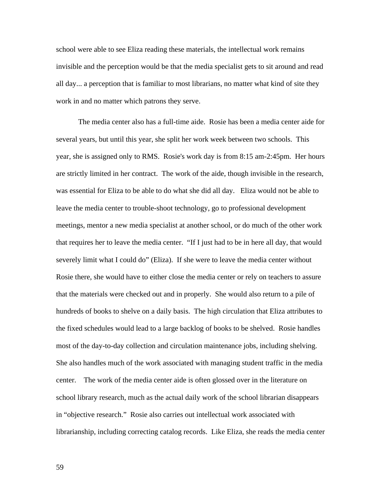school were able to see Eliza reading these materials, the intellectual work remains invisible and the perception would be that the media specialist gets to sit around and read all day... a perception that is familiar to most librarians, no matter what kind of site they work in and no matter which patrons they serve.

The media center also has a full-time aide. Rosie has been a media center aide for several years, but until this year, she split her work week between two schools. This year, she is assigned only to RMS. Rosie's work day is from 8:15 am-2:45pm. Her hours are strictly limited in her contract. The work of the aide, though invisible in the research, was essential for Eliza to be able to do what she did all day. Eliza would not be able to leave the media center to trouble-shoot technology, go to professional development meetings, mentor a new media specialist at another school, or do much of the other work that requires her to leave the media center. "If I just had to be in here all day, that would severely limit what I could do" (Eliza). If she were to leave the media center without Rosie there, she would have to either close the media center or rely on teachers to assure that the materials were checked out and in properly. She would also return to a pile of hundreds of books to shelve on a daily basis. The high circulation that Eliza attributes to the fixed schedules would lead to a large backlog of books to be shelved. Rosie handles most of the day-to-day collection and circulation maintenance jobs, including shelving. She also handles much of the work associated with managing student traffic in the media center. The work of the media center aide is often glossed over in the literature on school library research, much as the actual daily work of the school librarian disappears in "objective research." Rosie also carries out intellectual work associated with librarianship, including correcting catalog records. Like Eliza, she reads the media center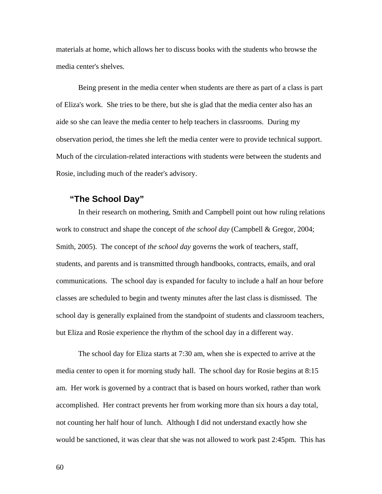materials at home, which allows her to discuss books with the students who browse the media center's shelves.

Being present in the media center when students are there as part of a class is part of Eliza's work. She tries to be there, but she is glad that the media center also has an aide so she can leave the media center to help teachers in classrooms. During my observation period, the times she left the media center were to provide technical support. Much of the circulation-related interactions with students were between the students and Rosie, including much of the reader's advisory.

## **"The School Day"**

In their research on mothering, Smith and Campbell point out how ruling relations work to construct and shape the concept of *the school day* (Campbell & Gregor, 2004; Smith, 2005). The concept of *the school day* governs the work of teachers, staff, students, and parents and is transmitted through handbooks, contracts, emails, and oral communications. The school day is expanded for faculty to include a half an hour before classes are scheduled to begin and twenty minutes after the last class is dismissed. The school day is generally explained from the standpoint of students and classroom teachers, but Eliza and Rosie experience the rhythm of the school day in a different way.

The school day for Eliza starts at 7:30 am, when she is expected to arrive at the media center to open it for morning study hall. The school day for Rosie begins at 8:15 am. Her work is governed by a contract that is based on hours worked, rather than work accomplished. Her contract prevents her from working more than six hours a day total, not counting her half hour of lunch. Although I did not understand exactly how she would be sanctioned, it was clear that she was not allowed to work past 2:45pm. This has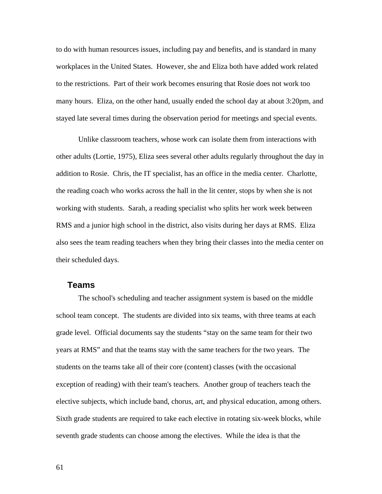to do with human resources issues, including pay and benefits, and is standard in many workplaces in the United States. However, she and Eliza both have added work related to the restrictions. Part of their work becomes ensuring that Rosie does not work too many hours. Eliza, on the other hand, usually ended the school day at about 3:20pm, and stayed late several times during the observation period for meetings and special events.

Unlike classroom teachers, whose work can isolate them from interactions with other adults (Lortie, 1975), Eliza sees several other adults regularly throughout the day in addition to Rosie. Chris, the IT specialist, has an office in the media center. Charlotte, the reading coach who works across the hall in the lit center, stops by when she is not working with students. Sarah, a reading specialist who splits her work week between RMS and a junior high school in the district, also visits during her days at RMS. Eliza also sees the team reading teachers when they bring their classes into the media center on their scheduled days.

## **Teams**

The school's scheduling and teacher assignment system is based on the middle school team concept. The students are divided into six teams, with three teams at each grade level. Official documents say the students "stay on the same team for their two years at RMS" and that the teams stay with the same teachers for the two years. The students on the teams take all of their core (content) classes (with the occasional exception of reading) with their team's teachers. Another group of teachers teach the elective subjects, which include band, chorus, art, and physical education, among others. Sixth grade students are required to take each elective in rotating six-week blocks, while seventh grade students can choose among the electives. While the idea is that the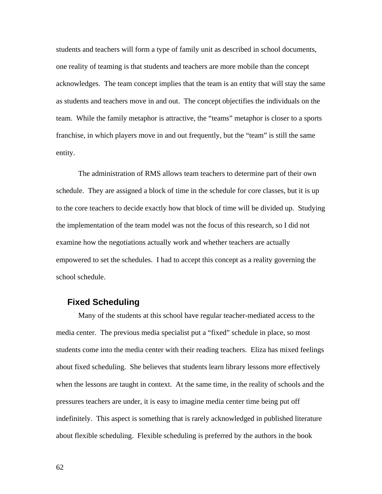students and teachers will form a type of family unit as described in school documents, one reality of teaming is that students and teachers are more mobile than the concept acknowledges. The team concept implies that the team is an entity that will stay the same as students and teachers move in and out. The concept objectifies the individuals on the team. While the family metaphor is attractive, the "teams" metaphor is closer to a sports franchise, in which players move in and out frequently, but the "team" is still the same entity.

The administration of RMS allows team teachers to determine part of their own schedule. They are assigned a block of time in the schedule for core classes, but it is up to the core teachers to decide exactly how that block of time will be divided up. Studying the implementation of the team model was not the focus of this research, so I did not examine how the negotiations actually work and whether teachers are actually empowered to set the schedules. I had to accept this concept as a reality governing the school schedule.

## **Fixed Scheduling**

Many of the students at this school have regular teacher-mediated access to the media center. The previous media specialist put a "fixed" schedule in place, so most students come into the media center with their reading teachers. Eliza has mixed feelings about fixed scheduling. She believes that students learn library lessons more effectively when the lessons are taught in context. At the same time, in the reality of schools and the pressures teachers are under, it is easy to imagine media center time being put off indefinitely. This aspect is something that is rarely acknowledged in published literature about flexible scheduling. Flexible scheduling is preferred by the authors in the book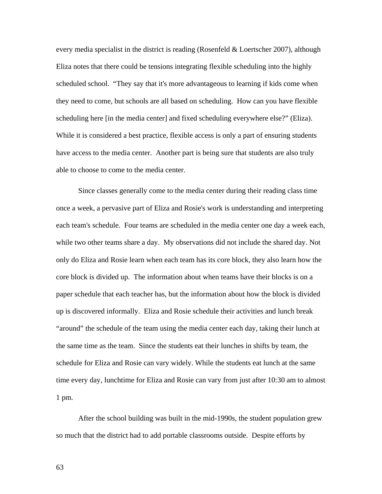every media specialist in the district is reading (Rosenfeld  $&$  Loertscher 2007), although Eliza notes that there could be tensions integrating flexible scheduling into the highly scheduled school. "They say that it's more advantageous to learning if kids come when they need to come, but schools are all based on scheduling. How can you have flexible scheduling here [in the media center] and fixed scheduling everywhere else?" (Eliza). While it is considered a best practice, flexible access is only a part of ensuring students have access to the media center. Another part is being sure that students are also truly able to choose to come to the media center.

Since classes generally come to the media center during their reading class time once a week, a pervasive part of Eliza and Rosie's work is understanding and interpreting each team's schedule. Four teams are scheduled in the media center one day a week each, while two other teams share a day. My observations did not include the shared day. Not only do Eliza and Rosie learn when each team has its core block, they also learn how the core block is divided up. The information about when teams have their blocks is on a paper schedule that each teacher has, but the information about how the block is divided up is discovered informally. Eliza and Rosie schedule their activities and lunch break "around" the schedule of the team using the media center each day, taking their lunch at the same time as the team. Since the students eat their lunches in shifts by team, the schedule for Eliza and Rosie can vary widely. While the students eat lunch at the same time every day, lunchtime for Eliza and Rosie can vary from just after 10:30 am to almost 1 pm.

After the school building was built in the mid-1990s, the student population grew so much that the district had to add portable classrooms outside. Despite efforts by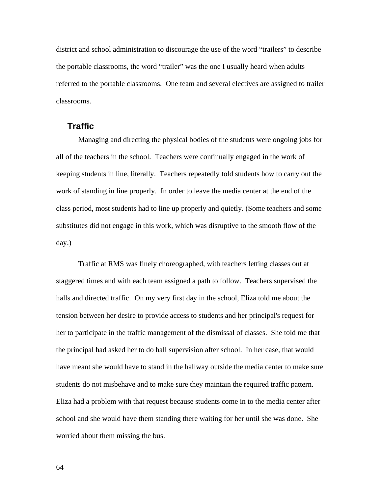district and school administration to discourage the use of the word "trailers" to describe the portable classrooms, the word "trailer" was the one I usually heard when adults referred to the portable classrooms. One team and several electives are assigned to trailer classrooms.

## **Traffic**

Managing and directing the physical bodies of the students were ongoing jobs for all of the teachers in the school. Teachers were continually engaged in the work of keeping students in line, literally. Teachers repeatedly told students how to carry out the work of standing in line properly. In order to leave the media center at the end of the class period, most students had to line up properly and quietly. (Some teachers and some substitutes did not engage in this work, which was disruptive to the smooth flow of the day.)

Traffic at RMS was finely choreographed, with teachers letting classes out at staggered times and with each team assigned a path to follow. Teachers supervised the halls and directed traffic. On my very first day in the school, Eliza told me about the tension between her desire to provide access to students and her principal's request for her to participate in the traffic management of the dismissal of classes. She told me that the principal had asked her to do hall supervision after school. In her case, that would have meant she would have to stand in the hallway outside the media center to make sure students do not misbehave and to make sure they maintain the required traffic pattern. Eliza had a problem with that request because students come in to the media center after school and she would have them standing there waiting for her until she was done. She worried about them missing the bus.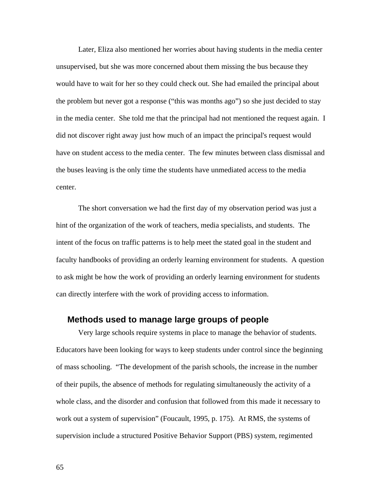Later, Eliza also mentioned her worries about having students in the media center unsupervised, but she was more concerned about them missing the bus because they would have to wait for her so they could check out. She had emailed the principal about the problem but never got a response ("this was months ago") so she just decided to stay in the media center. She told me that the principal had not mentioned the request again. I did not discover right away just how much of an impact the principal's request would have on student access to the media center. The few minutes between class dismissal and the buses leaving is the only time the students have unmediated access to the media center.

The short conversation we had the first day of my observation period was just a hint of the organization of the work of teachers, media specialists, and students. The intent of the focus on traffic patterns is to help meet the stated goal in the student and faculty handbooks of providing an orderly learning environment for students. A question to ask might be how the work of providing an orderly learning environment for students can directly interfere with the work of providing access to information.

### **Methods used to manage large groups of people**

Very large schools require systems in place to manage the behavior of students. Educators have been looking for ways to keep students under control since the beginning of mass schooling. "The development of the parish schools, the increase in the number of their pupils, the absence of methods for regulating simultaneously the activity of a whole class, and the disorder and confusion that followed from this made it necessary to work out a system of supervision" (Foucault, 1995, p. 175). At RMS, the systems of supervision include a structured Positive Behavior Support (PBS) system, regimented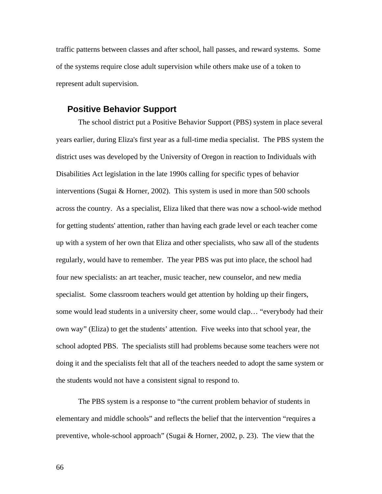traffic patterns between classes and after school, hall passes, and reward systems. Some of the systems require close adult supervision while others make use of a token to represent adult supervision.

#### **Positive Behavior Support**

The school district put a Positive Behavior Support (PBS) system in place several years earlier, during Eliza's first year as a full-time media specialist. The PBS system the district uses was developed by the University of Oregon in reaction to Individuals with Disabilities Act legislation in the late 1990s calling for specific types of behavior interventions (Sugai  $&$  Horner, 2002). This system is used in more than 500 schools across the country. As a specialist, Eliza liked that there was now a school-wide method for getting students' attention, rather than having each grade level or each teacher come up with a system of her own that Eliza and other specialists, who saw all of the students regularly, would have to remember. The year PBS was put into place, the school had four new specialists: an art teacher, music teacher, new counselor, and new media specialist. Some classroom teachers would get attention by holding up their fingers, some would lead students in a university cheer, some would clap… "everybody had their own way" (Eliza) to get the students' attention. Five weeks into that school year, the school adopted PBS. The specialists still had problems because some teachers were not doing it and the specialists felt that all of the teachers needed to adopt the same system or the students would not have a consistent signal to respond to.

The PBS system is a response to "the current problem behavior of students in elementary and middle schools" and reflects the belief that the intervention "requires a preventive, whole-school approach" (Sugai  $\&$  Horner, 2002, p. 23). The view that the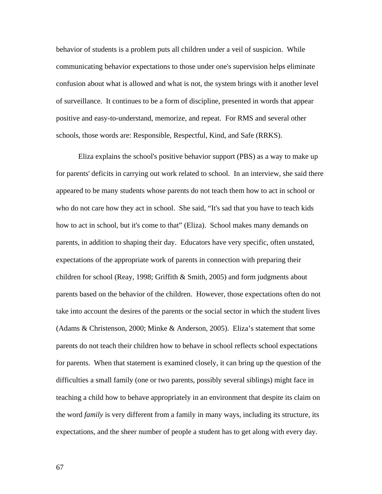behavior of students is a problem puts all children under a veil of suspicion. While communicating behavior expectations to those under one's supervision helps eliminate confusion about what is allowed and what is not, the system brings with it another level of surveillance. It continues to be a form of discipline, presented in words that appear positive and easy-to-understand, memorize, and repeat. For RMS and several other schools, those words are: Responsible, Respectful, Kind, and Safe (RRKS).

Eliza explains the school's positive behavior support (PBS) as a way to make up for parents' deficits in carrying out work related to school. In an interview, she said there appeared to be many students whose parents do not teach them how to act in school or who do not care how they act in school. She said, "It's sad that you have to teach kids how to act in school, but it's come to that" (Eliza). School makes many demands on parents, in addition to shaping their day. Educators have very specific, often unstated, expectations of the appropriate work of parents in connection with preparing their children for school (Reay, 1998; Griffith & Smith, 2005) and form judgments about parents based on the behavior of the children. However, those expectations often do not take into account the desires of the parents or the social sector in which the student lives (Adams & Christenson, 2000; Minke & Anderson, 2005). Eliza's statement that some parents do not teach their children how to behave in school reflects school expectations for parents. When that statement is examined closely, it can bring up the question of the difficulties a small family (one or two parents, possibly several siblings) might face in teaching a child how to behave appropriately in an environment that despite its claim on the word *family* is very different from a family in many ways, including its structure, its expectations, and the sheer number of people a student has to get along with every day.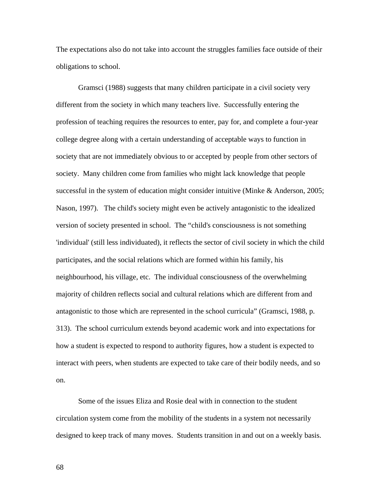The expectations also do not take into account the struggles families face outside of their obligations to school.

Gramsci (1988) suggests that many children participate in a civil society very different from the society in which many teachers live. Successfully entering the profession of teaching requires the resources to enter, pay for, and complete a four-year college degree along with a certain understanding of acceptable ways to function in society that are not immediately obvious to or accepted by people from other sectors of society. Many children come from families who might lack knowledge that people successful in the system of education might consider intuitive (Minke & Anderson, 2005; Nason, 1997). The child's society might even be actively antagonistic to the idealized version of society presented in school. The "child's consciousness is not something 'individual' (still less individuated), it reflects the sector of civil society in which the child participates, and the social relations which are formed within his family, his neighbourhood, his village, etc. The individual consciousness of the overwhelming majority of children reflects social and cultural relations which are different from and antagonistic to those which are represented in the school curricula" (Gramsci, 1988, p. 313). The school curriculum extends beyond academic work and into expectations for how a student is expected to respond to authority figures, how a student is expected to interact with peers, when students are expected to take care of their bodily needs, and so on.

Some of the issues Eliza and Rosie deal with in connection to the student circulation system come from the mobility of the students in a system not necessarily designed to keep track of many moves. Students transition in and out on a weekly basis.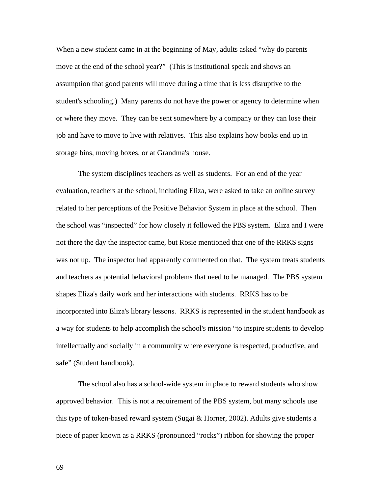When a new student came in at the beginning of May, adults asked "why do parents" move at the end of the school year?" (This is institutional speak and shows an assumption that good parents will move during a time that is less disruptive to the student's schooling.) Many parents do not have the power or agency to determine when or where they move. They can be sent somewhere by a company or they can lose their job and have to move to live with relatives. This also explains how books end up in storage bins, moving boxes, or at Grandma's house.

The system disciplines teachers as well as students. For an end of the year evaluation, teachers at the school, including Eliza, were asked to take an online survey related to her perceptions of the Positive Behavior System in place at the school. Then the school was "inspected" for how closely it followed the PBS system. Eliza and I were not there the day the inspector came, but Rosie mentioned that one of the RRKS signs was not up. The inspector had apparently commented on that. The system treats students and teachers as potential behavioral problems that need to be managed. The PBS system shapes Eliza's daily work and her interactions with students. RRKS has to be incorporated into Eliza's library lessons. RRKS is represented in the student handbook as a way for students to help accomplish the school's mission "to inspire students to develop intellectually and socially in a community where everyone is respected, productive, and safe" (Student handbook).

The school also has a school-wide system in place to reward students who show approved behavior. This is not a requirement of the PBS system, but many schools use this type of token-based reward system (Sugai & Horner, 2002). Adults give students a piece of paper known as a RRKS (pronounced "rocks") ribbon for showing the proper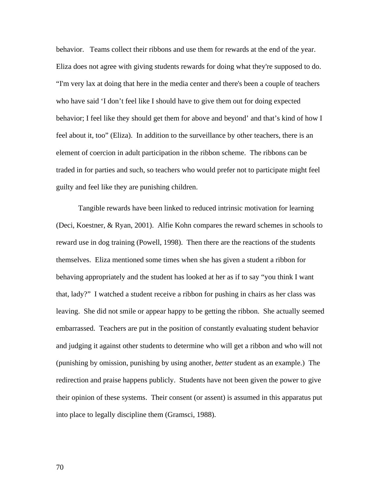behavior. Teams collect their ribbons and use them for rewards at the end of the year. Eliza does not agree with giving students rewards for doing what they're supposed to do. "I'm very lax at doing that here in the media center and there's been a couple of teachers who have said 'I don't feel like I should have to give them out for doing expected behavior; I feel like they should get them for above and beyond' and that's kind of how I feel about it, too" (Eliza). In addition to the surveillance by other teachers, there is an element of coercion in adult participation in the ribbon scheme. The ribbons can be traded in for parties and such, so teachers who would prefer not to participate might feel guilty and feel like they are punishing children.

Tangible rewards have been linked to reduced intrinsic motivation for learning (Deci, Koestner, & Ryan, 2001). Alfie Kohn compares the reward schemes in schools to reward use in dog training (Powell, 1998). Then there are the reactions of the students themselves. Eliza mentioned some times when she has given a student a ribbon for behaving appropriately and the student has looked at her as if to say "you think I want that, lady?" I watched a student receive a ribbon for pushing in chairs as her class was leaving. She did not smile or appear happy to be getting the ribbon. She actually seemed embarrassed. Teachers are put in the position of constantly evaluating student behavior and judging it against other students to determine who will get a ribbon and who will not (punishing by omission, punishing by using another, *better* student as an example.) The redirection and praise happens publicly. Students have not been given the power to give their opinion of these systems. Their consent (or assent) is assumed in this apparatus put into place to legally discipline them (Gramsci, 1988).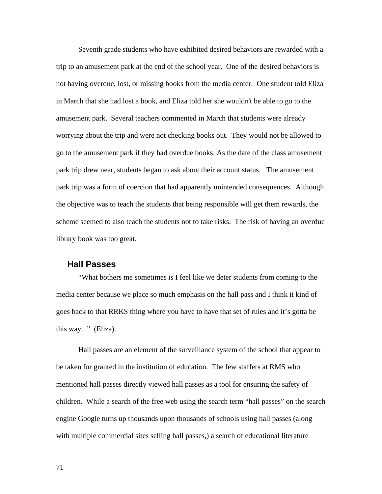Seventh grade students who have exhibited desired behaviors are rewarded with a trip to an amusement park at the end of the school year. One of the desired behaviors is not having overdue, lost, or missing books from the media center. One student told Eliza in March that she had lost a book, and Eliza told her she wouldn't be able to go to the amusement park. Several teachers commented in March that students were already worrying about the trip and were not checking books out. They would not be allowed to go to the amusement park if they had overdue books. As the date of the class amusement park trip drew near, students began to ask about their account status. The amusement park trip was a form of coercion that had apparently unintended consequences. Although the objective was to teach the students that being responsible will get them rewards, the scheme seemed to also teach the students not to take risks. The risk of having an overdue library book was too great.

#### **Hall Passes**

"What bothers me sometimes is I feel like we deter students from coming to the media center because we place so much emphasis on the hall pass and I think it kind of goes back to that RRKS thing where you have to have that set of rules and it's gotta be this way..." (Eliza).

Hall passes are an element of the surveillance system of the school that appear to be taken for granted in the institution of education. The few staffers at RMS who mentioned hall passes directly viewed hall passes as a tool for ensuring the safety of children. While a search of the free web using the search term "hall passes" on the search engine Google turns up thousands upon thousands of schools using hall passes (along with multiple commercial sites selling hall passes,) a search of educational literature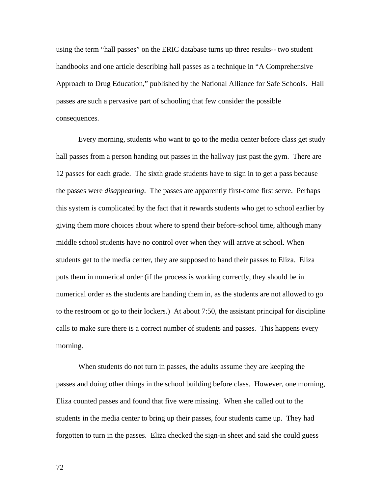using the term "hall passes" on the ERIC database turns up three results-- two student handbooks and one article describing hall passes as a technique in "A Comprehensive Approach to Drug Education," published by the National Alliance for Safe Schools. Hall passes are such a pervasive part of schooling that few consider the possible consequences.

Every morning, students who want to go to the media center before class get study hall passes from a person handing out passes in the hallway just past the gym. There are 12 passes for each grade. The sixth grade students have to sign in to get a pass because the passes were *disappearing*. The passes are apparently first-come first serve. Perhaps this system is complicated by the fact that it rewards students who get to school earlier by giving them more choices about where to spend their before-school time, although many middle school students have no control over when they will arrive at school. When students get to the media center, they are supposed to hand their passes to Eliza. Eliza puts them in numerical order (if the process is working correctly, they should be in numerical order as the students are handing them in, as the students are not allowed to go to the restroom or go to their lockers.) At about 7:50, the assistant principal for discipline calls to make sure there is a correct number of students and passes. This happens every morning.

When students do not turn in passes, the adults assume they are keeping the passes and doing other things in the school building before class. However, one morning, Eliza counted passes and found that five were missing. When she called out to the students in the media center to bring up their passes, four students came up. They had forgotten to turn in the passes. Eliza checked the sign-in sheet and said she could guess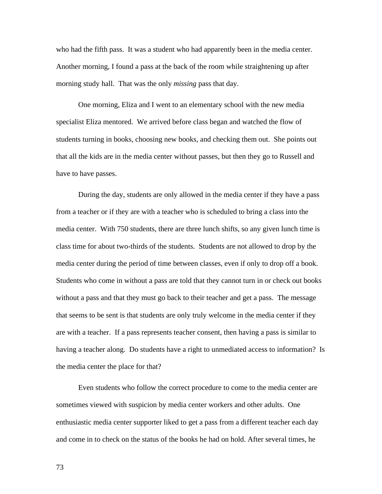who had the fifth pass. It was a student who had apparently been in the media center. Another morning, I found a pass at the back of the room while straightening up after morning study hall. That was the only *missing* pass that day.

One morning, Eliza and I went to an elementary school with the new media specialist Eliza mentored. We arrived before class began and watched the flow of students turning in books, choosing new books, and checking them out. She points out that all the kids are in the media center without passes, but then they go to Russell and have to have passes.

During the day, students are only allowed in the media center if they have a pass from a teacher or if they are with a teacher who is scheduled to bring a class into the media center. With 750 students, there are three lunch shifts, so any given lunch time is class time for about two-thirds of the students. Students are not allowed to drop by the media center during the period of time between classes, even if only to drop off a book. Students who come in without a pass are told that they cannot turn in or check out books without a pass and that they must go back to their teacher and get a pass. The message that seems to be sent is that students are only truly welcome in the media center if they are with a teacher. If a pass represents teacher consent, then having a pass is similar to having a teacher along. Do students have a right to unmediated access to information? Is the media center the place for that?

Even students who follow the correct procedure to come to the media center are sometimes viewed with suspicion by media center workers and other adults. One enthusiastic media center supporter liked to get a pass from a different teacher each day and come in to check on the status of the books he had on hold. After several times, he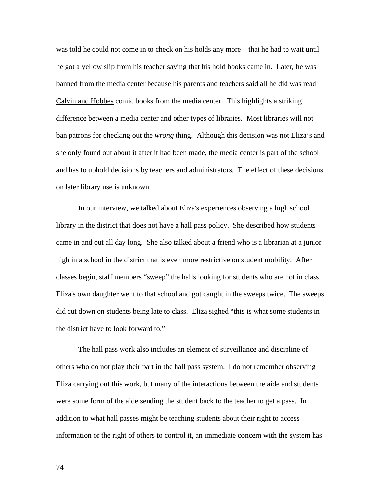was told he could not come in to check on his holds any more—that he had to wait until he got a yellow slip from his teacher saying that his hold books came in. Later, he was banned from the media center because his parents and teachers said all he did was read Calvin and Hobbes comic books from the media center. This highlights a striking difference between a media center and other types of libraries. Most libraries will not ban patrons for checking out the *wrong* thing. Although this decision was not Eliza's and she only found out about it after it had been made, the media center is part of the school and has to uphold decisions by teachers and administrators. The effect of these decisions on later library use is unknown.

In our interview, we talked about Eliza's experiences observing a high school library in the district that does not have a hall pass policy. She described how students came in and out all day long. She also talked about a friend who is a librarian at a junior high in a school in the district that is even more restrictive on student mobility. After classes begin, staff members "sweep" the halls looking for students who are not in class. Eliza's own daughter went to that school and got caught in the sweeps twice. The sweeps did cut down on students being late to class. Eliza sighed "this is what some students in the district have to look forward to."

The hall pass work also includes an element of surveillance and discipline of others who do not play their part in the hall pass system. I do not remember observing Eliza carrying out this work, but many of the interactions between the aide and students were some form of the aide sending the student back to the teacher to get a pass. In addition to what hall passes might be teaching students about their right to access information or the right of others to control it, an immediate concern with the system has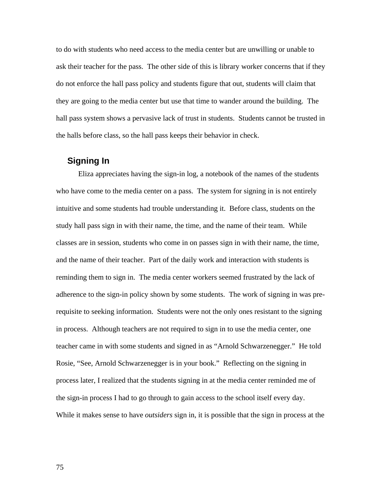to do with students who need access to the media center but are unwilling or unable to ask their teacher for the pass. The other side of this is library worker concerns that if they do not enforce the hall pass policy and students figure that out, students will claim that they are going to the media center but use that time to wander around the building. The hall pass system shows a pervasive lack of trust in students. Students cannot be trusted in the halls before class, so the hall pass keeps their behavior in check.

## **Signing In**

Eliza appreciates having the sign-in log, a notebook of the names of the students who have come to the media center on a pass. The system for signing in is not entirely intuitive and some students had trouble understanding it. Before class, students on the study hall pass sign in with their name, the time, and the name of their team. While classes are in session, students who come in on passes sign in with their name, the time, and the name of their teacher. Part of the daily work and interaction with students is reminding them to sign in. The media center workers seemed frustrated by the lack of adherence to the sign-in policy shown by some students. The work of signing in was prerequisite to seeking information. Students were not the only ones resistant to the signing in process. Although teachers are not required to sign in to use the media center, one teacher came in with some students and signed in as "Arnold Schwarzenegger." He told Rosie, "See, Arnold Schwarzenegger is in your book." Reflecting on the signing in process later, I realized that the students signing in at the media center reminded me of the sign-in process I had to go through to gain access to the school itself every day. While it makes sense to have *outsiders* sign in, it is possible that the sign in process at the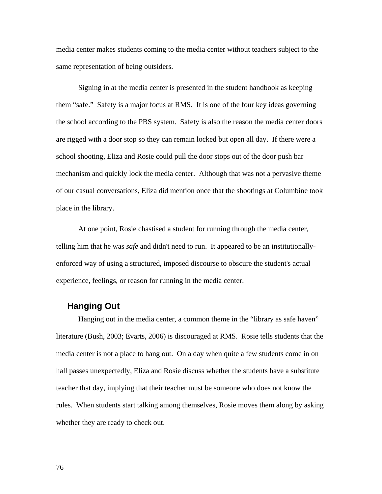media center makes students coming to the media center without teachers subject to the same representation of being outsiders.

Signing in at the media center is presented in the student handbook as keeping them "safe." Safety is a major focus at RMS. It is one of the four key ideas governing the school according to the PBS system. Safety is also the reason the media center doors are rigged with a door stop so they can remain locked but open all day. If there were a school shooting, Eliza and Rosie could pull the door stops out of the door push bar mechanism and quickly lock the media center. Although that was not a pervasive theme of our casual conversations, Eliza did mention once that the shootings at Columbine took place in the library.

At one point, Rosie chastised a student for running through the media center, telling him that he was *safe* and didn't need to run. It appeared to be an institutionallyenforced way of using a structured, imposed discourse to obscure the student's actual experience, feelings, or reason for running in the media center.

## **Hanging Out**

Hanging out in the media center, a common theme in the "library as safe haven" literature (Bush, 2003; Evarts, 2006) is discouraged at RMS. Rosie tells students that the media center is not a place to hang out. On a day when quite a few students come in on hall passes unexpectedly, Eliza and Rosie discuss whether the students have a substitute teacher that day, implying that their teacher must be someone who does not know the rules. When students start talking among themselves, Rosie moves them along by asking whether they are ready to check out.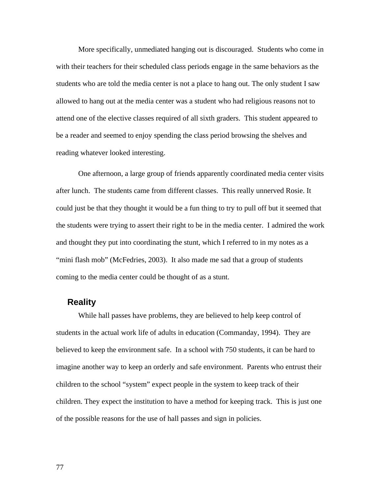More specifically, unmediated hanging out is discouraged. Students who come in with their teachers for their scheduled class periods engage in the same behaviors as the students who are told the media center is not a place to hang out. The only student I saw allowed to hang out at the media center was a student who had religious reasons not to attend one of the elective classes required of all sixth graders. This student appeared to be a reader and seemed to enjoy spending the class period browsing the shelves and reading whatever looked interesting.

One afternoon, a large group of friends apparently coordinated media center visits after lunch. The students came from different classes. This really unnerved Rosie. It could just be that they thought it would be a fun thing to try to pull off but it seemed that the students were trying to assert their right to be in the media center. I admired the work and thought they put into coordinating the stunt, which I referred to in my notes as a "mini flash mob" (McFedries, 2003). It also made me sad that a group of students coming to the media center could be thought of as a stunt.

#### **Reality**

While hall passes have problems, they are believed to help keep control of students in the actual work life of adults in education (Commanday, 1994). They are believed to keep the environment safe. In a school with 750 students, it can be hard to imagine another way to keep an orderly and safe environment. Parents who entrust their children to the school "system" expect people in the system to keep track of their children. They expect the institution to have a method for keeping track. This is just one of the possible reasons for the use of hall passes and sign in policies.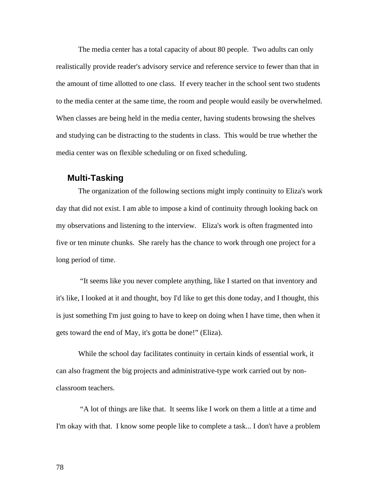The media center has a total capacity of about 80 people. Two adults can only realistically provide reader's advisory service and reference service to fewer than that in the amount of time allotted to one class. If every teacher in the school sent two students to the media center at the same time, the room and people would easily be overwhelmed. When classes are being held in the media center, having students browsing the shelves and studying can be distracting to the students in class. This would be true whether the media center was on flexible scheduling or on fixed scheduling.

#### **Multi-Tasking**

The organization of the following sections might imply continuity to Eliza's work day that did not exist. I am able to impose a kind of continuity through looking back on my observations and listening to the interview. Eliza's work is often fragmented into five or ten minute chunks. She rarely has the chance to work through one project for a long period of time.

 "It seems like you never complete anything, like I started on that inventory and it's like, I looked at it and thought, boy I'd like to get this done today, and I thought, this is just something I'm just going to have to keep on doing when I have time, then when it gets toward the end of May, it's gotta be done!" (Eliza).

While the school day facilitates continuity in certain kinds of essential work, it can also fragment the big projects and administrative-type work carried out by nonclassroom teachers.

 "A lot of things are like that. It seems like I work on them a little at a time and I'm okay with that. I know some people like to complete a task... I don't have a problem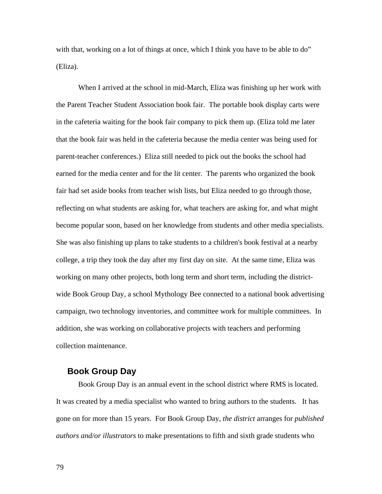with that, working on a lot of things at once, which I think you have to be able to do" (Eliza).

When I arrived at the school in mid-March, Eliza was finishing up her work with the Parent Teacher Student Association book fair. The portable book display carts were in the cafeteria waiting for the book fair company to pick them up. (Eliza told me later that the book fair was held in the cafeteria because the media center was being used for parent-teacher conferences.) Eliza still needed to pick out the books the school had earned for the media center and for the lit center. The parents who organized the book fair had set aside books from teacher wish lists, but Eliza needed to go through those, reflecting on what students are asking for, what teachers are asking for, and what might become popular soon, based on her knowledge from students and other media specialists. She was also finishing up plans to take students to a children's book festival at a nearby college, a trip they took the day after my first day on site. At the same time, Eliza was working on many other projects, both long term and short term, including the districtwide Book Group Day, a school Mythology Bee connected to a national book advertising campaign, two technology inventories, and committee work for multiple committees. In addition, she was working on collaborative projects with teachers and performing collection maintenance.

#### **Book Group Day**

Book Group Day is an annual event in the school district where RMS is located. It was created by a media specialist who wanted to bring authors to the students. It has gone on for more than 15 years. For Book Group Day, *the district* arranges for *published authors and/or illustrators* to make presentations to fifth and sixth grade students who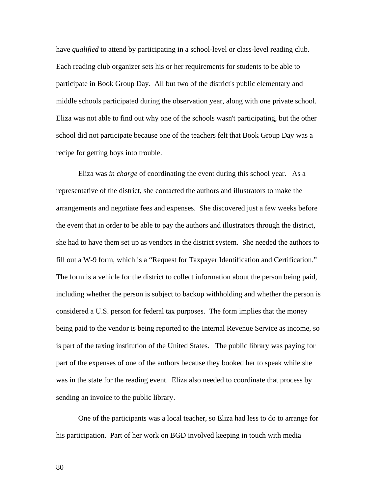have *qualified* to attend by participating in a school-level or class-level reading club. Each reading club organizer sets his or her requirements for students to be able to participate in Book Group Day. All but two of the district's public elementary and middle schools participated during the observation year, along with one private school. Eliza was not able to find out why one of the schools wasn't participating, but the other school did not participate because one of the teachers felt that Book Group Day was a recipe for getting boys into trouble.

Eliza was *in charge* of coordinating the event during this school year. As a representative of the district, she contacted the authors and illustrators to make the arrangements and negotiate fees and expenses. She discovered just a few weeks before the event that in order to be able to pay the authors and illustrators through the district, she had to have them set up as vendors in the district system. She needed the authors to fill out a W-9 form, which is a "Request for Taxpayer Identification and Certification." The form is a vehicle for the district to collect information about the person being paid, including whether the person is subject to backup withholding and whether the person is considered a U.S. person for federal tax purposes. The form implies that the money being paid to the vendor is being reported to the Internal Revenue Service as income, so is part of the taxing institution of the United States. The public library was paying for part of the expenses of one of the authors because they booked her to speak while she was in the state for the reading event. Eliza also needed to coordinate that process by sending an invoice to the public library.

One of the participants was a local teacher, so Eliza had less to do to arrange for his participation. Part of her work on BGD involved keeping in touch with media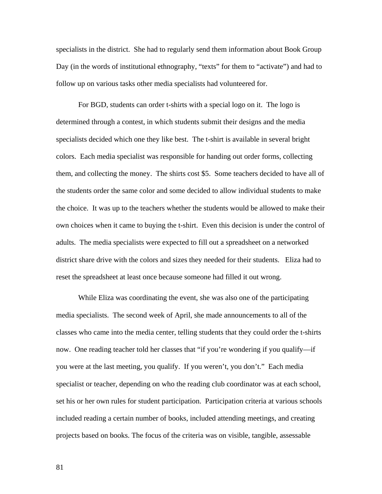specialists in the district. She had to regularly send them information about Book Group Day (in the words of institutional ethnography, "texts" for them to "activate") and had to follow up on various tasks other media specialists had volunteered for.

For BGD, students can order t-shirts with a special logo on it. The logo is determined through a contest, in which students submit their designs and the media specialists decided which one they like best. The t-shirt is available in several bright colors. Each media specialist was responsible for handing out order forms, collecting them, and collecting the money. The shirts cost \$5. Some teachers decided to have all of the students order the same color and some decided to allow individual students to make the choice. It was up to the teachers whether the students would be allowed to make their own choices when it came to buying the t-shirt. Even this decision is under the control of adults. The media specialists were expected to fill out a spreadsheet on a networked district share drive with the colors and sizes they needed for their students. Eliza had to reset the spreadsheet at least once because someone had filled it out wrong.

While Eliza was coordinating the event, she was also one of the participating media specialists. The second week of April, she made announcements to all of the classes who came into the media center, telling students that they could order the t-shirts now. One reading teacher told her classes that "if you're wondering if you qualify—if you were at the last meeting, you qualify. If you weren't, you don't." Each media specialist or teacher, depending on who the reading club coordinator was at each school, set his or her own rules for student participation. Participation criteria at various schools included reading a certain number of books, included attending meetings, and creating projects based on books. The focus of the criteria was on visible, tangible, assessable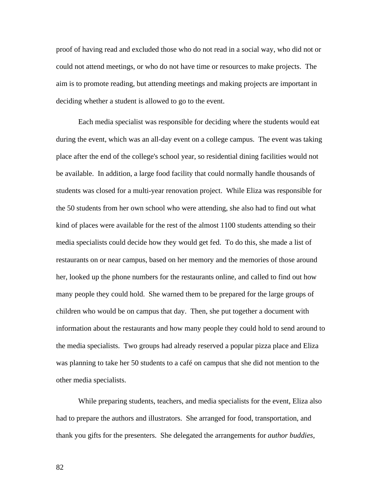proof of having read and excluded those who do not read in a social way, who did not or could not attend meetings, or who do not have time or resources to make projects. The aim is to promote reading, but attending meetings and making projects are important in deciding whether a student is allowed to go to the event.

Each media specialist was responsible for deciding where the students would eat during the event, which was an all-day event on a college campus. The event was taking place after the end of the college's school year, so residential dining facilities would not be available. In addition, a large food facility that could normally handle thousands of students was closed for a multi-year renovation project. While Eliza was responsible for the 50 students from her own school who were attending, she also had to find out what kind of places were available for the rest of the almost 1100 students attending so their media specialists could decide how they would get fed. To do this, she made a list of restaurants on or near campus, based on her memory and the memories of those around her, looked up the phone numbers for the restaurants online, and called to find out how many people they could hold. She warned them to be prepared for the large groups of children who would be on campus that day. Then, she put together a document with information about the restaurants and how many people they could hold to send around to the media specialists. Two groups had already reserved a popular pizza place and Eliza was planning to take her 50 students to a café on campus that she did not mention to the other media specialists.

While preparing students, teachers, and media specialists for the event, Eliza also had to prepare the authors and illustrators. She arranged for food, transportation, and thank you gifts for the presenters. She delegated the arrangements for *author buddies*,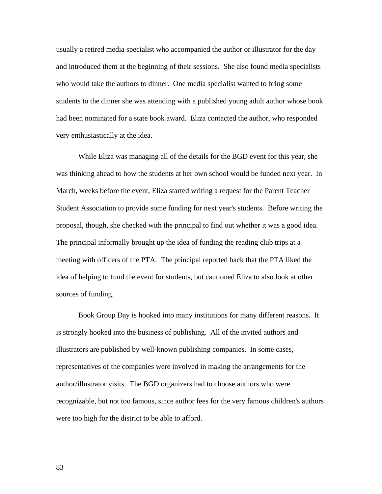usually a retired media specialist who accompanied the author or illustrator for the day and introduced them at the beginning of their sessions. She also found media specialists who would take the authors to dinner. One media specialist wanted to bring some students to the dinner she was attending with a published young adult author whose book had been nominated for a state book award. Eliza contacted the author, who responded very enthusiastically at the idea.

While Eliza was managing all of the details for the BGD event for this year, she was thinking ahead to how the students at her own school would be funded next year. In March, weeks before the event, Eliza started writing a request for the Parent Teacher Student Association to provide some funding for next year's students. Before writing the proposal, though, she checked with the principal to find out whether it was a good idea. The principal informally brought up the idea of funding the reading club trips at a meeting with officers of the PTA. The principal reported back that the PTA liked the idea of helping to fund the event for students, but cautioned Eliza to also look at other sources of funding.

Book Group Day is hooked into many institutions for many different reasons. It is strongly hooked into the business of publishing. All of the invited authors and illustrators are published by well-known publishing companies. In some cases, representatives of the companies were involved in making the arrangements for the author/illustrator visits. The BGD organizers had to choose authors who were recognizable, but not too famous, since author fees for the very famous children's authors were too high for the district to be able to afford.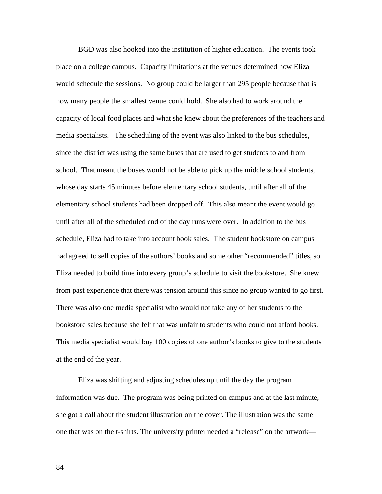BGD was also hooked into the institution of higher education. The events took place on a college campus. Capacity limitations at the venues determined how Eliza would schedule the sessions. No group could be larger than 295 people because that is how many people the smallest venue could hold. She also had to work around the capacity of local food places and what she knew about the preferences of the teachers and media specialists. The scheduling of the event was also linked to the bus schedules, since the district was using the same buses that are used to get students to and from school. That meant the buses would not be able to pick up the middle school students, whose day starts 45 minutes before elementary school students, until after all of the elementary school students had been dropped off. This also meant the event would go until after all of the scheduled end of the day runs were over. In addition to the bus schedule, Eliza had to take into account book sales. The student bookstore on campus had agreed to sell copies of the authors' books and some other "recommended" titles, so Eliza needed to build time into every group's schedule to visit the bookstore. She knew from past experience that there was tension around this since no group wanted to go first. There was also one media specialist who would not take any of her students to the bookstore sales because she felt that was unfair to students who could not afford books. This media specialist would buy 100 copies of one author's books to give to the students at the end of the year.

Eliza was shifting and adjusting schedules up until the day the program information was due. The program was being printed on campus and at the last minute, she got a call about the student illustration on the cover. The illustration was the same one that was on the t-shirts. The university printer needed a "release" on the artwork—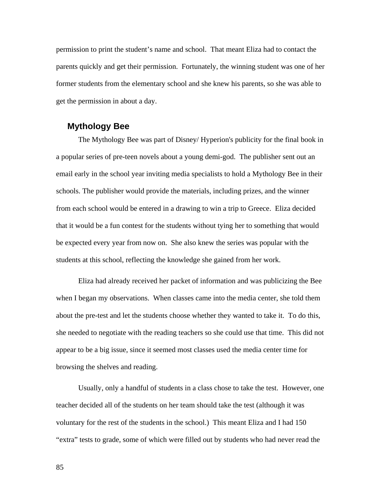permission to print the student's name and school. That meant Eliza had to contact the parents quickly and get their permission. Fortunately, the winning student was one of her former students from the elementary school and she knew his parents, so she was able to get the permission in about a day.

## **Mythology Bee**

The Mythology Bee was part of Disney/ Hyperion's publicity for the final book in a popular series of pre-teen novels about a young demi-god. The publisher sent out an email early in the school year inviting media specialists to hold a Mythology Bee in their schools. The publisher would provide the materials, including prizes, and the winner from each school would be entered in a drawing to win a trip to Greece. Eliza decided that it would be a fun contest for the students without tying her to something that would be expected every year from now on. She also knew the series was popular with the students at this school, reflecting the knowledge she gained from her work.

Eliza had already received her packet of information and was publicizing the Bee when I began my observations. When classes came into the media center, she told them about the pre-test and let the students choose whether they wanted to take it. To do this, she needed to negotiate with the reading teachers so she could use that time. This did not appear to be a big issue, since it seemed most classes used the media center time for browsing the shelves and reading.

Usually, only a handful of students in a class chose to take the test. However, one teacher decided all of the students on her team should take the test (although it was voluntary for the rest of the students in the school.) This meant Eliza and I had 150 "extra" tests to grade, some of which were filled out by students who had never read the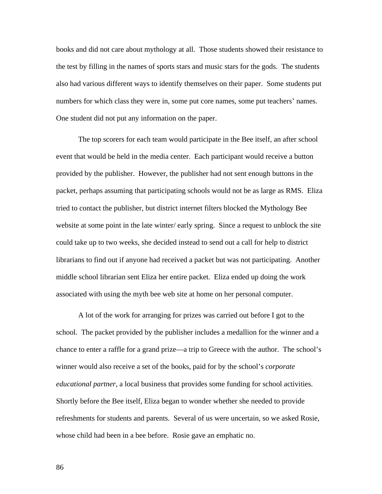books and did not care about mythology at all. Those students showed their resistance to the test by filling in the names of sports stars and music stars for the gods. The students also had various different ways to identify themselves on their paper. Some students put numbers for which class they were in, some put core names, some put teachers' names. One student did not put any information on the paper.

The top scorers for each team would participate in the Bee itself, an after school event that would be held in the media center. Each participant would receive a button provided by the publisher. However, the publisher had not sent enough buttons in the packet, perhaps assuming that participating schools would not be as large as RMS. Eliza tried to contact the publisher, but district internet filters blocked the Mythology Bee website at some point in the late winter/ early spring. Since a request to unblock the site could take up to two weeks, she decided instead to send out a call for help to district librarians to find out if anyone had received a packet but was not participating. Another middle school librarian sent Eliza her entire packet. Eliza ended up doing the work associated with using the myth bee web site at home on her personal computer.

A lot of the work for arranging for prizes was carried out before I got to the school. The packet provided by the publisher includes a medallion for the winner and a chance to enter a raffle for a grand prize—a trip to Greece with the author. The school's winner would also receive a set of the books, paid for by the school's *corporate educational partner,* a local business that provides some funding for school activities. Shortly before the Bee itself, Eliza began to wonder whether she needed to provide refreshments for students and parents. Several of us were uncertain, so we asked Rosie, whose child had been in a bee before. Rosie gave an emphatic no.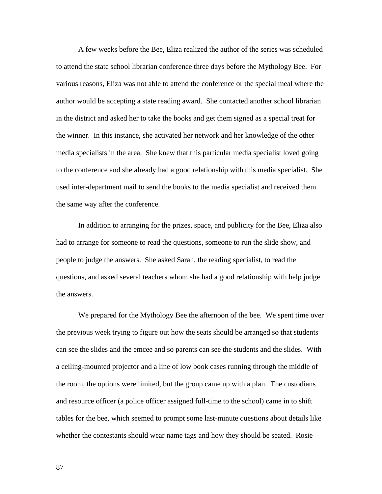A few weeks before the Bee, Eliza realized the author of the series was scheduled to attend the state school librarian conference three days before the Mythology Bee. For various reasons, Eliza was not able to attend the conference or the special meal where the author would be accepting a state reading award. She contacted another school librarian in the district and asked her to take the books and get them signed as a special treat for the winner. In this instance, she activated her network and her knowledge of the other media specialists in the area. She knew that this particular media specialist loved going to the conference and she already had a good relationship with this media specialist. She used inter-department mail to send the books to the media specialist and received them the same way after the conference.

In addition to arranging for the prizes, space, and publicity for the Bee, Eliza also had to arrange for someone to read the questions, someone to run the slide show, and people to judge the answers. She asked Sarah, the reading specialist, to read the questions, and asked several teachers whom she had a good relationship with help judge the answers.

We prepared for the Mythology Bee the afternoon of the bee. We spent time over the previous week trying to figure out how the seats should be arranged so that students can see the slides and the emcee and so parents can see the students and the slides. With a ceiling-mounted projector and a line of low book cases running through the middle of the room, the options were limited, but the group came up with a plan. The custodians and resource officer (a police officer assigned full-time to the school) came in to shift tables for the bee, which seemed to prompt some last-minute questions about details like whether the contestants should wear name tags and how they should be seated. Rosie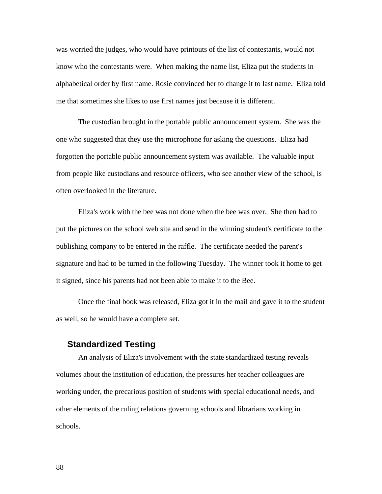was worried the judges, who would have printouts of the list of contestants, would not know who the contestants were. When making the name list, Eliza put the students in alphabetical order by first name. Rosie convinced her to change it to last name. Eliza told me that sometimes she likes to use first names just because it is different.

The custodian brought in the portable public announcement system. She was the one who suggested that they use the microphone for asking the questions. Eliza had forgotten the portable public announcement system was available. The valuable input from people like custodians and resource officers, who see another view of the school, is often overlooked in the literature.

Eliza's work with the bee was not done when the bee was over. She then had to put the pictures on the school web site and send in the winning student's certificate to the publishing company to be entered in the raffle. The certificate needed the parent's signature and had to be turned in the following Tuesday. The winner took it home to get it signed, since his parents had not been able to make it to the Bee.

Once the final book was released, Eliza got it in the mail and gave it to the student as well, so he would have a complete set.

## **Standardized Testing**

An analysis of Eliza's involvement with the state standardized testing reveals volumes about the institution of education, the pressures her teacher colleagues are working under, the precarious position of students with special educational needs, and other elements of the ruling relations governing schools and librarians working in schools.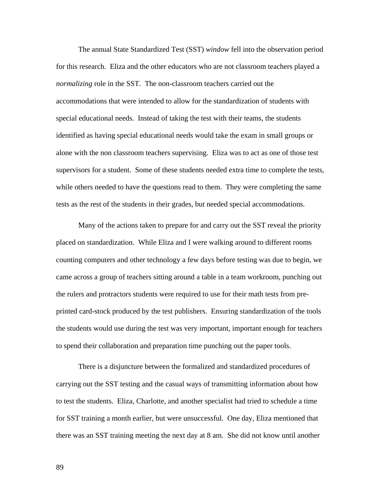The annual State Standardized Test (SST) *window* fell into the observation period for this research. Eliza and the other educators who are not classroom teachers played a *normalizing* role in the SST. The non-classroom teachers carried out the accommodations that were intended to allow for the standardization of students with special educational needs. Instead of taking the test with their teams, the students identified as having special educational needs would take the exam in small groups or alone with the non classroom teachers supervising. Eliza was to act as one of those test supervisors for a student. Some of these students needed extra time to complete the tests, while others needed to have the questions read to them. They were completing the same tests as the rest of the students in their grades, but needed special accommodations.

Many of the actions taken to prepare for and carry out the SST reveal the priority placed on standardization. While Eliza and I were walking around to different rooms counting computers and other technology a few days before testing was due to begin, we came across a group of teachers sitting around a table in a team workroom, punching out the rulers and protractors students were required to use for their math tests from preprinted card-stock produced by the test publishers. Ensuring standardization of the tools the students would use during the test was very important, important enough for teachers to spend their collaboration and preparation time punching out the paper tools.

There is a disjuncture between the formalized and standardized procedures of carrying out the SST testing and the casual ways of transmitting information about how to test the students. Eliza, Charlotte, and another specialist had tried to schedule a time for SST training a month earlier, but were unsuccessful. One day, Eliza mentioned that there was an SST training meeting the next day at 8 am. She did not know until another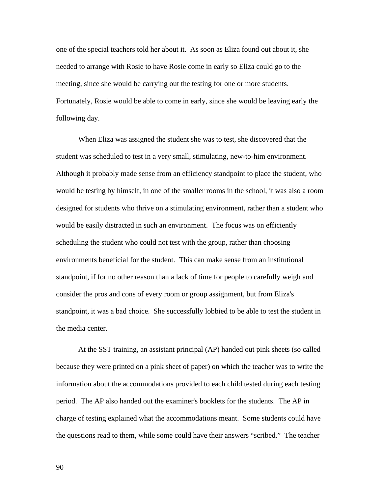one of the special teachers told her about it. As soon as Eliza found out about it, she needed to arrange with Rosie to have Rosie come in early so Eliza could go to the meeting, since she would be carrying out the testing for one or more students. Fortunately, Rosie would be able to come in early, since she would be leaving early the following day.

When Eliza was assigned the student she was to test, she discovered that the student was scheduled to test in a very small, stimulating, new-to-him environment. Although it probably made sense from an efficiency standpoint to place the student, who would be testing by himself, in one of the smaller rooms in the school, it was also a room designed for students who thrive on a stimulating environment, rather than a student who would be easily distracted in such an environment. The focus was on efficiently scheduling the student who could not test with the group, rather than choosing environments beneficial for the student. This can make sense from an institutional standpoint, if for no other reason than a lack of time for people to carefully weigh and consider the pros and cons of every room or group assignment, but from Eliza's standpoint, it was a bad choice. She successfully lobbied to be able to test the student in the media center.

At the SST training, an assistant principal (AP) handed out pink sheets (so called because they were printed on a pink sheet of paper) on which the teacher was to write the information about the accommodations provided to each child tested during each testing period. The AP also handed out the examiner's booklets for the students. The AP in charge of testing explained what the accommodations meant. Some students could have the questions read to them, while some could have their answers "scribed." The teacher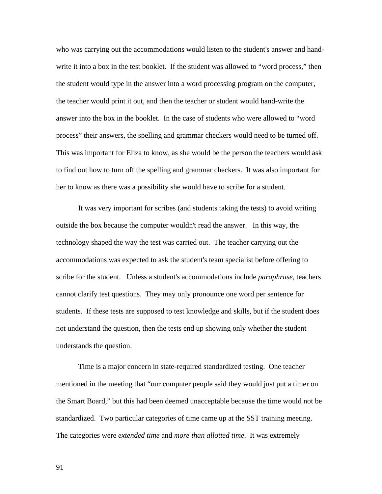who was carrying out the accommodations would listen to the student's answer and handwrite it into a box in the test booklet. If the student was allowed to "word process," then the student would type in the answer into a word processing program on the computer, the teacher would print it out, and then the teacher or student would hand-write the answer into the box in the booklet. In the case of students who were allowed to "word process" their answers, the spelling and grammar checkers would need to be turned off. This was important for Eliza to know, as she would be the person the teachers would ask to find out how to turn off the spelling and grammar checkers. It was also important for her to know as there was a possibility she would have to scribe for a student.

It was very important for scribes (and students taking the tests) to avoid writing outside the box because the computer wouldn't read the answer. In this way, the technology shaped the way the test was carried out. The teacher carrying out the accommodations was expected to ask the student's team specialist before offering to scribe for the student. Unless a student's accommodations include *paraphrase*, teachers cannot clarify test questions. They may only pronounce one word per sentence for students. If these tests are supposed to test knowledge and skills, but if the student does not understand the question, then the tests end up showing only whether the student understands the question.

Time is a major concern in state-required standardized testing. One teacher mentioned in the meeting that "our computer people said they would just put a timer on the Smart Board," but this had been deemed unacceptable because the time would not be standardized. Two particular categories of time came up at the SST training meeting. The categories were *extended time* and *more than allotted time*. It was extremely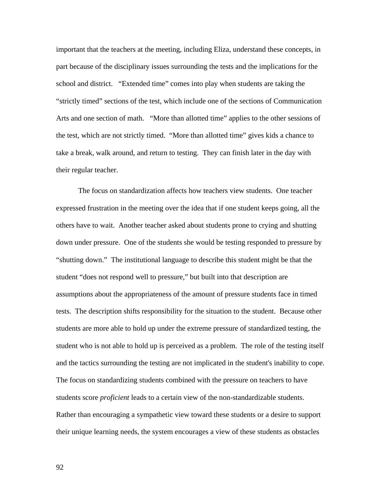important that the teachers at the meeting, including Eliza, understand these concepts, in part because of the disciplinary issues surrounding the tests and the implications for the school and district. "Extended time" comes into play when students are taking the "strictly timed" sections of the test, which include one of the sections of Communication Arts and one section of math. "More than allotted time" applies to the other sessions of the test, which are not strictly timed. "More than allotted time" gives kids a chance to take a break, walk around, and return to testing. They can finish later in the day with their regular teacher.

The focus on standardization affects how teachers view students. One teacher expressed frustration in the meeting over the idea that if one student keeps going, all the others have to wait. Another teacher asked about students prone to crying and shutting down under pressure. One of the students she would be testing responded to pressure by "shutting down." The institutional language to describe this student might be that the student "does not respond well to pressure," but built into that description are assumptions about the appropriateness of the amount of pressure students face in timed tests. The description shifts responsibility for the situation to the student. Because other students are more able to hold up under the extreme pressure of standardized testing, the student who is not able to hold up is perceived as a problem. The role of the testing itself and the tactics surrounding the testing are not implicated in the student's inability to cope. The focus on standardizing students combined with the pressure on teachers to have students score *proficient* leads to a certain view of the non-standardizable students. Rather than encouraging a sympathetic view toward these students or a desire to support their unique learning needs, the system encourages a view of these students as obstacles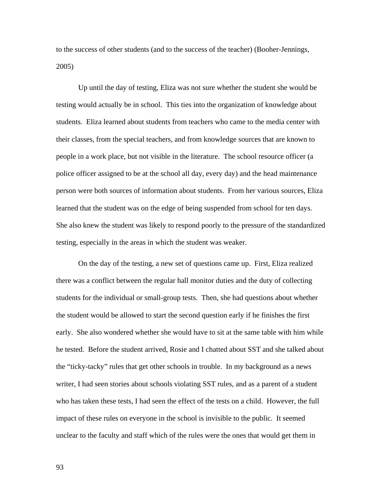to the success of other students (and to the success of the teacher) (Booher-Jennings, 2005)

Up until the day of testing, Eliza was not sure whether the student she would be testing would actually be in school. This ties into the organization of knowledge about students. Eliza learned about students from teachers who came to the media center with their classes, from the special teachers, and from knowledge sources that are known to people in a work place, but not visible in the literature. The school resource officer (a police officer assigned to be at the school all day, every day) and the head maintenance person were both sources of information about students. From her various sources, Eliza learned that the student was on the edge of being suspended from school for ten days. She also knew the student was likely to respond poorly to the pressure of the standardized testing, especially in the areas in which the student was weaker.

On the day of the testing, a new set of questions came up. First, Eliza realized there was a conflict between the regular hall monitor duties and the duty of collecting students for the individual or small-group tests. Then, she had questions about whether the student would be allowed to start the second question early if he finishes the first early. She also wondered whether she would have to sit at the same table with him while he tested. Before the student arrived, Rosie and I chatted about SST and she talked about the "ticky-tacky" rules that get other schools in trouble. In my background as a news writer, I had seen stories about schools violating SST rules, and as a parent of a student who has taken these tests, I had seen the effect of the tests on a child. However, the full impact of these rules on everyone in the school is invisible to the public. It seemed unclear to the faculty and staff which of the rules were the ones that would get them in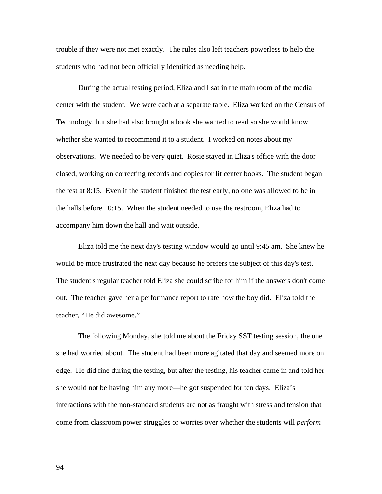trouble if they were not met exactly. The rules also left teachers powerless to help the students who had not been officially identified as needing help.

During the actual testing period, Eliza and I sat in the main room of the media center with the student. We were each at a separate table. Eliza worked on the Census of Technology, but she had also brought a book she wanted to read so she would know whether she wanted to recommend it to a student. I worked on notes about my observations. We needed to be very quiet. Rosie stayed in Eliza's office with the door closed, working on correcting records and copies for lit center books. The student began the test at 8:15. Even if the student finished the test early, no one was allowed to be in the halls before 10:15. When the student needed to use the restroom, Eliza had to accompany him down the hall and wait outside.

Eliza told me the next day's testing window would go until 9:45 am. She knew he would be more frustrated the next day because he prefers the subject of this day's test. The student's regular teacher told Eliza she could scribe for him if the answers don't come out. The teacher gave her a performance report to rate how the boy did. Eliza told the teacher, "He did awesome."

The following Monday, she told me about the Friday SST testing session, the one she had worried about. The student had been more agitated that day and seemed more on edge. He did fine during the testing, but after the testing, his teacher came in and told her she would not be having him any more—he got suspended for ten days. Eliza's interactions with the non-standard students are not as fraught with stress and tension that come from classroom power struggles or worries over whether the students will *perform*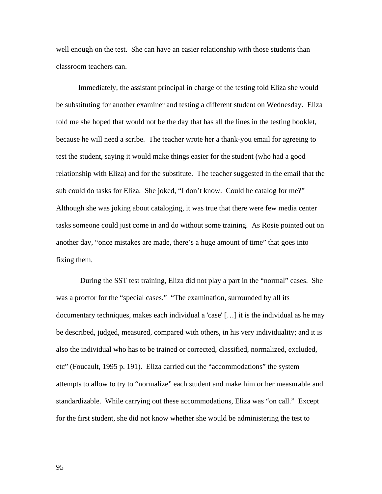well enough on the test. She can have an easier relationship with those students than classroom teachers can.

Immediately, the assistant principal in charge of the testing told Eliza she would be substituting for another examiner and testing a different student on Wednesday. Eliza told me she hoped that would not be the day that has all the lines in the testing booklet, because he will need a scribe. The teacher wrote her a thank-you email for agreeing to test the student, saying it would make things easier for the student (who had a good relationship with Eliza) and for the substitute. The teacher suggested in the email that the sub could do tasks for Eliza. She joked, "I don't know. Could he catalog for me?" Although she was joking about cataloging, it was true that there were few media center tasks someone could just come in and do without some training. As Rosie pointed out on another day, "once mistakes are made, there's a huge amount of time" that goes into fixing them.

 During the SST test training, Eliza did not play a part in the "normal" cases. She was a proctor for the "special cases." "The examination, surrounded by all its documentary techniques, makes each individual a 'case' […] it is the individual as he may be described, judged, measured, compared with others, in his very individuality; and it is also the individual who has to be trained or corrected, classified, normalized, excluded, etc" (Foucault, 1995 p. 191). Eliza carried out the "accommodations" the system attempts to allow to try to "normalize" each student and make him or her measurable and standardizable. While carrying out these accommodations, Eliza was "on call." Except for the first student, she did not know whether she would be administering the test to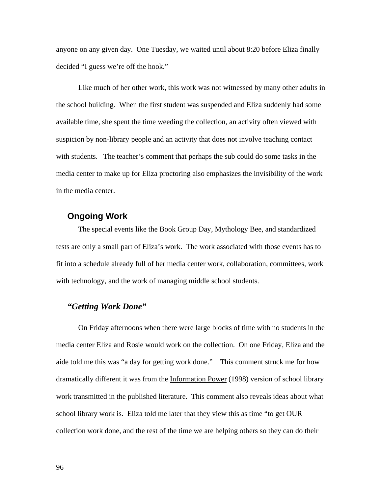anyone on any given day. One Tuesday, we waited until about 8:20 before Eliza finally decided "I guess we're off the hook."

Like much of her other work, this work was not witnessed by many other adults in the school building. When the first student was suspended and Eliza suddenly had some available time, she spent the time weeding the collection, an activity often viewed with suspicion by non-library people and an activity that does not involve teaching contact with students. The teacher's comment that perhaps the sub could do some tasks in the media center to make up for Eliza proctoring also emphasizes the invisibility of the work in the media center.

## **Ongoing Work**

The special events like the Book Group Day, Mythology Bee, and standardized tests are only a small part of Eliza's work. The work associated with those events has to fit into a schedule already full of her media center work, collaboration, committees, work with technology, and the work of managing middle school students.

# *"Getting Work Done"*

On Friday afternoons when there were large blocks of time with no students in the media center Eliza and Rosie would work on the collection. On one Friday, Eliza and the aide told me this was "a day for getting work done." This comment struck me for how dramatically different it was from the Information Power (1998) version of school library work transmitted in the published literature. This comment also reveals ideas about what school library work is. Eliza told me later that they view this as time "to get OUR collection work done, and the rest of the time we are helping others so they can do their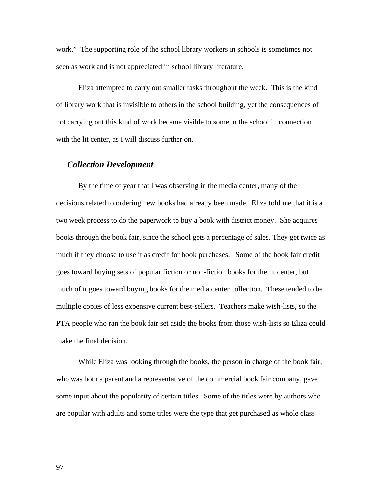work." The supporting role of the school library workers in schools is sometimes not seen as work and is not appreciated in school library literature.

Eliza attempted to carry out smaller tasks throughout the week. This is the kind of library work that is invisible to others in the school building, yet the consequences of not carrying out this kind of work became visible to some in the school in connection with the lit center, as I will discuss further on.

# *Collection Development*

By the time of year that I was observing in the media center, many of the decisions related to ordering new books had already been made. Eliza told me that it is a two week process to do the paperwork to buy a book with district money. She acquires books through the book fair, since the school gets a percentage of sales. They get twice as much if they choose to use it as credit for book purchases. Some of the book fair credit goes toward buying sets of popular fiction or non-fiction books for the lit center, but much of it goes toward buying books for the media center collection. These tended to be multiple copies of less expensive current best-sellers. Teachers make wish-lists, so the PTA people who ran the book fair set aside the books from those wish-lists so Eliza could make the final decision.

While Eliza was looking through the books, the person in charge of the book fair, who was both a parent and a representative of the commercial book fair company, gave some input about the popularity of certain titles. Some of the titles were by authors who are popular with adults and some titles were the type that get purchased as whole class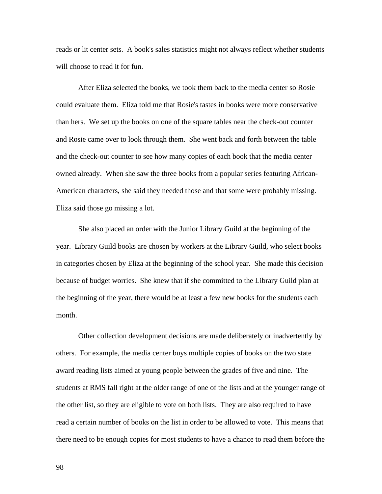reads or lit center sets. A book's sales statistics might not always reflect whether students will choose to read it for fun.

After Eliza selected the books, we took them back to the media center so Rosie could evaluate them. Eliza told me that Rosie's tastes in books were more conservative than hers. We set up the books on one of the square tables near the check-out counter and Rosie came over to look through them. She went back and forth between the table and the check-out counter to see how many copies of each book that the media center owned already. When she saw the three books from a popular series featuring African-American characters, she said they needed those and that some were probably missing. Eliza said those go missing a lot.

She also placed an order with the Junior Library Guild at the beginning of the year. Library Guild books are chosen by workers at the Library Guild, who select books in categories chosen by Eliza at the beginning of the school year. She made this decision because of budget worries. She knew that if she committed to the Library Guild plan at the beginning of the year, there would be at least a few new books for the students each month.

Other collection development decisions are made deliberately or inadvertently by others. For example, the media center buys multiple copies of books on the two state award reading lists aimed at young people between the grades of five and nine. The students at RMS fall right at the older range of one of the lists and at the younger range of the other list, so they are eligible to vote on both lists. They are also required to have read a certain number of books on the list in order to be allowed to vote. This means that there need to be enough copies for most students to have a chance to read them before the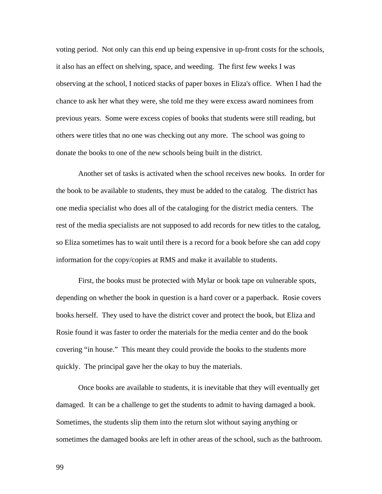voting period. Not only can this end up being expensive in up-front costs for the schools, it also has an effect on shelving, space, and weeding. The first few weeks I was observing at the school, I noticed stacks of paper boxes in Eliza's office. When I had the chance to ask her what they were, she told me they were excess award nominees from previous years. Some were excess copies of books that students were still reading, but others were titles that no one was checking out any more. The school was going to donate the books to one of the new schools being built in the district.

Another set of tasks is activated when the school receives new books. In order for the book to be available to students, they must be added to the catalog. The district has one media specialist who does all of the cataloging for the district media centers. The rest of the media specialists are not supposed to add records for new titles to the catalog, so Eliza sometimes has to wait until there is a record for a book before she can add copy information for the copy/copies at RMS and make it available to students.

First, the books must be protected with Mylar or book tape on vulnerable spots, depending on whether the book in question is a hard cover or a paperback. Rosie covers books herself. They used to have the district cover and protect the book, but Eliza and Rosie found it was faster to order the materials for the media center and do the book covering "in house." This meant they could provide the books to the students more quickly. The principal gave her the okay to buy the materials.

Once books are available to students, it is inevitable that they will eventually get damaged. It can be a challenge to get the students to admit to having damaged a book. Sometimes, the students slip them into the return slot without saying anything or sometimes the damaged books are left in other areas of the school, such as the bathroom.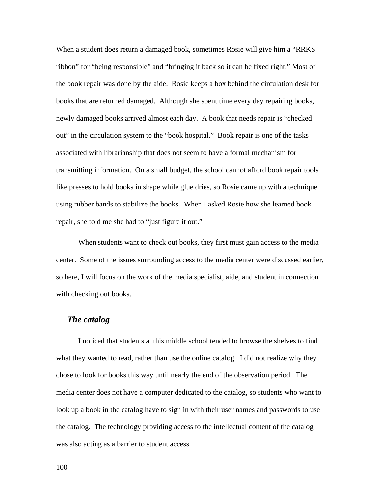When a student does return a damaged book, sometimes Rosie will give him a "RRKS" ribbon" for "being responsible" and "bringing it back so it can be fixed right." Most of the book repair was done by the aide. Rosie keeps a box behind the circulation desk for books that are returned damaged. Although she spent time every day repairing books, newly damaged books arrived almost each day. A book that needs repair is "checked out" in the circulation system to the "book hospital." Book repair is one of the tasks associated with librarianship that does not seem to have a formal mechanism for transmitting information. On a small budget, the school cannot afford book repair tools like presses to hold books in shape while glue dries, so Rosie came up with a technique using rubber bands to stabilize the books. When I asked Rosie how she learned book repair, she told me she had to "just figure it out."

When students want to check out books, they first must gain access to the media center. Some of the issues surrounding access to the media center were discussed earlier, so here, I will focus on the work of the media specialist, aide, and student in connection with checking out books.

#### *The catalog*

I noticed that students at this middle school tended to browse the shelves to find what they wanted to read, rather than use the online catalog. I did not realize why they chose to look for books this way until nearly the end of the observation period. The media center does not have a computer dedicated to the catalog, so students who want to look up a book in the catalog have to sign in with their user names and passwords to use the catalog. The technology providing access to the intellectual content of the catalog was also acting as a barrier to student access.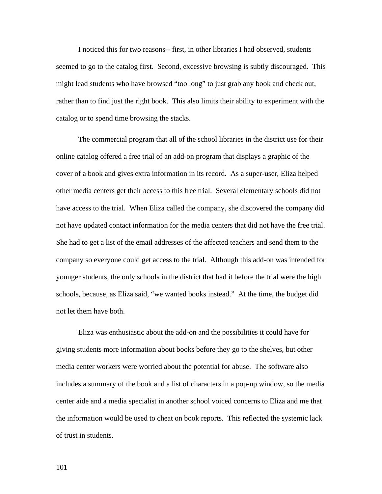I noticed this for two reasons-- first, in other libraries I had observed, students seemed to go to the catalog first. Second, excessive browsing is subtly discouraged. This might lead students who have browsed "too long" to just grab any book and check out, rather than to find just the right book. This also limits their ability to experiment with the catalog or to spend time browsing the stacks.

The commercial program that all of the school libraries in the district use for their online catalog offered a free trial of an add-on program that displays a graphic of the cover of a book and gives extra information in its record. As a super-user, Eliza helped other media centers get their access to this free trial. Several elementary schools did not have access to the trial. When Eliza called the company, she discovered the company did not have updated contact information for the media centers that did not have the free trial. She had to get a list of the email addresses of the affected teachers and send them to the company so everyone could get access to the trial. Although this add-on was intended for younger students, the only schools in the district that had it before the trial were the high schools, because, as Eliza said, "we wanted books instead." At the time, the budget did not let them have both.

Eliza was enthusiastic about the add-on and the possibilities it could have for giving students more information about books before they go to the shelves, but other media center workers were worried about the potential for abuse. The software also includes a summary of the book and a list of characters in a pop-up window, so the media center aide and a media specialist in another school voiced concerns to Eliza and me that the information would be used to cheat on book reports. This reflected the systemic lack of trust in students.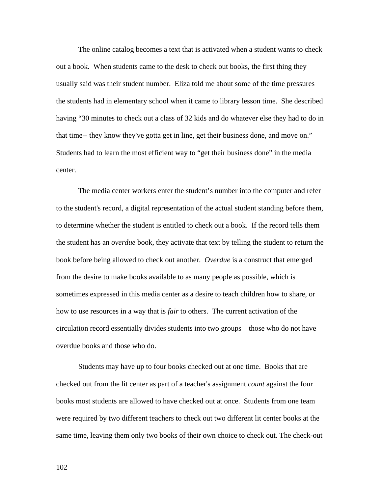The online catalog becomes a text that is activated when a student wants to check out a book. When students came to the desk to check out books, the first thing they usually said was their student number. Eliza told me about some of the time pressures the students had in elementary school when it came to library lesson time. She described having "30 minutes to check out a class of 32 kids and do whatever else they had to do in that time-- they know they've gotta get in line, get their business done, and move on." Students had to learn the most efficient way to "get their business done" in the media center.

The media center workers enter the student's number into the computer and refer to the student's record, a digital representation of the actual student standing before them, to determine whether the student is entitled to check out a book. If the record tells them the student has an *overdue* book, they activate that text by telling the student to return the book before being allowed to check out another. *Overdue* is a construct that emerged from the desire to make books available to as many people as possible, which is sometimes expressed in this media center as a desire to teach children how to share, or how to use resources in a way that is *fair* to others. The current activation of the circulation record essentially divides students into two groups—those who do not have overdue books and those who do.

Students may have up to four books checked out at one time. Books that are checked out from the lit center as part of a teacher's assignment *count* against the four books most students are allowed to have checked out at once. Students from one team were required by two different teachers to check out two different lit center books at the same time, leaving them only two books of their own choice to check out. The check-out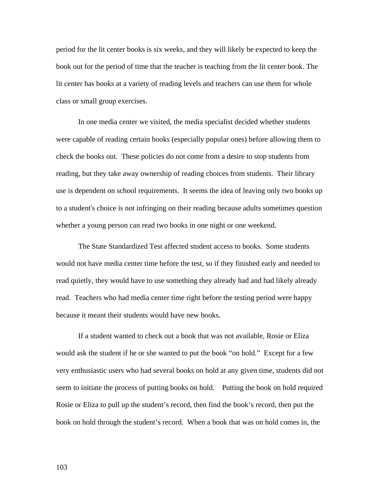period for the lit center books is six weeks, and they will likely be expected to keep the book out for the period of time that the teacher is teaching from the lit center book. The lit center has books at a variety of reading levels and teachers can use them for whole class or small group exercises.

In one media center we visited, the media specialist decided whether students were capable of reading certain books (especially popular ones) before allowing them to check the books out. These policies do not come from a desire to stop students from reading, but they take away ownership of reading choices from students. Their library use is dependent on school requirements. It seems the idea of leaving only two books up to a student's choice is not infringing on their reading because adults sometimes question whether a young person can read two books in one night or one weekend.

The State Standardized Test affected student access to books. Some students would not have media center time before the test, so if they finished early and needed to read quietly, they would have to use something they already had and had likely already read. Teachers who had media center time right before the testing period were happy because it meant their students would have new books.

If a student wanted to check out a book that was not available, Rosie or Eliza would ask the student if he or she wanted to put the book "on hold." Except for a few very enthusiastic users who had several books on hold at any given time, students did not seem to initiate the process of putting books on hold. Putting the book on hold required Rosie or Eliza to pull up the student's record, then find the book's record, then put the book on hold through the student's record. When a book that was on hold comes in, the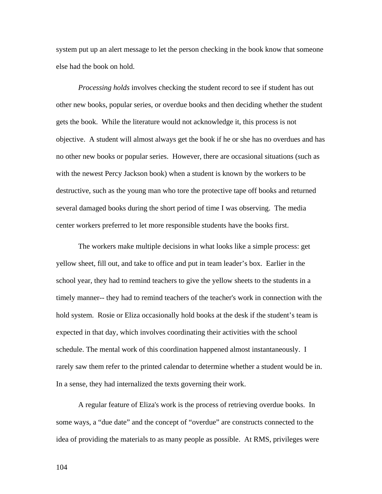system put up an alert message to let the person checking in the book know that someone else had the book on hold.

*Processing holds* involves checking the student record to see if student has out other new books, popular series, or overdue books and then deciding whether the student gets the book. While the literature would not acknowledge it, this process is not objective. A student will almost always get the book if he or she has no overdues and has no other new books or popular series. However, there are occasional situations (such as with the newest Percy Jackson book) when a student is known by the workers to be destructive, such as the young man who tore the protective tape off books and returned several damaged books during the short period of time I was observing. The media center workers preferred to let more responsible students have the books first.

The workers make multiple decisions in what looks like a simple process: get yellow sheet, fill out, and take to office and put in team leader's box. Earlier in the school year, they had to remind teachers to give the yellow sheets to the students in a timely manner-- they had to remind teachers of the teacher's work in connection with the hold system. Rosie or Eliza occasionally hold books at the desk if the student's team is expected in that day, which involves coordinating their activities with the school schedule. The mental work of this coordination happened almost instantaneously. I rarely saw them refer to the printed calendar to determine whether a student would be in. In a sense, they had internalized the texts governing their work.

A regular feature of Eliza's work is the process of retrieving overdue books. In some ways, a "due date" and the concept of "overdue" are constructs connected to the idea of providing the materials to as many people as possible. At RMS, privileges were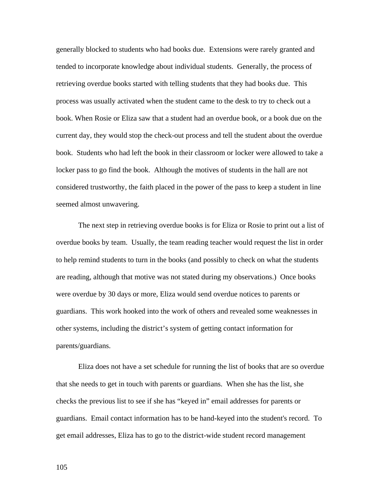generally blocked to students who had books due. Extensions were rarely granted and tended to incorporate knowledge about individual students. Generally, the process of retrieving overdue books started with telling students that they had books due. This process was usually activated when the student came to the desk to try to check out a book. When Rosie or Eliza saw that a student had an overdue book, or a book due on the current day, they would stop the check-out process and tell the student about the overdue book. Students who had left the book in their classroom or locker were allowed to take a locker pass to go find the book. Although the motives of students in the hall are not considered trustworthy, the faith placed in the power of the pass to keep a student in line seemed almost unwavering.

The next step in retrieving overdue books is for Eliza or Rosie to print out a list of overdue books by team. Usually, the team reading teacher would request the list in order to help remind students to turn in the books (and possibly to check on what the students are reading, although that motive was not stated during my observations.) Once books were overdue by 30 days or more, Eliza would send overdue notices to parents or guardians. This work hooked into the work of others and revealed some weaknesses in other systems, including the district's system of getting contact information for parents/guardians.

Eliza does not have a set schedule for running the list of books that are so overdue that she needs to get in touch with parents or guardians. When she has the list, she checks the previous list to see if she has "keyed in" email addresses for parents or guardians. Email contact information has to be hand-keyed into the student's record. To get email addresses, Eliza has to go to the district-wide student record management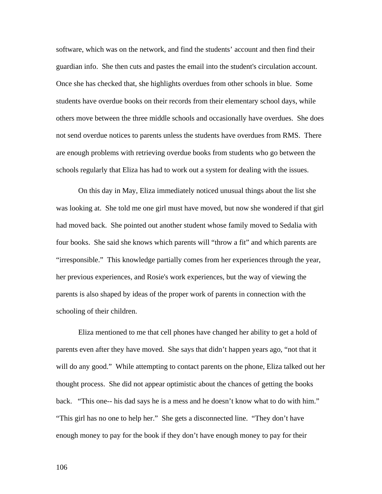software, which was on the network, and find the students' account and then find their guardian info. She then cuts and pastes the email into the student's circulation account. Once she has checked that, she highlights overdues from other schools in blue. Some students have overdue books on their records from their elementary school days, while others move between the three middle schools and occasionally have overdues. She does not send overdue notices to parents unless the students have overdues from RMS. There are enough problems with retrieving overdue books from students who go between the schools regularly that Eliza has had to work out a system for dealing with the issues.

On this day in May, Eliza immediately noticed unusual things about the list she was looking at. She told me one girl must have moved, but now she wondered if that girl had moved back. She pointed out another student whose family moved to Sedalia with four books. She said she knows which parents will "throw a fit" and which parents are "irresponsible." This knowledge partially comes from her experiences through the year, her previous experiences, and Rosie's work experiences, but the way of viewing the parents is also shaped by ideas of the proper work of parents in connection with the schooling of their children.

Eliza mentioned to me that cell phones have changed her ability to get a hold of parents even after they have moved. She says that didn't happen years ago, "not that it will do any good." While attempting to contact parents on the phone, Eliza talked out her thought process. She did not appear optimistic about the chances of getting the books back. "This one-- his dad says he is a mess and he doesn't know what to do with him." "This girl has no one to help her." She gets a disconnected line. "They don't have enough money to pay for the book if they don't have enough money to pay for their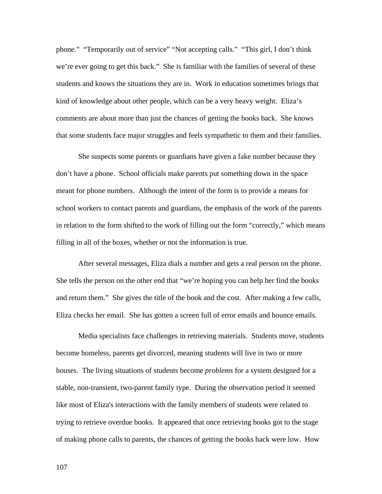phone." "Temporarily out of service" "Not accepting calls." "This girl, I don't think we're ever going to get this back." She is familiar with the families of several of these students and knows the situations they are in. Work in education sometimes brings that kind of knowledge about other people, which can be a very heavy weight. Eliza's comments are about more than just the chances of getting the books back. She knows that some students face major struggles and feels sympathetic to them and their families.

She suspects some parents or guardians have given a fake number because they don't have a phone. School officials make parents put something down in the space meant for phone numbers. Although the intent of the form is to provide a means for school workers to contact parents and guardians, the emphasis of the work of the parents in relation to the form shifted to the work of filling out the form "correctly," which means filling in all of the boxes, whether or not the information is true.

After several messages, Eliza dials a number and gets a real person on the phone. She tells the person on the other end that "we're hoping you can help her find the books and return them." She gives the title of the book and the cost. After making a few calls, Eliza checks her email. She has gotten a screen full of error emails and bounce emails.

Media specialists face challenges in retrieving materials. Students move, students become homeless, parents get divorced, meaning students will live in two or more houses. The living situations of students become *problems* for a system designed for a stable, non-transient, two-parent family type. During the observation period it seemed like most of Eliza's interactions with the family members of students were related to trying to retrieve overdue books. It appeared that once retrieving books got to the stage of making phone calls to parents, the chances of getting the books back were low. How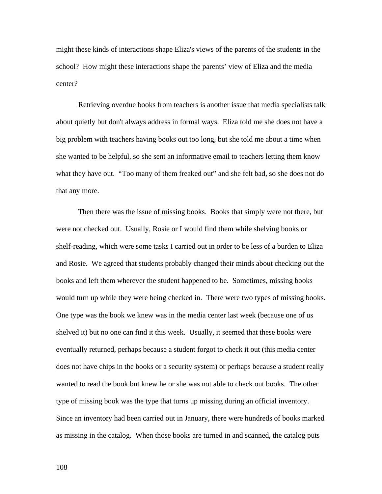might these kinds of interactions shape Eliza's views of the parents of the students in the school? How might these interactions shape the parents' view of Eliza and the media center?

Retrieving overdue books from teachers is another issue that media specialists talk about quietly but don't always address in formal ways. Eliza told me she does not have a big problem with teachers having books out too long, but she told me about a time when she wanted to be helpful, so she sent an informative email to teachers letting them know what they have out. "Too many of them freaked out" and she felt bad, so she does not do that any more.

Then there was the issue of missing books. Books that simply were not there, but were not checked out. Usually, Rosie or I would find them while shelving books or shelf-reading, which were some tasks I carried out in order to be less of a burden to Eliza and Rosie. We agreed that students probably changed their minds about checking out the books and left them wherever the student happened to be. Sometimes, missing books would turn up while they were being checked in. There were two types of missing books. One type was the book we knew was in the media center last week (because one of us shelved it) but no one can find it this week. Usually, it seemed that these books were eventually returned, perhaps because a student forgot to check it out (this media center does not have chips in the books or a security system) or perhaps because a student really wanted to read the book but knew he or she was not able to check out books. The other type of missing book was the type that turns up missing during an official inventory. Since an inventory had been carried out in January, there were hundreds of books marked as missing in the catalog. When those books are turned in and scanned, the catalog puts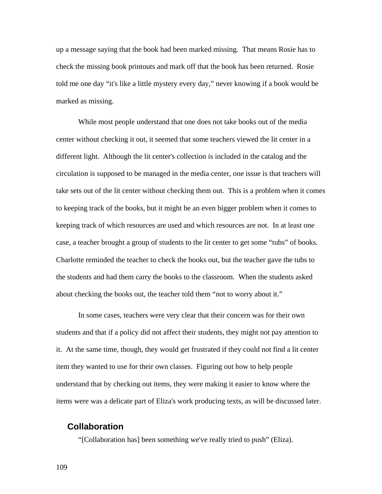up a message saying that the book had been marked missing. That means Rosie has to check the missing book printouts and mark off that the book has been returned. Rosie told me one day "it's like a little mystery every day," never knowing if a book would be marked as missing.

While most people understand that one does not take books out of the media center without checking it out, it seemed that some teachers viewed the lit center in a different light. Although the lit center's collection is included in the catalog and the circulation is supposed to be managed in the media center, one issue is that teachers will take sets out of the lit center without checking them out. This is a problem when it comes to keeping track of the books, but it might be an even bigger problem when it comes to keeping track of which resources are used and which resources are not. In at least one case, a teacher brought a group of students to the lit center to get some "tubs" of books. Charlotte reminded the teacher to check the books out, but the teacher gave the tubs to the students and had them carry the books to the classroom. When the students asked about checking the books out, the teacher told them "not to worry about it."

In some cases, teachers were very clear that their concern was for their own students and that if a policy did not affect their students, they might not pay attention to it. At the same time, though, they would get frustrated if they could not find a lit center item they wanted to use for their own classes. Figuring out how to help people understand that by checking out items, they were making it easier to know where the items were was a delicate part of Eliza's work producing texts, as will be discussed later.

# **Collaboration**

"[Collaboration has] been something we've really tried to push" (Eliza).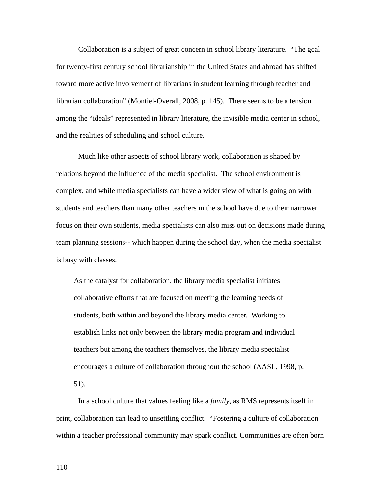Collaboration is a subject of great concern in school library literature. "The goal for twenty-first century school librarianship in the United States and abroad has shifted toward more active involvement of librarians in student learning through teacher and librarian collaboration" (Montiel-Overall, 2008, p. 145). There seems to be a tension among the "ideals" represented in library literature, the invisible media center in school, and the realities of scheduling and school culture.

Much like other aspects of school library work, collaboration is shaped by relations beyond the influence of the media specialist. The school environment is complex, and while media specialists can have a wider view of what is going on with students and teachers than many other teachers in the school have due to their narrower focus on their own students, media specialists can also miss out on decisions made during team planning sessions-- which happen during the school day, when the media specialist is busy with classes.

As the catalyst for collaboration, the library media specialist initiates collaborative efforts that are focused on meeting the learning needs of students, both within and beyond the library media center. Working to establish links not only between the library media program and individual teachers but among the teachers themselves, the library media specialist encourages a culture of collaboration throughout the school (AASL, 1998, p. 51).

In a school culture that values feeling like a *family*, as RMS represents itself in print, collaboration can lead to unsettling conflict. "Fostering a culture of collaboration within a teacher professional community may spark conflict. Communities are often born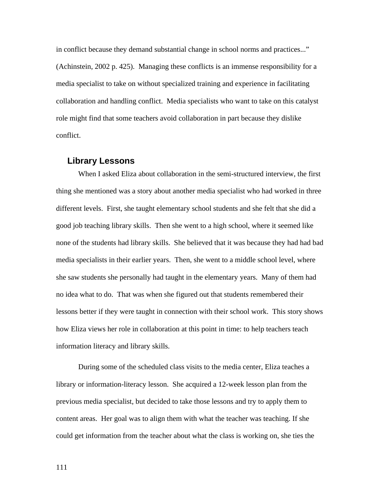in conflict because they demand substantial change in school norms and practices..." (Achinstein, 2002 p. 425). Managing these conflicts is an immense responsibility for a media specialist to take on without specialized training and experience in facilitating collaboration and handling conflict. Media specialists who want to take on this catalyst role might find that some teachers avoid collaboration in part because they dislike conflict.

#### **Library Lessons**

When I asked Eliza about collaboration in the semi-structured interview, the first thing she mentioned was a story about another media specialist who had worked in three different levels. First, she taught elementary school students and she felt that she did a good job teaching library skills. Then she went to a high school, where it seemed like none of the students had library skills. She believed that it was because they had had bad media specialists in their earlier years. Then, she went to a middle school level, where she saw students she personally had taught in the elementary years. Many of them had no idea what to do. That was when she figured out that students remembered their lessons better if they were taught in connection with their school work. This story shows how Eliza views her role in collaboration at this point in time: to help teachers teach information literacy and library skills.

During some of the scheduled class visits to the media center, Eliza teaches a library or information-literacy lesson. She acquired a 12-week lesson plan from the previous media specialist, but decided to take those lessons and try to apply them to content areas. Her goal was to align them with what the teacher was teaching. If she could get information from the teacher about what the class is working on, she ties the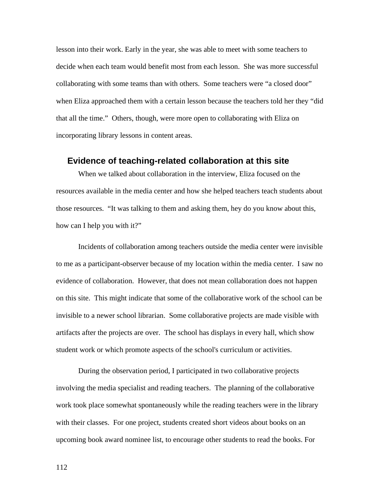lesson into their work. Early in the year, she was able to meet with some teachers to decide when each team would benefit most from each lesson. She was more successful collaborating with some teams than with others. Some teachers were "a closed door" when Eliza approached them with a certain lesson because the teachers told her they "did that all the time." Others, though, were more open to collaborating with Eliza on incorporating library lessons in content areas.

#### **Evidence of teaching-related collaboration at this site**

When we talked about collaboration in the interview, Eliza focused on the resources available in the media center and how she helped teachers teach students about those resources. "It was talking to them and asking them, hey do you know about this, how can I help you with it?"

Incidents of collaboration among teachers outside the media center were invisible to me as a participant-observer because of my location within the media center. I saw no evidence of collaboration. However, that does not mean collaboration does not happen on this site. This might indicate that some of the collaborative work of the school can be invisible to a newer school librarian. Some collaborative projects are made visible with artifacts after the projects are over. The school has displays in every hall, which show student work or which promote aspects of the school's curriculum or activities.

During the observation period, I participated in two collaborative projects involving the media specialist and reading teachers. The planning of the collaborative work took place somewhat spontaneously while the reading teachers were in the library with their classes. For one project, students created short videos about books on an upcoming book award nominee list, to encourage other students to read the books. For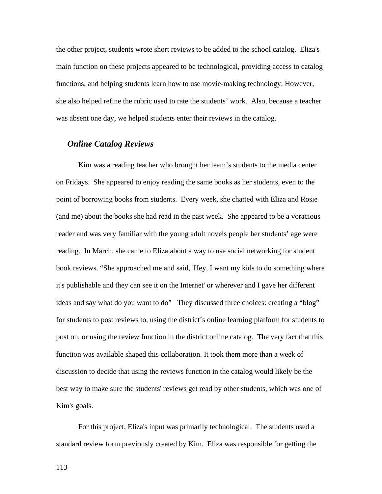the other project, students wrote short reviews to be added to the school catalog. Eliza's main function on these projects appeared to be technological, providing access to catalog functions, and helping students learn how to use movie-making technology. However, she also helped refine the rubric used to rate the students' work. Also, because a teacher was absent one day, we helped students enter their reviews in the catalog.

### *Online Catalog Reviews*

Kim was a reading teacher who brought her team's students to the media center on Fridays. She appeared to enjoy reading the same books as her students, even to the point of borrowing books from students. Every week, she chatted with Eliza and Rosie (and me) about the books she had read in the past week. She appeared to be a voracious reader and was very familiar with the young adult novels people her students' age were reading. In March, she came to Eliza about a way to use social networking for student book reviews. "She approached me and said, 'Hey, I want my kids to do something where it's publishable and they can see it on the Internet' or wherever and I gave her different ideas and say what do you want to do" They discussed three choices: creating a "blog" for students to post reviews to, using the district's online learning platform for students to post on, or using the review function in the district online catalog. The very fact that this function was available shaped this collaboration. It took them more than a week of discussion to decide that using the reviews function in the catalog would likely be the best way to make sure the students' reviews get read by other students, which was one of Kim's goals.

For this project, Eliza's input was primarily technological. The students used a standard review form previously created by Kim. Eliza was responsible for getting the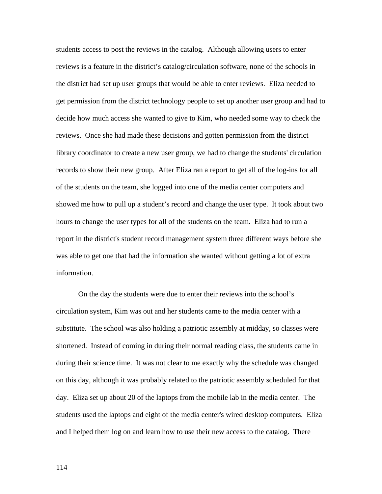students access to post the reviews in the catalog. Although allowing users to enter reviews is a feature in the district's catalog/circulation software, none of the schools in the district had set up user groups that would be able to enter reviews. Eliza needed to get permission from the district technology people to set up another user group and had to decide how much access she wanted to give to Kim, who needed some way to check the reviews. Once she had made these decisions and gotten permission from the district library coordinator to create a new user group, we had to change the students' circulation records to show their new group. After Eliza ran a report to get all of the log-ins for all of the students on the team, she logged into one of the media center computers and showed me how to pull up a student's record and change the user type. It took about two hours to change the user types for all of the students on the team. Eliza had to run a report in the district's student record management system three different ways before she was able to get one that had the information she wanted without getting a lot of extra information.

On the day the students were due to enter their reviews into the school's circulation system, Kim was out and her students came to the media center with a substitute. The school was also holding a patriotic assembly at midday, so classes were shortened. Instead of coming in during their normal reading class, the students came in during their science time. It was not clear to me exactly why the schedule was changed on this day, although it was probably related to the patriotic assembly scheduled for that day. Eliza set up about 20 of the laptops from the mobile lab in the media center. The students used the laptops and eight of the media center's wired desktop computers. Eliza and I helped them log on and learn how to use their new access to the catalog. There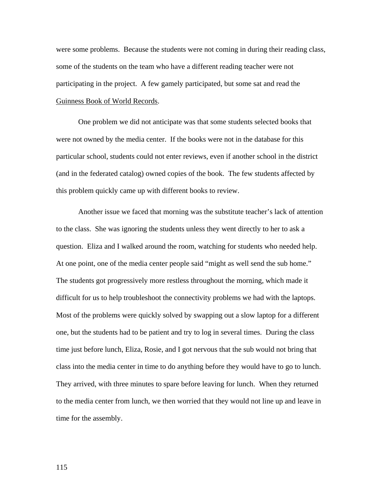were some problems. Because the students were not coming in during their reading class, some of the students on the team who have a different reading teacher were not participating in the project. A few gamely participated, but some sat and read the Guinness Book of World Records.

One problem we did not anticipate was that some students selected books that were not owned by the media center. If the books were not in the database for this particular school, students could not enter reviews, even if another school in the district (and in the federated catalog) owned copies of the book. The few students affected by this problem quickly came up with different books to review.

Another issue we faced that morning was the substitute teacher's lack of attention to the class. She was ignoring the students unless they went directly to her to ask a question. Eliza and I walked around the room, watching for students who needed help. At one point, one of the media center people said "might as well send the sub home." The students got progressively more restless throughout the morning, which made it difficult for us to help troubleshoot the connectivity problems we had with the laptops. Most of the problems were quickly solved by swapping out a slow laptop for a different one, but the students had to be patient and try to log in several times. During the class time just before lunch, Eliza, Rosie, and I got nervous that the sub would not bring that class into the media center in time to do anything before they would have to go to lunch. They arrived, with three minutes to spare before leaving for lunch. When they returned to the media center from lunch, we then worried that they would not line up and leave in time for the assembly.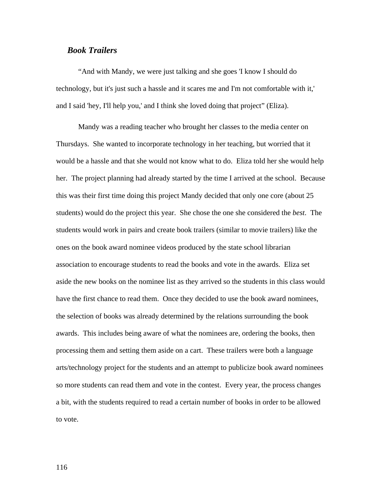## *Book Trailers*

"And with Mandy, we were just talking and she goes 'I know I should do technology, but it's just such a hassle and it scares me and I'm not comfortable with it,' and I said 'hey, I'll help you,' and I think she loved doing that project" (Eliza).

Mandy was a reading teacher who brought her classes to the media center on Thursdays. She wanted to incorporate technology in her teaching, but worried that it would be a hassle and that she would not know what to do. Eliza told her she would help her. The project planning had already started by the time I arrived at the school. Because this was their first time doing this project Mandy decided that only one core (about 25 students) would do the project this year. She chose the one she considered the *best*. The students would work in pairs and create book trailers (similar to movie trailers) like the ones on the book award nominee videos produced by the state school librarian association to encourage students to read the books and vote in the awards. Eliza set aside the new books on the nominee list as they arrived so the students in this class would have the first chance to read them. Once they decided to use the book award nominees, the selection of books was already determined by the relations surrounding the book awards. This includes being aware of what the nominees are, ordering the books, then processing them and setting them aside on a cart. These trailers were both a language arts/technology project for the students and an attempt to publicize book award nominees so more students can read them and vote in the contest. Every year, the process changes a bit, with the students required to read a certain number of books in order to be allowed to vote.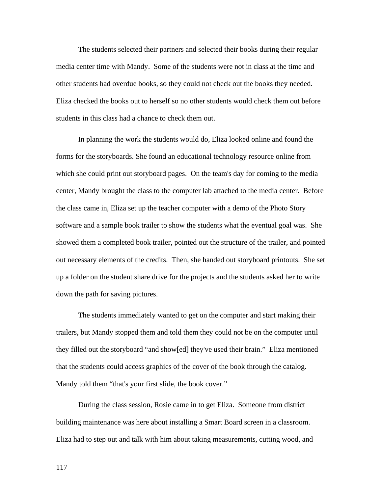The students selected their partners and selected their books during their regular media center time with Mandy. Some of the students were not in class at the time and other students had overdue books, so they could not check out the books they needed. Eliza checked the books out to herself so no other students would check them out before students in this class had a chance to check them out.

In planning the work the students would do, Eliza looked online and found the forms for the storyboards. She found an educational technology resource online from which she could print out storyboard pages. On the team's day for coming to the media center, Mandy brought the class to the computer lab attached to the media center. Before the class came in, Eliza set up the teacher computer with a demo of the Photo Story software and a sample book trailer to show the students what the eventual goal was. She showed them a completed book trailer, pointed out the structure of the trailer, and pointed out necessary elements of the credits. Then, she handed out storyboard printouts. She set up a folder on the student share drive for the projects and the students asked her to write down the path for saving pictures.

The students immediately wanted to get on the computer and start making their trailers, but Mandy stopped them and told them they could not be on the computer until they filled out the storyboard "and show[ed] they've used their brain." Eliza mentioned that the students could access graphics of the cover of the book through the catalog. Mandy told them "that's your first slide, the book cover."

During the class session, Rosie came in to get Eliza. Someone from district building maintenance was here about installing a Smart Board screen in a classroom. Eliza had to step out and talk with him about taking measurements, cutting wood, and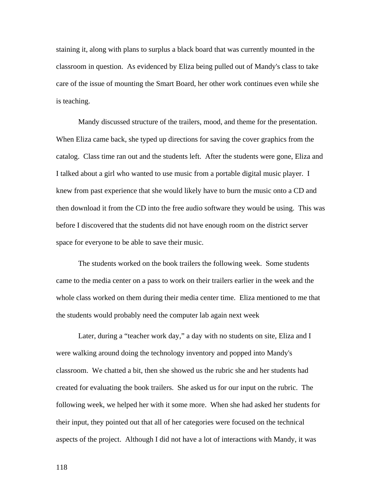staining it, along with plans to surplus a black board that was currently mounted in the classroom in question. As evidenced by Eliza being pulled out of Mandy's class to take care of the issue of mounting the Smart Board, her other work continues even while she is teaching.

Mandy discussed structure of the trailers, mood, and theme for the presentation. When Eliza came back, she typed up directions for saving the cover graphics from the catalog. Class time ran out and the students left. After the students were gone, Eliza and I talked about a girl who wanted to use music from a portable digital music player. I knew from past experience that she would likely have to burn the music onto a CD and then download it from the CD into the free audio software they would be using. This was before I discovered that the students did not have enough room on the district server space for everyone to be able to save their music.

The students worked on the book trailers the following week. Some students came to the media center on a pass to work on their trailers earlier in the week and the whole class worked on them during their media center time. Eliza mentioned to me that the students would probably need the computer lab again next week

Later, during a "teacher work day," a day with no students on site, Eliza and I were walking around doing the technology inventory and popped into Mandy's classroom. We chatted a bit, then she showed us the rubric she and her students had created for evaluating the book trailers. She asked us for our input on the rubric. The following week, we helped her with it some more. When she had asked her students for their input, they pointed out that all of her categories were focused on the technical aspects of the project. Although I did not have a lot of interactions with Mandy, it was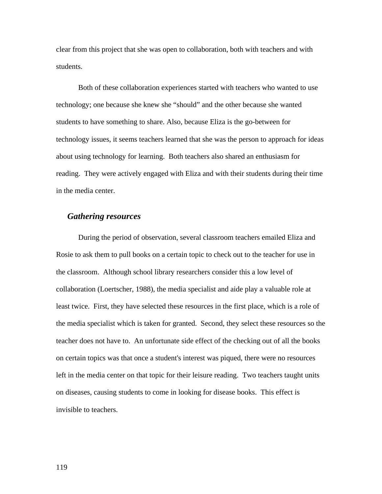clear from this project that she was open to collaboration, both with teachers and with students.

Both of these collaboration experiences started with teachers who wanted to use technology; one because she knew she "should" and the other because she wanted students to have something to share. Also, because Eliza is the go-between for technology issues, it seems teachers learned that she was the person to approach for ideas about using technology for learning. Both teachers also shared an enthusiasm for reading. They were actively engaged with Eliza and with their students during their time in the media center.

#### *Gathering resources*

During the period of observation, several classroom teachers emailed Eliza and Rosie to ask them to pull books on a certain topic to check out to the teacher for use in the classroom. Although school library researchers consider this a low level of collaboration (Loertscher, 1988), the media specialist and aide play a valuable role at least twice. First, they have selected these resources in the first place, which is a role of the media specialist which is taken for granted. Second, they select these resources so the teacher does not have to. An unfortunate side effect of the checking out of all the books on certain topics was that once a student's interest was piqued, there were no resources left in the media center on that topic for their leisure reading. Two teachers taught units on diseases, causing students to come in looking for disease books. This effect is invisible to teachers.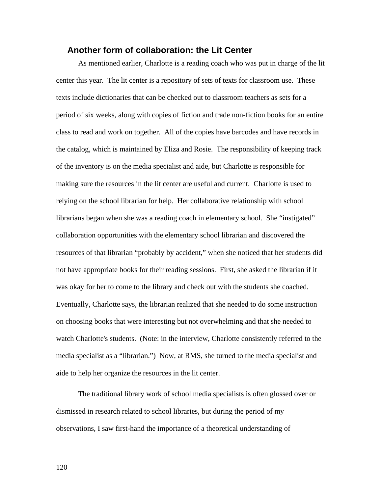## **Another form of collaboration: the Lit Center**

As mentioned earlier, Charlotte is a reading coach who was put in charge of the lit center this year. The lit center is a repository of sets of texts for classroom use. These texts include dictionaries that can be checked out to classroom teachers as sets for a period of six weeks, along with copies of fiction and trade non-fiction books for an entire class to read and work on together. All of the copies have barcodes and have records in the catalog, which is maintained by Eliza and Rosie. The responsibility of keeping track of the inventory is on the media specialist and aide, but Charlotte is responsible for making sure the resources in the lit center are useful and current. Charlotte is used to relying on the school librarian for help. Her collaborative relationship with school librarians began when she was a reading coach in elementary school. She "instigated" collaboration opportunities with the elementary school librarian and discovered the resources of that librarian "probably by accident," when she noticed that her students did not have appropriate books for their reading sessions. First, she asked the librarian if it was okay for her to come to the library and check out with the students she coached. Eventually, Charlotte says, the librarian realized that she needed to do some instruction on choosing books that were interesting but not overwhelming and that she needed to watch Charlotte's students. (Note: in the interview, Charlotte consistently referred to the media specialist as a "librarian.") Now, at RMS, she turned to the media specialist and aide to help her organize the resources in the lit center.

The traditional library work of school media specialists is often glossed over or dismissed in research related to school libraries, but during the period of my observations, I saw first-hand the importance of a theoretical understanding of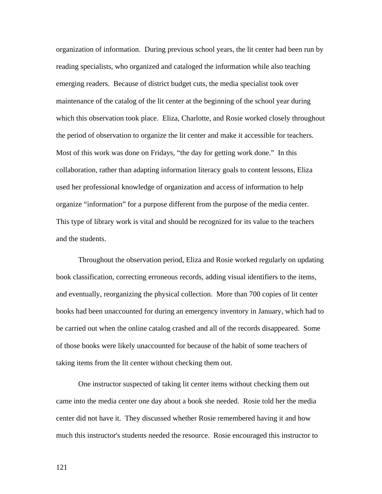organization of information. During previous school years, the lit center had been run by reading specialists, who organized and cataloged the information while also teaching emerging readers. Because of district budget cuts, the media specialist took over maintenance of the catalog of the lit center at the beginning of the school year during which this observation took place. Eliza, Charlotte, and Rosie worked closely throughout the period of observation to organize the lit center and make it accessible for teachers. Most of this work was done on Fridays, "the day for getting work done." In this collaboration, rather than adapting information literacy goals to content lessons, Eliza used her professional knowledge of organization and access of information to help organize "information" for a purpose different from the purpose of the media center. This type of library work is vital and should be recognized for its value to the teachers and the students.

Throughout the observation period, Eliza and Rosie worked regularly on updating book classification, correcting erroneous records, adding visual identifiers to the items, and eventually, reorganizing the physical collection. More than 700 copies of lit center books had been unaccounted for during an emergency inventory in January, which had to be carried out when the online catalog crashed and all of the records disappeared. Some of those books were likely unaccounted for because of the habit of some teachers of taking items from the lit center without checking them out.

One instructor suspected of taking lit center items without checking them out came into the media center one day about a book she needed. Rosie told her the media center did not have it. They discussed whether Rosie remembered having it and how much this instructor's students needed the resource. Rosie encouraged this instructor to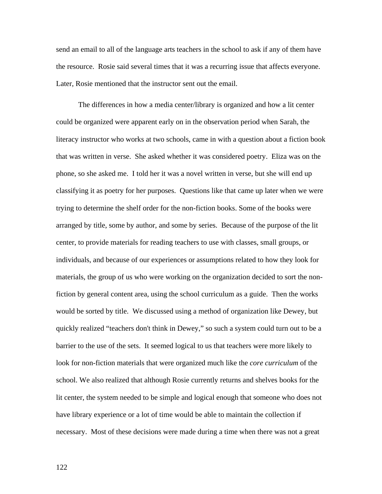send an email to all of the language arts teachers in the school to ask if any of them have the resource. Rosie said several times that it was a recurring issue that affects everyone. Later, Rosie mentioned that the instructor sent out the email.

The differences in how a media center/library is organized and how a lit center could be organized were apparent early on in the observation period when Sarah, the literacy instructor who works at two schools, came in with a question about a fiction book that was written in verse. She asked whether it was considered poetry. Eliza was on the phone, so she asked me. I told her it was a novel written in verse, but she will end up classifying it as poetry for her purposes. Questions like that came up later when we were trying to determine the shelf order for the non-fiction books. Some of the books were arranged by title, some by author, and some by series. Because of the purpose of the lit center, to provide materials for reading teachers to use with classes, small groups, or individuals, and because of our experiences or assumptions related to how they look for materials, the group of us who were working on the organization decided to sort the nonfiction by general content area, using the school curriculum as a guide. Then the works would be sorted by title. We discussed using a method of organization like Dewey, but quickly realized "teachers don't think in Dewey," so such a system could turn out to be a barrier to the use of the sets. It seemed logical to us that teachers were more likely to look for non-fiction materials that were organized much like the *core curriculum* of the school. We also realized that although Rosie currently returns and shelves books for the lit center, the system needed to be simple and logical enough that someone who does not have library experience or a lot of time would be able to maintain the collection if necessary. Most of these decisions were made during a time when there was not a great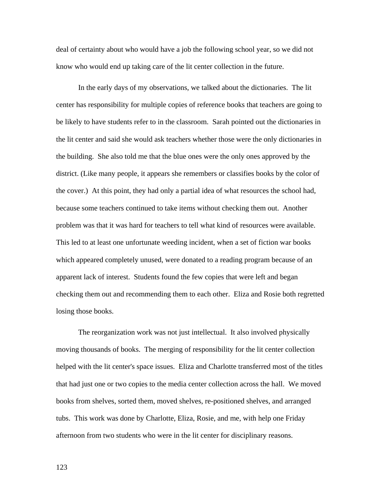deal of certainty about who would have a job the following school year, so we did not know who would end up taking care of the lit center collection in the future.

In the early days of my observations, we talked about the dictionaries. The lit center has responsibility for multiple copies of reference books that teachers are going to be likely to have students refer to in the classroom. Sarah pointed out the dictionaries in the lit center and said she would ask teachers whether those were the only dictionaries in the building. She also told me that the blue ones were the only ones approved by the district. (Like many people, it appears she remembers or classifies books by the color of the cover.) At this point, they had only a partial idea of what resources the school had, because some teachers continued to take items without checking them out. Another problem was that it was hard for teachers to tell what kind of resources were available. This led to at least one unfortunate weeding incident, when a set of fiction war books which appeared completely unused, were donated to a reading program because of an apparent lack of interest. Students found the few copies that were left and began checking them out and recommending them to each other. Eliza and Rosie both regretted losing those books.

The reorganization work was not just intellectual. It also involved physically moving thousands of books. The merging of responsibility for the lit center collection helped with the lit center's space issues. Eliza and Charlotte transferred most of the titles that had just one or two copies to the media center collection across the hall. We moved books from shelves, sorted them, moved shelves, re-positioned shelves, and arranged tubs. This work was done by Charlotte, Eliza, Rosie, and me, with help one Friday afternoon from two students who were in the lit center for disciplinary reasons.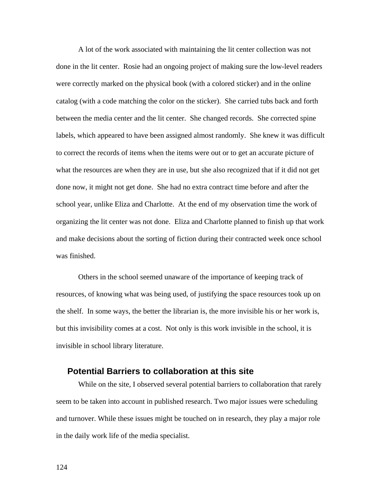A lot of the work associated with maintaining the lit center collection was not done in the lit center. Rosie had an ongoing project of making sure the low-level readers were correctly marked on the physical book (with a colored sticker) and in the online catalog (with a code matching the color on the sticker). She carried tubs back and forth between the media center and the lit center. She changed records. She corrected spine labels, which appeared to have been assigned almost randomly. She knew it was difficult to correct the records of items when the items were out or to get an accurate picture of what the resources are when they are in use, but she also recognized that if it did not get done now, it might not get done. She had no extra contract time before and after the school year, unlike Eliza and Charlotte. At the end of my observation time the work of organizing the lit center was not done. Eliza and Charlotte planned to finish up that work and make decisions about the sorting of fiction during their contracted week once school was finished.

Others in the school seemed unaware of the importance of keeping track of resources, of knowing what was being used, of justifying the space resources took up on the shelf. In some ways, the better the librarian is, the more invisible his or her work is, but this invisibility comes at a cost. Not only is this work invisible in the school, it is invisible in school library literature.

# **Potential Barriers to collaboration at this site**

While on the site, I observed several potential barriers to collaboration that rarely seem to be taken into account in published research. Two major issues were scheduling and turnover. While these issues might be touched on in research, they play a major role in the daily work life of the media specialist.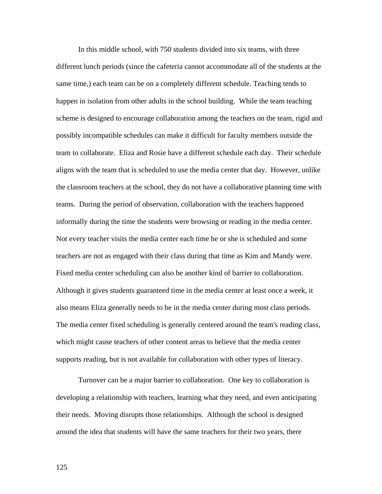In this middle school, with 750 students divided into six teams, with three different lunch periods (since the cafeteria cannot accommodate all of the students at the same time,) each team can be on a completely different schedule. Teaching tends to happen in isolation from other adults in the school building. While the team teaching scheme is designed to encourage collaboration among the teachers on the team, rigid and possibly incompatible schedules can make it difficult for faculty members outside the team to collaborate. Eliza and Rosie have a different schedule each day. Their schedule aligns with the team that is scheduled to use the media center that day. However, unlike the classroom teachers at the school, they do not have a collaborative planning time with teams. During the period of observation, collaboration with the teachers happened informally during the time the students were browsing or reading in the media center. Not every teacher visits the media center each time he or she is scheduled and some teachers are not as engaged with their class during that time as Kim and Mandy were. Fixed media center scheduling can also be another kind of barrier to collaboration. Although it gives students guaranteed time in the media center at least once a week, it also means Eliza generally needs to be in the media center during most class periods. The media center fixed scheduling is generally centered around the team's reading class, which might cause teachers of other content areas to believe that the media center supports reading, but is not available for collaboration with other types of literacy.

Turnover can be a major barrier to collaboration. One key to collaboration is developing a relationship with teachers, learning what they need, and even anticipating their needs. Moving disrupts those relationships. Although the school is designed around the idea that students will have the same teachers for their two years, there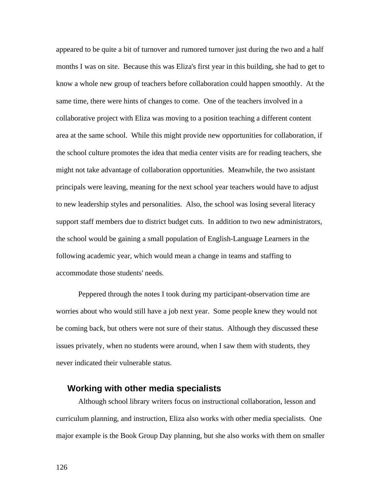appeared to be quite a bit of turnover and rumored turnover just during the two and a half months I was on site. Because this was Eliza's first year in this building, she had to get to know a whole new group of teachers before collaboration could happen smoothly. At the same time, there were hints of changes to come. One of the teachers involved in a collaborative project with Eliza was moving to a position teaching a different content area at the same school. While this might provide new opportunities for collaboration, if the school culture promotes the idea that media center visits are for reading teachers, she might not take advantage of collaboration opportunities. Meanwhile, the two assistant principals were leaving, meaning for the next school year teachers would have to adjust to new leadership styles and personalities. Also, the school was losing several literacy support staff members due to district budget cuts. In addition to two new administrators, the school would be gaining a small population of English-Language Learners in the following academic year, which would mean a change in teams and staffing to accommodate those students' needs.

Peppered through the notes I took during my participant-observation time are worries about who would still have a job next year. Some people knew they would not be coming back, but others were not sure of their status. Although they discussed these issues privately, when no students were around, when I saw them with students, they never indicated their vulnerable status.

### **Working with other media specialists**

Although school library writers focus on instructional collaboration, lesson and curriculum planning, and instruction, Eliza also works with other media specialists. One major example is the Book Group Day planning, but she also works with them on smaller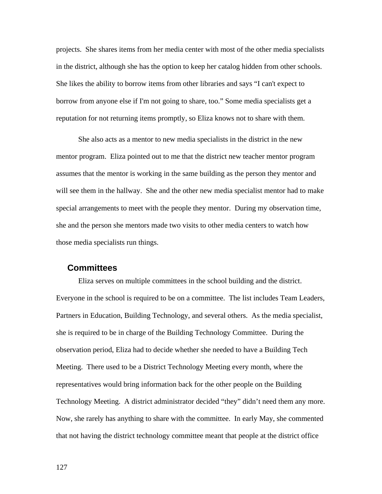projects. She shares items from her media center with most of the other media specialists in the district, although she has the option to keep her catalog hidden from other schools. She likes the ability to borrow items from other libraries and says "I can't expect to borrow from anyone else if I'm not going to share, too." Some media specialists get a reputation for not returning items promptly, so Eliza knows not to share with them.

She also acts as a mentor to new media specialists in the district in the new mentor program. Eliza pointed out to me that the district new teacher mentor program assumes that the mentor is working in the same building as the person they mentor and will see them in the hallway. She and the other new media specialist mentor had to make special arrangements to meet with the people they mentor. During my observation time, she and the person she mentors made two visits to other media centers to watch how those media specialists run things.

# **Committees**

Eliza serves on multiple committees in the school building and the district. Everyone in the school is required to be on a committee. The list includes Team Leaders, Partners in Education, Building Technology, and several others. As the media specialist, she is required to be in charge of the Building Technology Committee. During the observation period, Eliza had to decide whether she needed to have a Building Tech Meeting. There used to be a District Technology Meeting every month, where the representatives would bring information back for the other people on the Building Technology Meeting. A district administrator decided "they" didn't need them any more. Now, she rarely has anything to share with the committee. In early May, she commented that not having the district technology committee meant that people at the district office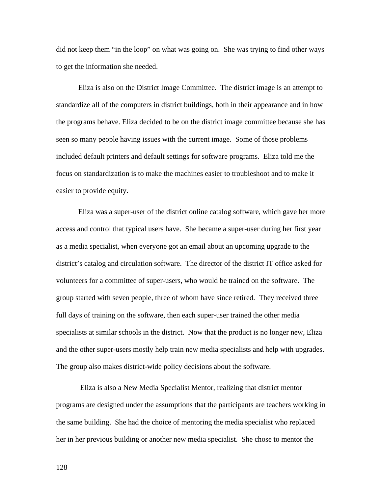did not keep them "in the loop" on what was going on. She was trying to find other ways to get the information she needed.

Eliza is also on the District Image Committee. The district image is an attempt to standardize all of the computers in district buildings, both in their appearance and in how the programs behave. Eliza decided to be on the district image committee because she has seen so many people having issues with the current image. Some of those problems included default printers and default settings for software programs. Eliza told me the focus on standardization is to make the machines easier to troubleshoot and to make it easier to provide equity.

Eliza was a super-user of the district online catalog software, which gave her more access and control that typical users have. She became a super-user during her first year as a media specialist, when everyone got an email about an upcoming upgrade to the district's catalog and circulation software. The director of the district IT office asked for volunteers for a committee of super-users, who would be trained on the software. The group started with seven people, three of whom have since retired. They received three full days of training on the software, then each super-user trained the other media specialists at similar schools in the district. Now that the product is no longer new, Eliza and the other super-users mostly help train new media specialists and help with upgrades. The group also makes district-wide policy decisions about the software.

 Eliza is also a New Media Specialist Mentor, realizing that district mentor programs are designed under the assumptions that the participants are teachers working in the same building. She had the choice of mentoring the media specialist who replaced her in her previous building or another new media specialist. She chose to mentor the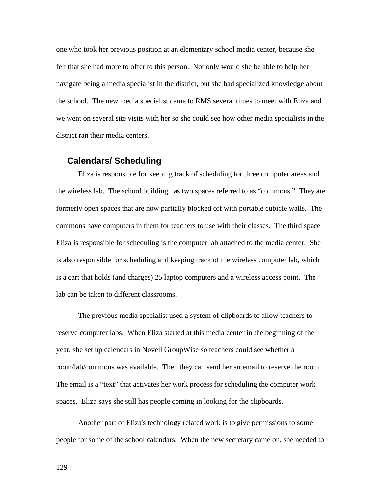one who took her previous position at an elementary school media center, because she felt that she had more to offer to this person. Not only would she be able to help her navigate being a media specialist in the district, but she had specialized knowledge about the school. The new media specialist came to RMS several times to meet with Eliza and we went on several site visits with her so she could see how other media specialists in the district ran their media centers.

#### **Calendars/ Scheduling**

Eliza is responsible for keeping track of scheduling for three computer areas and the wireless lab. The school building has two spaces referred to as "commons." They are formerly open spaces that are now partially blocked off with portable cubicle walls. The commons have computers in them for teachers to use with their classes. The third space Eliza is responsible for scheduling is the computer lab attached to the media center. She is also responsible for scheduling and keeping track of the wireless computer lab, which is a cart that holds (and charges) 25 laptop computers and a wireless access point. The lab can be taken to different classrooms.

The previous media specialist used a system of clipboards to allow teachers to reserve computer labs. When Eliza started at this media center in the beginning of the year, she set up calendars in Novell GroupWise so teachers could see whether a room/lab/commons was available. Then they can send her an email to reserve the room. The email is a "text" that activates her work process for scheduling the computer work spaces. Eliza says she still has people coming in looking for the clipboards.

Another part of Eliza's technology related work is to give permissions to some people for some of the school calendars. When the new secretary came on, she needed to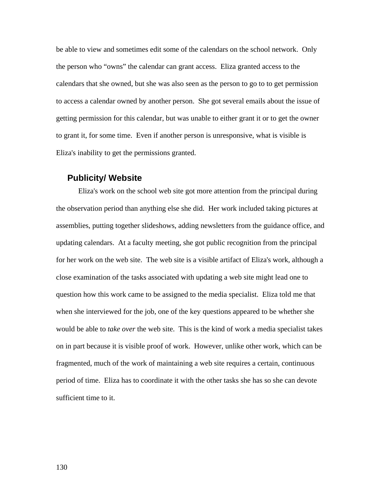be able to view and sometimes edit some of the calendars on the school network. Only the person who "owns" the calendar can grant access. Eliza granted access to the calendars that she owned, but she was also seen as the person to go to to get permission to access a calendar owned by another person. She got several emails about the issue of getting permission for this calendar, but was unable to either grant it or to get the owner to grant it, for some time. Even if another person is unresponsive, what is visible is Eliza's inability to get the permissions granted.

#### **Publicity/ Website**

Eliza's work on the school web site got more attention from the principal during the observation period than anything else she did. Her work included taking pictures at assemblies, putting together slideshows, adding newsletters from the guidance office, and updating calendars. At a faculty meeting, she got public recognition from the principal for her work on the web site. The web site is a visible artifact of Eliza's work, although a close examination of the tasks associated with updating a web site might lead one to question how this work came to be assigned to the media specialist. Eliza told me that when she interviewed for the job, one of the key questions appeared to be whether she would be able to *take over* the web site. This is the kind of work a media specialist takes on in part because it is visible proof of work. However, unlike other work, which can be fragmented, much of the work of maintaining a web site requires a certain, continuous period of time. Eliza has to coordinate it with the other tasks she has so she can devote sufficient time to it.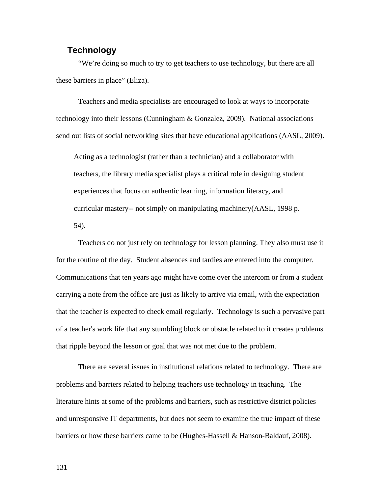# **Technology**

"We're doing so much to try to get teachers to use technology, but there are all these barriers in place" (Eliza).

Teachers and media specialists are encouraged to look at ways to incorporate technology into their lessons (Cunningham & Gonzalez, 2009). National associations send out lists of social networking sites that have educational applications (AASL, 2009).

Acting as a technologist (rather than a technician) and a collaborator with teachers, the library media specialist plays a critical role in designing student experiences that focus on authentic learning, information literacy, and curricular mastery-- not simply on manipulating machinery(AASL, 1998 p. 54).

Teachers do not just rely on technology for lesson planning. They also must use it for the routine of the day. Student absences and tardies are entered into the computer. Communications that ten years ago might have come over the intercom or from a student carrying a note from the office are just as likely to arrive via email, with the expectation that the teacher is expected to check email regularly. Technology is such a pervasive part of a teacher's work life that any stumbling block or obstacle related to it creates problems that ripple beyond the lesson or goal that was not met due to the problem.

There are several issues in institutional relations related to technology. There are problems and barriers related to helping teachers use technology in teaching. The literature hints at some of the problems and barriers, such as restrictive district policies and unresponsive IT departments, but does not seem to examine the true impact of these barriers or how these barriers came to be (Hughes-Hassell & Hanson-Baldauf, 2008).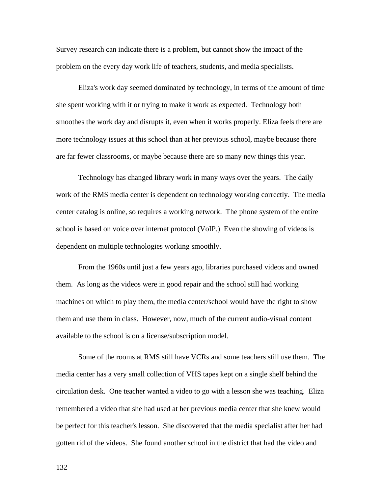Survey research can indicate there is a problem, but cannot show the impact of the problem on the every day work life of teachers, students, and media specialists.

Eliza's work day seemed dominated by technology, in terms of the amount of time she spent working with it or trying to make it work as expected. Technology both smoothes the work day and disrupts it, even when it works properly. Eliza feels there are more technology issues at this school than at her previous school, maybe because there are far fewer classrooms, or maybe because there are so many new things this year.

Technology has changed library work in many ways over the years. The daily work of the RMS media center is dependent on technology working correctly. The media center catalog is online, so requires a working network. The phone system of the entire school is based on voice over internet protocol (VoIP.) Even the showing of videos is dependent on multiple technologies working smoothly.

From the 1960s until just a few years ago, libraries purchased videos and owned them. As long as the videos were in good repair and the school still had working machines on which to play them, the media center/school would have the right to show them and use them in class. However, now, much of the current audio-visual content available to the school is on a license/subscription model.

Some of the rooms at RMS still have VCRs and some teachers still use them. The media center has a very small collection of VHS tapes kept on a single shelf behind the circulation desk. One teacher wanted a video to go with a lesson she was teaching. Eliza remembered a video that she had used at her previous media center that she knew would be perfect for this teacher's lesson. She discovered that the media specialist after her had gotten rid of the videos. She found another school in the district that had the video and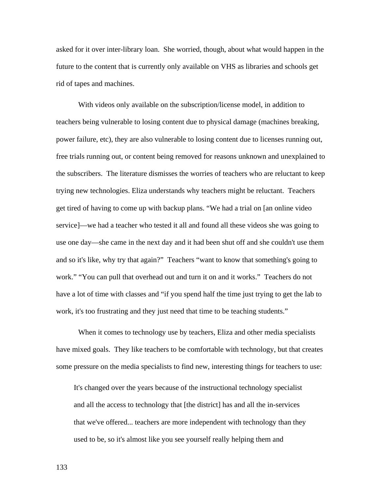asked for it over inter-library loan. She worried, though, about what would happen in the future to the content that is currently only available on VHS as libraries and schools get rid of tapes and machines.

With videos only available on the subscription/license model, in addition to teachers being vulnerable to losing content due to physical damage (machines breaking, power failure, etc), they are also vulnerable to losing content due to licenses running out, free trials running out, or content being removed for reasons unknown and unexplained to the subscribers. The literature dismisses the worries of teachers who are reluctant to keep trying new technologies. Eliza understands why teachers might be reluctant. Teachers get tired of having to come up with backup plans. "We had a trial on [an online video service]—we had a teacher who tested it all and found all these videos she was going to use one day—she came in the next day and it had been shut off and she couldn't use them and so it's like, why try that again?" Teachers "want to know that something's going to work." "You can pull that overhead out and turn it on and it works." Teachers do not have a lot of time with classes and "if you spend half the time just trying to get the lab to work, it's too frustrating and they just need that time to be teaching students."

When it comes to technology use by teachers, Eliza and other media specialists have mixed goals. They like teachers to be comfortable with technology, but that creates some pressure on the media specialists to find new, interesting things for teachers to use:

It's changed over the years because of the instructional technology specialist and all the access to technology that [the district] has and all the in-services that we've offered... teachers are more independent with technology than they used to be, so it's almost like you see yourself really helping them and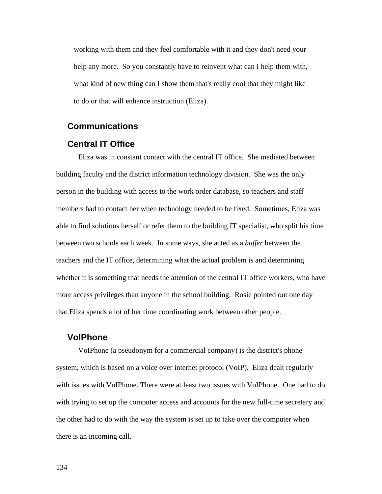working with them and they feel comfortable with it and they don't need your help any more. So you constantly have to reinvent what can I help them with, what kind of new thing can I show them that's really cool that they might like to do or that will enhance instruction (Eliza).

## **Communications**

### **Central IT Office**

Eliza was in constant contact with the central IT office. She mediated between building faculty and the district information technology division. She was the only person in the building with access to the work order database, so teachers and staff members had to contact her when technology needed to be fixed. Sometimes, Eliza was able to find solutions herself or refer them to the building IT specialist, who split his time between two schools each week. In some ways, she acted as a *buffer* between the teachers and the IT office, determining what the actual problem is and determining whether it is something that needs the attention of the central IT office workers, who have more access privileges than anyone in the school building. Rosie pointed out one day that Eliza spends a lot of her time coordinating work between other people.

# **VoIPhone**

VoIPhone (a pseudonym for a commercial company) is the district's phone system, which is based on a voice over internet protocol (VoIP). Eliza dealt regularly with issues with VoIPhone. There were at least two issues with VoIPhone. One had to do with trying to set up the computer access and accounts for the new full-time secretary and the other had to do with the way the system is set up to take over the computer when there is an incoming call.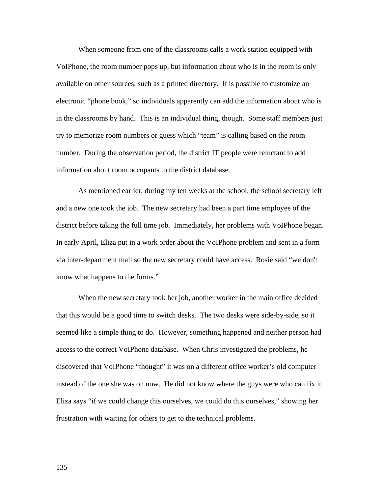When someone from one of the classrooms calls a work station equipped with VoIPhone, the room number pops up, but information about who is in the room is only available on other sources, such as a printed directory. It is possible to customize an electronic "phone book," so individuals apparently can add the information about who is in the classrooms by hand. This is an individual thing, though. Some staff members just try to memorize room numbers or guess which "team" is calling based on the room number. During the observation period, the district IT people were reluctant to add information about room occupants to the district database.

As mentioned earlier, during my ten weeks at the school, the school secretary left and a new one took the job. The new secretary had been a part time employee of the district before taking the full time job. Immediately, her problems with VoIPhone began. In early April, Eliza put in a work order about the VoIPhone problem and sent in a form via inter-department mail so the new secretary could have access. Rosie said "we don't know what happens to the forms."

When the new secretary took her job, another worker in the main office decided that this would be a good time to switch desks. The two desks were side-by-side, so it seemed like a simple thing to do. However, something happened and neither person had access to the correct VoIPhone database. When Chris investigated the problems, he discovered that VoIPhone "thought" it was on a different office worker's old computer instead of the one she was on now. He did not know where the guys were who can fix it. Eliza says "if we could change this ourselves, we could do this ourselves," showing her frustration with waiting for others to get to the technical problems.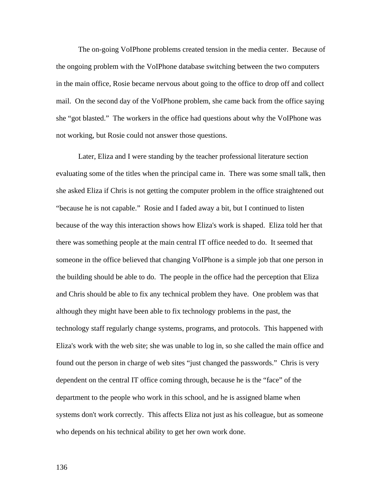The on-going VoIPhone problems created tension in the media center. Because of the ongoing problem with the VoIPhone database switching between the two computers in the main office, Rosie became nervous about going to the office to drop off and collect mail. On the second day of the VoIPhone problem, she came back from the office saying she "got blasted." The workers in the office had questions about why the VoIPhone was not working, but Rosie could not answer those questions.

Later, Eliza and I were standing by the teacher professional literature section evaluating some of the titles when the principal came in. There was some small talk, then she asked Eliza if Chris is not getting the computer problem in the office straightened out "because he is not capable." Rosie and I faded away a bit, but I continued to listen because of the way this interaction shows how Eliza's work is shaped. Eliza told her that there was something people at the main central IT office needed to do. It seemed that someone in the office believed that changing VoIPhone is a simple job that one person in the building should be able to do. The people in the office had the perception that Eliza and Chris should be able to fix any technical problem they have. One problem was that although they might have been able to fix technology problems in the past, the technology staff regularly change systems, programs, and protocols. This happened with Eliza's work with the web site; she was unable to log in, so she called the main office and found out the person in charge of web sites "just changed the passwords." Chris is very dependent on the central IT office coming through, because he is the "face" of the department to the people who work in this school, and he is assigned blame when systems don't work correctly. This affects Eliza not just as his colleague, but as someone who depends on his technical ability to get her own work done.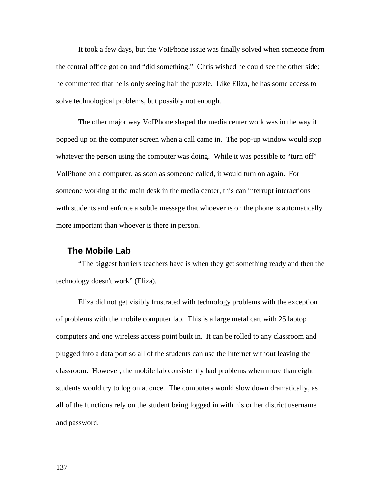It took a few days, but the VoIPhone issue was finally solved when someone from the central office got on and "did something." Chris wished he could see the other side; he commented that he is only seeing half the puzzle. Like Eliza, he has some access to solve technological problems, but possibly not enough.

The other major way VoIPhone shaped the media center work was in the way it popped up on the computer screen when a call came in. The pop-up window would stop whatever the person using the computer was doing. While it was possible to "turn off" VoIPhone on a computer, as soon as someone called, it would turn on again. For someone working at the main desk in the media center, this can interrupt interactions with students and enforce a subtle message that whoever is on the phone is automatically more important than whoever is there in person.

#### **The Mobile Lab**

"The biggest barriers teachers have is when they get something ready and then the technology doesn't work" (Eliza).

Eliza did not get visibly frustrated with technology problems with the exception of problems with the mobile computer lab. This is a large metal cart with 25 laptop computers and one wireless access point built in. It can be rolled to any classroom and plugged into a data port so all of the students can use the Internet without leaving the classroom. However, the mobile lab consistently had problems when more than eight students would try to log on at once. The computers would slow down dramatically, as all of the functions rely on the student being logged in with his or her district username and password.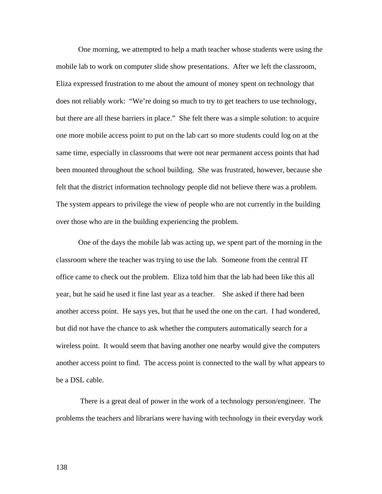One morning, we attempted to help a math teacher whose students were using the mobile lab to work on computer slide show presentations. After we left the classroom, Eliza expressed frustration to me about the amount of money spent on technology that does not reliably work: "We're doing so much to try to get teachers to use technology, but there are all these barriers in place." She felt there was a simple solution: to acquire one more mobile access point to put on the lab cart so more students could log on at the same time, especially in classrooms that were not near permanent access points that had been mounted throughout the school building. She was frustrated, however, because she felt that the district information technology people did not believe there was a problem. The system appears to privilege the view of people who are not currently in the building over those who are in the building experiencing the problem.

One of the days the mobile lab was acting up, we spent part of the morning in the classroom where the teacher was trying to use the lab. Someone from the central IT office came to check out the problem. Eliza told him that the lab had been like this all year, but he said he used it fine last year as a teacher. She asked if there had been another access point. He says yes, but that he used the one on the cart. I had wondered, but did not have the chance to ask whether the computers automatically search for a wireless point. It would seem that having another one nearby would give the computers another access point to find. The access point is connected to the wall by what appears to be a DSL cable.

 There is a great deal of power in the work of a technology person/engineer. The problems the teachers and librarians were having with technology in their everyday work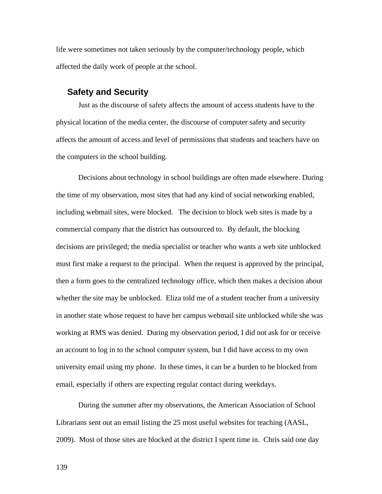life were sometimes not taken seriously by the computer/technology people, which affected the daily work of people at the school.

#### **Safety and Security**

Just as the discourse of safety affects the amount of access students have to the physical location of the media center, the discourse of computer safety and security affects the amount of access and level of permissions that students and teachers have on the computers in the school building.

Decisions about technology in school buildings are often made elsewhere. During the time of my observation, most sites that had any kind of social networking enabled, including webmail sites, were blocked. The decision to block web sites is made by a commercial company that the district has outsourced to. By default, the blocking decisions are privileged; the media specialist or teacher who wants a web site unblocked must first make a request to the principal. When the request is approved by the principal, then a form goes to the centralized technology office, which then makes a decision about whether the site may be unblocked. Eliza told me of a student teacher from a university in another state whose request to have her campus webmail site unblocked while she was working at RMS was denied. During my observation period, I did not ask for or receive an account to log in to the school computer system, but I did have access to my own university email using my phone. In these times, it can be a burden to be blocked from email, especially if others are expecting regular contact during weekdays.

During the summer after my observations, the American Association of School Librarians sent out an email listing the 25 most useful websites for teaching (AASL, 2009). Most of those sites are blocked at the district I spent time in. Chris said one day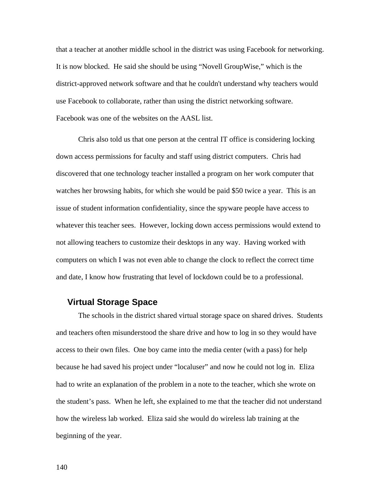that a teacher at another middle school in the district was using Facebook for networking. It is now blocked. He said she should be using "Novell GroupWise," which is the district-approved network software and that he couldn't understand why teachers would use Facebook to collaborate, rather than using the district networking software. Facebook was one of the websites on the AASL list.

Chris also told us that one person at the central IT office is considering locking down access permissions for faculty and staff using district computers. Chris had discovered that one technology teacher installed a program on her work computer that watches her browsing habits, for which she would be paid \$50 twice a year. This is an issue of student information confidentiality, since the spyware people have access to whatever this teacher sees. However, locking down access permissions would extend to not allowing teachers to customize their desktops in any way. Having worked with computers on which I was not even able to change the clock to reflect the correct time and date, I know how frustrating that level of lockdown could be to a professional.

# **Virtual Storage Space**

The schools in the district shared virtual storage space on shared drives. Students and teachers often misunderstood the share drive and how to log in so they would have access to their own files. One boy came into the media center (with a pass) for help because he had saved his project under "localuser" and now he could not log in. Eliza had to write an explanation of the problem in a note to the teacher, which she wrote on the student's pass. When he left, she explained to me that the teacher did not understand how the wireless lab worked. Eliza said she would do wireless lab training at the beginning of the year.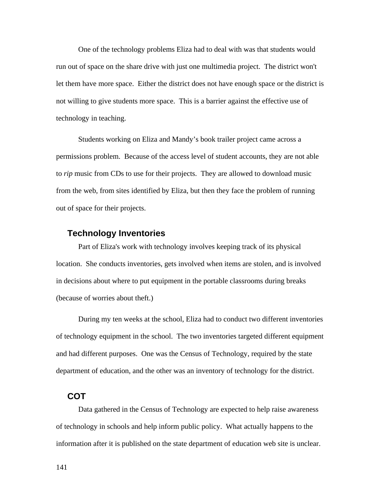One of the technology problems Eliza had to deal with was that students would run out of space on the share drive with just one multimedia project. The district won't let them have more space. Either the district does not have enough space or the district is not willing to give students more space. This is a barrier against the effective use of technology in teaching.

Students working on Eliza and Mandy's book trailer project came across a permissions problem. Because of the access level of student accounts, they are not able to *rip* music from CDs to use for their projects. They are allowed to download music from the web, from sites identified by Eliza, but then they face the problem of running out of space for their projects.

### **Technology Inventories**

Part of Eliza's work with technology involves keeping track of its physical location. She conducts inventories, gets involved when items are stolen, and is involved in decisions about where to put equipment in the portable classrooms during breaks (because of worries about theft.)

During my ten weeks at the school, Eliza had to conduct two different inventories of technology equipment in the school. The two inventories targeted different equipment and had different purposes. One was the Census of Technology, required by the state department of education, and the other was an inventory of technology for the district.

# **COT**

Data gathered in the Census of Technology are expected to help raise awareness of technology in schools and help inform public policy. What actually happens to the information after it is published on the state department of education web site is unclear.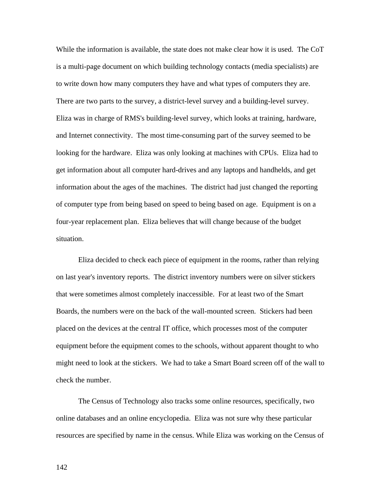While the information is available, the state does not make clear how it is used. The CoT is a multi-page document on which building technology contacts (media specialists) are to write down how many computers they have and what types of computers they are. There are two parts to the survey, a district-level survey and a building-level survey. Eliza was in charge of RMS's building-level survey, which looks at training, hardware, and Internet connectivity. The most time-consuming part of the survey seemed to be looking for the hardware. Eliza was only looking at machines with CPUs. Eliza had to get information about all computer hard-drives and any laptops and handhelds, and get information about the ages of the machines. The district had just changed the reporting of computer type from being based on speed to being based on age. Equipment is on a four-year replacement plan. Eliza believes that will change because of the budget situation.

Eliza decided to check each piece of equipment in the rooms, rather than relying on last year's inventory reports. The district inventory numbers were on silver stickers that were sometimes almost completely inaccessible. For at least two of the Smart Boards, the numbers were on the back of the wall-mounted screen. Stickers had been placed on the devices at the central IT office, which processes most of the computer equipment before the equipment comes to the schools, without apparent thought to who might need to look at the stickers. We had to take a Smart Board screen off of the wall to check the number.

The Census of Technology also tracks some online resources, specifically, two online databases and an online encyclopedia. Eliza was not sure why these particular resources are specified by name in the census. While Eliza was working on the Census of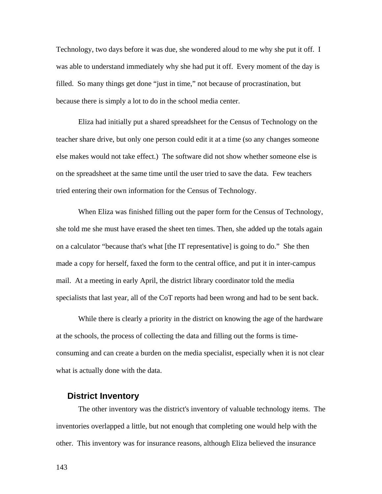Technology, two days before it was due, she wondered aloud to me why she put it off. I was able to understand immediately why she had put it off. Every moment of the day is filled. So many things get done "just in time," not because of procrastination, but because there is simply a lot to do in the school media center.

Eliza had initially put a shared spreadsheet for the Census of Technology on the teacher share drive, but only one person could edit it at a time (so any changes someone else makes would not take effect.) The software did not show whether someone else is on the spreadsheet at the same time until the user tried to save the data. Few teachers tried entering their own information for the Census of Technology.

When Eliza was finished filling out the paper form for the Census of Technology, she told me she must have erased the sheet ten times. Then, she added up the totals again on a calculator "because that's what [the IT representative] is going to do." She then made a copy for herself, faxed the form to the central office, and put it in inter-campus mail. At a meeting in early April, the district library coordinator told the media specialists that last year, all of the CoT reports had been wrong and had to be sent back.

While there is clearly a priority in the district on knowing the age of the hardware at the schools, the process of collecting the data and filling out the forms is timeconsuming and can create a burden on the media specialist, especially when it is not clear what is actually done with the data.

### **District Inventory**

The other inventory was the district's inventory of valuable technology items. The inventories overlapped a little, but not enough that completing one would help with the other. This inventory was for insurance reasons, although Eliza believed the insurance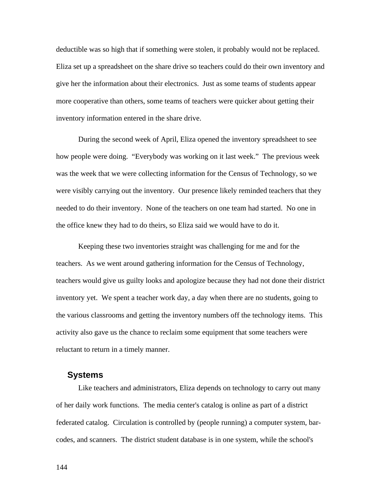deductible was so high that if something were stolen, it probably would not be replaced. Eliza set up a spreadsheet on the share drive so teachers could do their own inventory and give her the information about their electronics. Just as some teams of students appear more cooperative than others, some teams of teachers were quicker about getting their inventory information entered in the share drive.

During the second week of April, Eliza opened the inventory spreadsheet to see how people were doing. "Everybody was working on it last week." The previous week was the week that we were collecting information for the Census of Technology, so we were visibly carrying out the inventory. Our presence likely reminded teachers that they needed to do their inventory. None of the teachers on one team had started. No one in the office knew they had to do theirs, so Eliza said we would have to do it.

Keeping these two inventories straight was challenging for me and for the teachers. As we went around gathering information for the Census of Technology, teachers would give us guilty looks and apologize because they had not done their district inventory yet. We spent a teacher work day, a day when there are no students, going to the various classrooms and getting the inventory numbers off the technology items. This activity also gave us the chance to reclaim some equipment that some teachers were reluctant to return in a timely manner.

#### **Systems**

Like teachers and administrators, Eliza depends on technology to carry out many of her daily work functions. The media center's catalog is online as part of a district federated catalog. Circulation is controlled by (people running) a computer system, barcodes, and scanners. The district student database is in one system, while the school's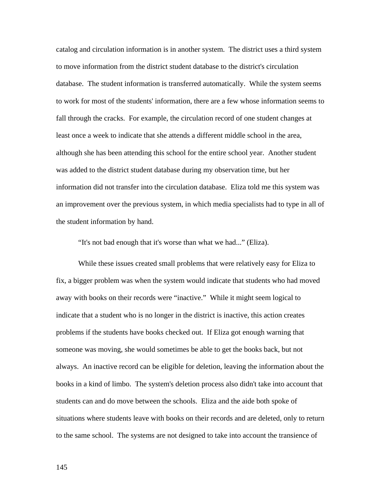catalog and circulation information is in another system. The district uses a third system to move information from the district student database to the district's circulation database. The student information is transferred automatically. While the system seems to work for most of the students' information, there are a few whose information seems to fall through the cracks. For example, the circulation record of one student changes at least once a week to indicate that she attends a different middle school in the area, although she has been attending this school for the entire school year. Another student was added to the district student database during my observation time, but her information did not transfer into the circulation database. Eliza told me this system was an improvement over the previous system, in which media specialists had to type in all of the student information by hand.

"It's not bad enough that it's worse than what we had..." (Eliza).

While these issues created small problems that were relatively easy for Eliza to fix, a bigger problem was when the system would indicate that students who had moved away with books on their records were "inactive." While it might seem logical to indicate that a student who is no longer in the district is inactive, this action creates problems if the students have books checked out. If Eliza got enough warning that someone was moving, she would sometimes be able to get the books back, but not always. An inactive record can be eligible for deletion, leaving the information about the books in a kind of limbo. The system's deletion process also didn't take into account that students can and do move between the schools. Eliza and the aide both spoke of situations where students leave with books on their records and are deleted, only to return to the same school. The systems are not designed to take into account the transience of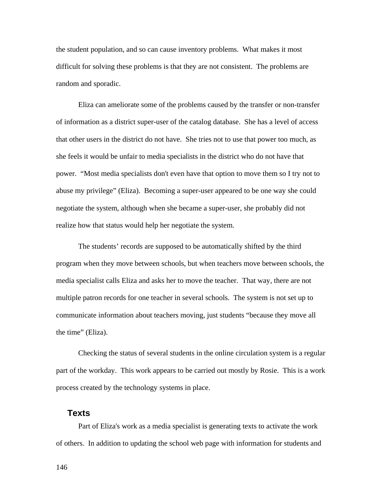the student population, and so can cause inventory problems. What makes it most difficult for solving these problems is that they are not consistent. The problems are random and sporadic.

Eliza can ameliorate some of the problems caused by the transfer or non-transfer of information as a district super-user of the catalog database. She has a level of access that other users in the district do not have. She tries not to use that power too much, as she feels it would be unfair to media specialists in the district who do not have that power. "Most media specialists don't even have that option to move them so I try not to abuse my privilege" (Eliza). Becoming a super-user appeared to be one way she could negotiate the system, although when she became a super-user, she probably did not realize how that status would help her negotiate the system.

The students' records are supposed to be automatically shifted by the third program when they move between schools, but when teachers move between schools, the media specialist calls Eliza and asks her to move the teacher. That way, there are not multiple patron records for one teacher in several schools. The system is not set up to communicate information about teachers moving, just students "because they move all the time" (Eliza).

Checking the status of several students in the online circulation system is a regular part of the workday. This work appears to be carried out mostly by Rosie. This is a work process created by the technology systems in place.

### **Texts**

Part of Eliza's work as a media specialist is generating texts to activate the work of others. In addition to updating the school web page with information for students and

146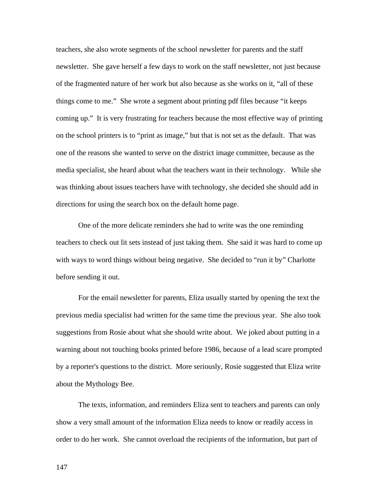teachers, she also wrote segments of the school newsletter for parents and the staff newsletter. She gave herself a few days to work on the staff newsletter, not just because of the fragmented nature of her work but also because as she works on it, "all of these things come to me." She wrote a segment about printing pdf files because "it keeps coming up." It is very frustrating for teachers because the most effective way of printing on the school printers is to "print as image," but that is not set as the default. That was one of the reasons she wanted to serve on the district image committee, because as the media specialist, she heard about what the teachers want in their technology. While she was thinking about issues teachers have with technology, she decided she should add in directions for using the search box on the default home page.

One of the more delicate reminders she had to write was the one reminding teachers to check out lit sets instead of just taking them. She said it was hard to come up with ways to word things without being negative. She decided to "run it by" Charlotte before sending it out.

For the email newsletter for parents, Eliza usually started by opening the text the previous media specialist had written for the same time the previous year. She also took suggestions from Rosie about what she should write about. We joked about putting in a warning about not touching books printed before 1986, because of a lead scare prompted by a reporter's questions to the district. More seriously, Rosie suggested that Eliza write about the Mythology Bee.

The texts, information, and reminders Eliza sent to teachers and parents can only show a very small amount of the information Eliza needs to know or readily access in order to do her work. She cannot overload the recipients of the information, but part of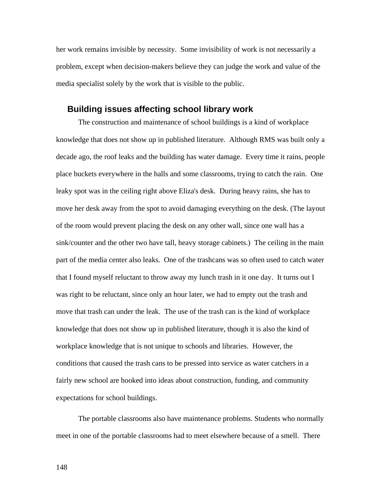her work remains invisible by necessity. Some invisibility of work is not necessarily a problem, except when decision-makers believe they can judge the work and value of the media specialist solely by the work that is visible to the public.

#### **Building issues affecting school library work**

The construction and maintenance of school buildings is a kind of workplace knowledge that does not show up in published literature. Although RMS was built only a decade ago, the roof leaks and the building has water damage. Every time it rains, people place buckets everywhere in the halls and some classrooms, trying to catch the rain. One leaky spot was in the ceiling right above Eliza's desk. During heavy rains, she has to move her desk away from the spot to avoid damaging everything on the desk. (The layout of the room would prevent placing the desk on any other wall, since one wall has a sink/counter and the other two have tall, heavy storage cabinets.) The ceiling in the main part of the media center also leaks. One of the trashcans was so often used to catch water that I found myself reluctant to throw away my lunch trash in it one day. It turns out I was right to be reluctant, since only an hour later, we had to empty out the trash and move that trash can under the leak. The use of the trash can is the kind of workplace knowledge that does not show up in published literature, though it is also the kind of workplace knowledge that is not unique to schools and libraries. However, the conditions that caused the trash cans to be pressed into service as water catchers in a fairly new school are hooked into ideas about construction, funding, and community expectations for school buildings.

The portable classrooms also have maintenance problems. Students who normally meet in one of the portable classrooms had to meet elsewhere because of a smell. There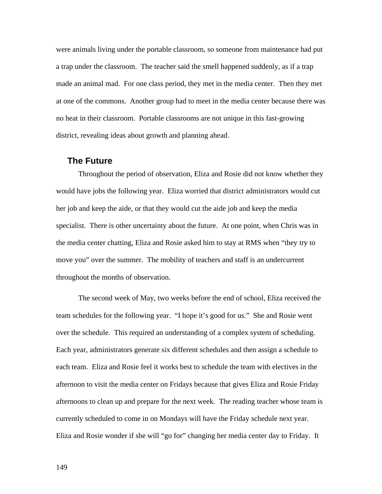were animals living under the portable classroom, so someone from maintenance had put a trap under the classroom. The teacher said the smell happened suddenly, as if a trap made an animal mad. For one class period, they met in the media center. Then they met at one of the commons. Another group had to meet in the media center because there was no heat in their classroom. Portable classrooms are not unique in this fast-growing district, revealing ideas about growth and planning ahead.

#### **The Future**

Throughout the period of observation, Eliza and Rosie did not know whether they would have jobs the following year. Eliza worried that district administrators would cut her job and keep the aide, or that they would cut the aide job and keep the media specialist. There is other uncertainty about the future. At one point, when Chris was in the media center chatting, Eliza and Rosie asked him to stay at RMS when "they try to move you" over the summer. The mobility of teachers and staff is an undercurrent throughout the months of observation.

The second week of May, two weeks before the end of school, Eliza received the team schedules for the following year. "I hope it's good for us." She and Rosie went over the schedule. This required an understanding of a complex system of scheduling. Each year, administrators generate six different schedules and then assign a schedule to each team. Eliza and Rosie feel it works best to schedule the team with electives in the afternoon to visit the media center on Fridays because that gives Eliza and Rosie Friday afternoons to clean up and prepare for the next week. The reading teacher whose team is currently scheduled to come in on Mondays will have the Friday schedule next year. Eliza and Rosie wonder if she will "go for" changing her media center day to Friday. It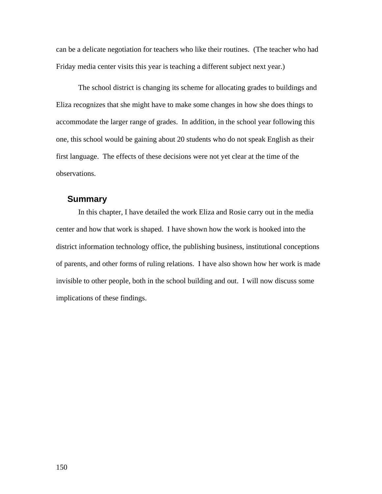can be a delicate negotiation for teachers who like their routines. (The teacher who had Friday media center visits this year is teaching a different subject next year.)

The school district is changing its scheme for allocating grades to buildings and Eliza recognizes that she might have to make some changes in how she does things to accommodate the larger range of grades. In addition, in the school year following this one, this school would be gaining about 20 students who do not speak English as their first language. The effects of these decisions were not yet clear at the time of the observations.

### **Summary**

In this chapter, I have detailed the work Eliza and Rosie carry out in the media center and how that work is shaped. I have shown how the work is hooked into the district information technology office, the publishing business, institutional conceptions of parents, and other forms of ruling relations. I have also shown how her work is made invisible to other people, both in the school building and out. I will now discuss some implications of these findings.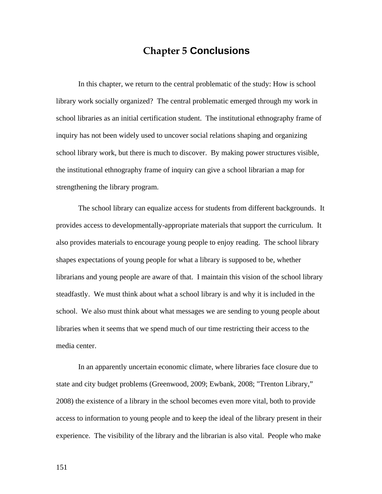# **Chapter 5 Conclusions**

In this chapter, we return to the central problematic of the study: How is school library work socially organized? The central problematic emerged through my work in school libraries as an initial certification student. The institutional ethnography frame of inquiry has not been widely used to uncover social relations shaping and organizing school library work, but there is much to discover. By making power structures visible, the institutional ethnography frame of inquiry can give a school librarian a map for strengthening the library program.

The school library can equalize access for students from different backgrounds. It provides access to developmentally-appropriate materials that support the curriculum. It also provides materials to encourage young people to enjoy reading. The school library shapes expectations of young people for what a library is supposed to be, whether librarians and young people are aware of that. I maintain this vision of the school library steadfastly. We must think about what a school library is and why it is included in the school. We also must think about what messages we are sending to young people about libraries when it seems that we spend much of our time restricting their access to the media center.

In an apparently uncertain economic climate, where libraries face closure due to state and city budget problems (Greenwood, 2009; Ewbank, 2008; "Trenton Library," 2008) the existence of a library in the school becomes even more vital, both to provide access to information to young people and to keep the ideal of the library present in their experience. The visibility of the library and the librarian is also vital. People who make

151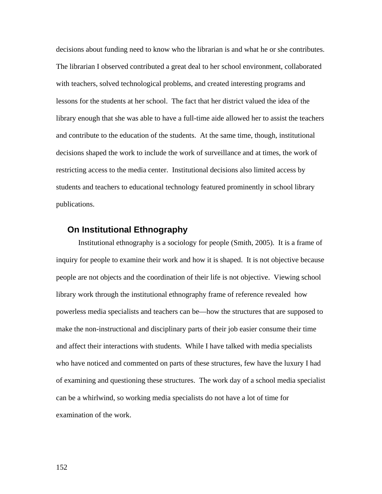decisions about funding need to know who the librarian is and what he or she contributes. The librarian I observed contributed a great deal to her school environment, collaborated with teachers, solved technological problems, and created interesting programs and lessons for the students at her school. The fact that her district valued the idea of the library enough that she was able to have a full-time aide allowed her to assist the teachers and contribute to the education of the students. At the same time, though, institutional decisions shaped the work to include the work of surveillance and at times, the work of restricting access to the media center. Institutional decisions also limited access by students and teachers to educational technology featured prominently in school library publications.

#### **On Institutional Ethnography**

Institutional ethnography is a sociology for people (Smith, 2005). It is a frame of inquiry for people to examine their work and how it is shaped. It is not objective because people are not objects and the coordination of their life is not objective. Viewing school library work through the institutional ethnography frame of reference revealed how powerless media specialists and teachers can be—how the structures that are supposed to make the non-instructional and disciplinary parts of their job easier consume their time and affect their interactions with students. While I have talked with media specialists who have noticed and commented on parts of these structures, few have the luxury I had of examining and questioning these structures. The work day of a school media specialist can be a whirlwind, so working media specialists do not have a lot of time for examination of the work.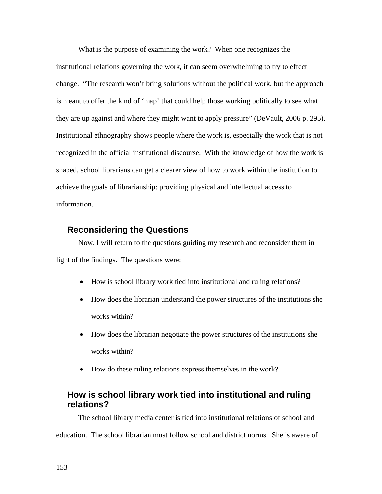What is the purpose of examining the work? When one recognizes the institutional relations governing the work, it can seem overwhelming to try to effect change. "The research won't bring solutions without the political work, but the approach is meant to offer the kind of 'map' that could help those working politically to see what they are up against and where they might want to apply pressure" (DeVault, 2006 p. 295). Institutional ethnography shows people where the work is, especially the work that is not recognized in the official institutional discourse. With the knowledge of how the work is shaped, school librarians can get a clearer view of how to work within the institution to achieve the goals of librarianship: providing physical and intellectual access to information.

## **Reconsidering the Questions**

Now, I will return to the questions guiding my research and reconsider them in light of the findings. The questions were:

- How is school library work tied into institutional and ruling relations?
- How does the librarian understand the power structures of the institutions she works within?
- How does the librarian negotiate the power structures of the institutions she works within?
- How do these ruling relations express themselves in the work?

# **How is school library work tied into institutional and ruling relations?**

The school library media center is tied into institutional relations of school and education. The school librarian must follow school and district norms. She is aware of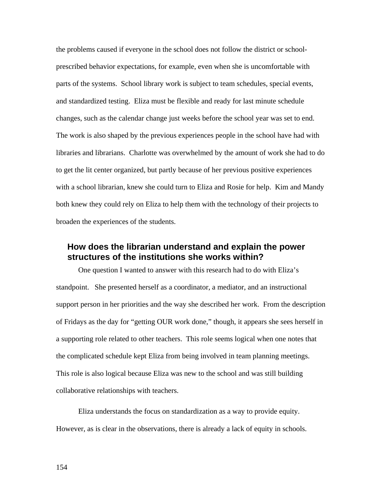the problems caused if everyone in the school does not follow the district or schoolprescribed behavior expectations, for example, even when she is uncomfortable with parts of the systems. School library work is subject to team schedules, special events, and standardized testing. Eliza must be flexible and ready for last minute schedule changes, such as the calendar change just weeks before the school year was set to end. The work is also shaped by the previous experiences people in the school have had with libraries and librarians. Charlotte was overwhelmed by the amount of work she had to do to get the lit center organized, but partly because of her previous positive experiences with a school librarian, knew she could turn to Eliza and Rosie for help. Kim and Mandy both knew they could rely on Eliza to help them with the technology of their projects to broaden the experiences of the students.

# **How does the librarian understand and explain the power structures of the institutions she works within?**

One question I wanted to answer with this research had to do with Eliza's standpoint. She presented herself as a coordinator, a mediator, and an instructional support person in her priorities and the way she described her work. From the description of Fridays as the day for "getting OUR work done," though, it appears she sees herself in a supporting role related to other teachers. This role seems logical when one notes that the complicated schedule kept Eliza from being involved in team planning meetings. This role is also logical because Eliza was new to the school and was still building collaborative relationships with teachers.

Eliza understands the focus on standardization as a way to provide equity. However, as is clear in the observations, there is already a lack of equity in schools.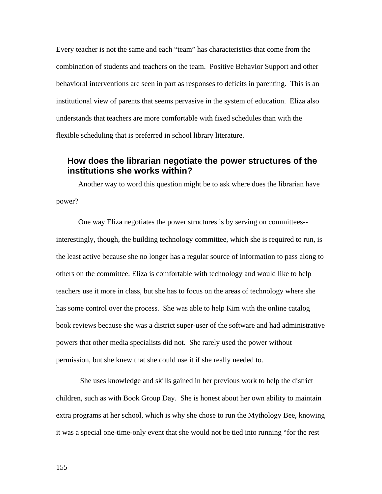Every teacher is not the same and each "team" has characteristics that come from the combination of students and teachers on the team. Positive Behavior Support and other behavioral interventions are seen in part as responses to deficits in parenting. This is an institutional view of parents that seems pervasive in the system of education. Eliza also understands that teachers are more comfortable with fixed schedules than with the flexible scheduling that is preferred in school library literature.

## **How does the librarian negotiate the power structures of the institutions she works within?**

Another way to word this question might be to ask where does the librarian have power?

One way Eliza negotiates the power structures is by serving on committees- interestingly, though, the building technology committee, which she is required to run, is the least active because she no longer has a regular source of information to pass along to others on the committee. Eliza is comfortable with technology and would like to help teachers use it more in class, but she has to focus on the areas of technology where she has some control over the process. She was able to help Kim with the online catalog book reviews because she was a district super-user of the software and had administrative powers that other media specialists did not. She rarely used the power without permission, but she knew that she could use it if she really needed to.

 She uses knowledge and skills gained in her previous work to help the district children, such as with Book Group Day. She is honest about her own ability to maintain extra programs at her school, which is why she chose to run the Mythology Bee, knowing it was a special one-time-only event that she would not be tied into running "for the rest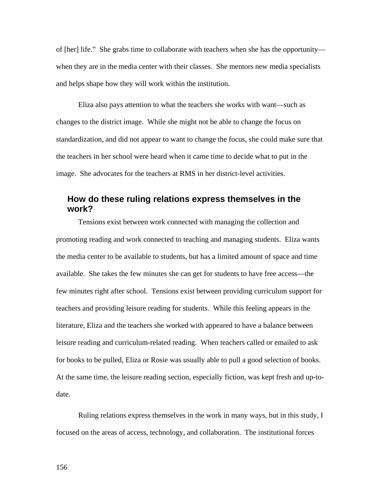of [her] life." She grabs time to collaborate with teachers when she has the opportunity when they are in the media center with their classes. She mentors new media specialists and helps shape how they will work within the institution.

Eliza also pays attention to what the teachers she works with want—such as changes to the district image. While she might not be able to change the focus on standardization, and did not appear to want to change the focus, she could make sure that the teachers in her school were heard when it came time to decide what to put in the image. She advocates for the teachers at RMS in her district-level activities.

# **How do these ruling relations express themselves in the work?**

Tensions exist between work connected with managing the collection and promoting reading and work connected to teaching and managing students. Eliza wants the media center to be available to students, but has a limited amount of space and time available. She takes the few minutes she can get for students to have free access—the few minutes right after school. Tensions exist between providing curriculum support for teachers and providing leisure reading for students. While this feeling appears in the literature, Eliza and the teachers she worked with appeared to have a balance between leisure reading and curriculum-related reading. When teachers called or emailed to ask for books to be pulled, Eliza or Rosie was usually able to pull a good selection of books. At the same time, the leisure reading section, especially fiction, was kept fresh and up-todate.

Ruling relations express themselves in the work in many ways, but in this study, I focused on the areas of access, technology, and collaboration. The institutional forces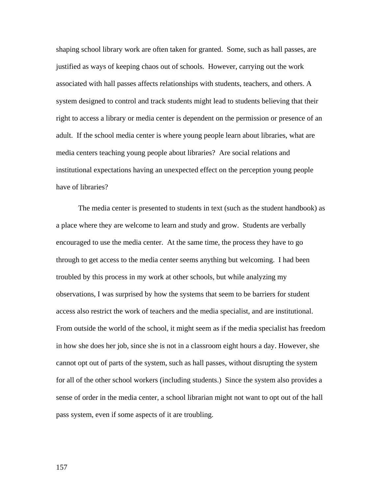shaping school library work are often taken for granted. Some, such as hall passes, are justified as ways of keeping chaos out of schools. However, carrying out the work associated with hall passes affects relationships with students, teachers, and others. A system designed to control and track students might lead to students believing that their right to access a library or media center is dependent on the permission or presence of an adult. If the school media center is where young people learn about libraries, what are media centers teaching young people about libraries? Are social relations and institutional expectations having an unexpected effect on the perception young people have of libraries?

The media center is presented to students in text (such as the student handbook) as a place where they are welcome to learn and study and grow. Students are verbally encouraged to use the media center. At the same time, the process they have to go through to get access to the media center seems anything but welcoming. I had been troubled by this process in my work at other schools, but while analyzing my observations, I was surprised by how the systems that seem to be barriers for student access also restrict the work of teachers and the media specialist, and are institutional. From outside the world of the school, it might seem as if the media specialist has freedom in how she does her job, since she is not in a classroom eight hours a day. However, she cannot opt out of parts of the system, such as hall passes, without disrupting the system for all of the other school workers (including students.) Since the system also provides a sense of order in the media center, a school librarian might not want to opt out of the hall pass system, even if some aspects of it are troubling.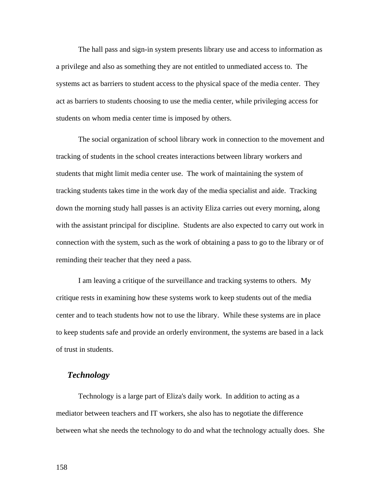The hall pass and sign-in system presents library use and access to information as a privilege and also as something they are not entitled to unmediated access to. The systems act as barriers to student access to the physical space of the media center. They act as barriers to students choosing to use the media center, while privileging access for students on whom media center time is imposed by others.

The social organization of school library work in connection to the movement and tracking of students in the school creates interactions between library workers and students that might limit media center use. The work of maintaining the system of tracking students takes time in the work day of the media specialist and aide. Tracking down the morning study hall passes is an activity Eliza carries out every morning, along with the assistant principal for discipline. Students are also expected to carry out work in connection with the system, such as the work of obtaining a pass to go to the library or of reminding their teacher that they need a pass.

I am leaving a critique of the surveillance and tracking systems to others. My critique rests in examining how these systems work to keep students out of the media center and to teach students how not to use the library. While these systems are in place to keep students safe and provide an orderly environment, the systems are based in a lack of trust in students.

### *Technology*

Technology is a large part of Eliza's daily work. In addition to acting as a mediator between teachers and IT workers, she also has to negotiate the difference between what she needs the technology to do and what the technology actually does. She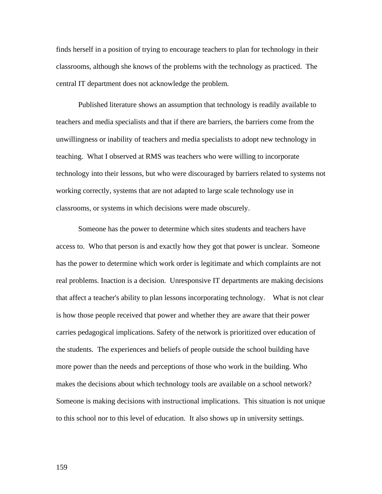finds herself in a position of trying to encourage teachers to plan for technology in their classrooms, although she knows of the problems with the technology as practiced. The central IT department does not acknowledge the problem.

Published literature shows an assumption that technology is readily available to teachers and media specialists and that if there are barriers, the barriers come from the unwillingness or inability of teachers and media specialists to adopt new technology in teaching. What I observed at RMS was teachers who were willing to incorporate technology into their lessons, but who were discouraged by barriers related to systems not working correctly, systems that are not adapted to large scale technology use in classrooms, or systems in which decisions were made obscurely.

Someone has the power to determine which sites students and teachers have access to. Who that person is and exactly how they got that power is unclear. Someone has the power to determine which work order is legitimate and which complaints are not real problems. Inaction is a decision. Unresponsive IT departments are making decisions that affect a teacher's ability to plan lessons incorporating technology. What is not clear is how those people received that power and whether they are aware that their power carries pedagogical implications. Safety of the network is prioritized over education of the students. The experiences and beliefs of people outside the school building have more power than the needs and perceptions of those who work in the building. Who makes the decisions about which technology tools are available on a school network? Someone is making decisions with instructional implications. This situation is not unique to this school nor to this level of education. It also shows up in university settings.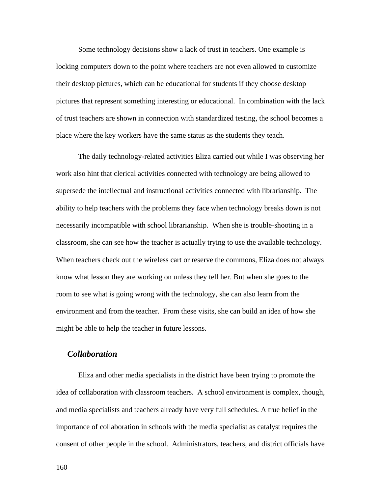Some technology decisions show a lack of trust in teachers. One example is locking computers down to the point where teachers are not even allowed to customize their desktop pictures, which can be educational for students if they choose desktop pictures that represent something interesting or educational. In combination with the lack of trust teachers are shown in connection with standardized testing, the school becomes a place where the key workers have the same status as the students they teach.

The daily technology-related activities Eliza carried out while I was observing her work also hint that clerical activities connected with technology are being allowed to supersede the intellectual and instructional activities connected with librarianship. The ability to help teachers with the problems they face when technology breaks down is not necessarily incompatible with school librarianship. When she is trouble-shooting in a classroom, she can see how the teacher is actually trying to use the available technology. When teachers check out the wireless cart or reserve the commons, Eliza does not always know what lesson they are working on unless they tell her. But when she goes to the room to see what is going wrong with the technology, she can also learn from the environment and from the teacher. From these visits, she can build an idea of how she might be able to help the teacher in future lessons.

### *Collaboration*

Eliza and other media specialists in the district have been trying to promote the idea of collaboration with classroom teachers. A school environment is complex, though, and media specialists and teachers already have very full schedules. A true belief in the importance of collaboration in schools with the media specialist as catalyst requires the consent of other people in the school. Administrators, teachers, and district officials have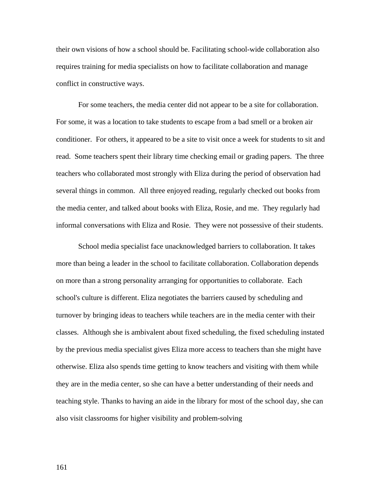their own visions of how a school should be. Facilitating school-wide collaboration also requires training for media specialists on how to facilitate collaboration and manage conflict in constructive ways.

For some teachers, the media center did not appear to be a site for collaboration. For some, it was a location to take students to escape from a bad smell or a broken air conditioner. For others, it appeared to be a site to visit once a week for students to sit and read. Some teachers spent their library time checking email or grading papers. The three teachers who collaborated most strongly with Eliza during the period of observation had several things in common. All three enjoyed reading, regularly checked out books from the media center, and talked about books with Eliza, Rosie, and me. They regularly had informal conversations with Eliza and Rosie. They were not possessive of their students.

School media specialist face unacknowledged barriers to collaboration. It takes more than being a leader in the school to facilitate collaboration. Collaboration depends on more than a strong personality arranging for opportunities to collaborate. Each school's culture is different. Eliza negotiates the barriers caused by scheduling and turnover by bringing ideas to teachers while teachers are in the media center with their classes. Although she is ambivalent about fixed scheduling, the fixed scheduling instated by the previous media specialist gives Eliza more access to teachers than she might have otherwise. Eliza also spends time getting to know teachers and visiting with them while they are in the media center, so she can have a better understanding of their needs and teaching style. Thanks to having an aide in the library for most of the school day, she can also visit classrooms for higher visibility and problem-solving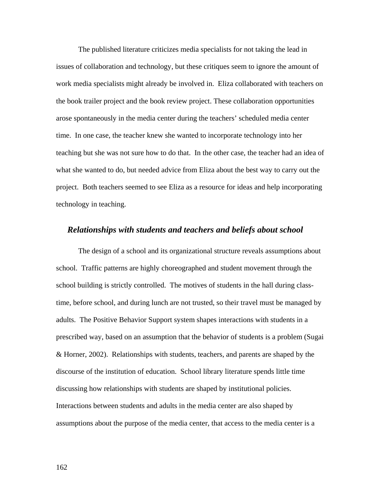The published literature criticizes media specialists for not taking the lead in issues of collaboration and technology, but these critiques seem to ignore the amount of work media specialists might already be involved in. Eliza collaborated with teachers on the book trailer project and the book review project. These collaboration opportunities arose spontaneously in the media center during the teachers' scheduled media center time. In one case, the teacher knew she wanted to incorporate technology into her teaching but she was not sure how to do that. In the other case, the teacher had an idea of what she wanted to do, but needed advice from Eliza about the best way to carry out the project. Both teachers seemed to see Eliza as a resource for ideas and help incorporating technology in teaching.

#### *Relationships with students and teachers and beliefs about school*

The design of a school and its organizational structure reveals assumptions about school. Traffic patterns are highly choreographed and student movement through the school building is strictly controlled. The motives of students in the hall during classtime, before school, and during lunch are not trusted, so their travel must be managed by adults. The Positive Behavior Support system shapes interactions with students in a prescribed way, based on an assumption that the behavior of students is a problem (Sugai & Horner, 2002). Relationships with students, teachers, and parents are shaped by the discourse of the institution of education. School library literature spends little time discussing how relationships with students are shaped by institutional policies. Interactions between students and adults in the media center are also shaped by assumptions about the purpose of the media center, that access to the media center is a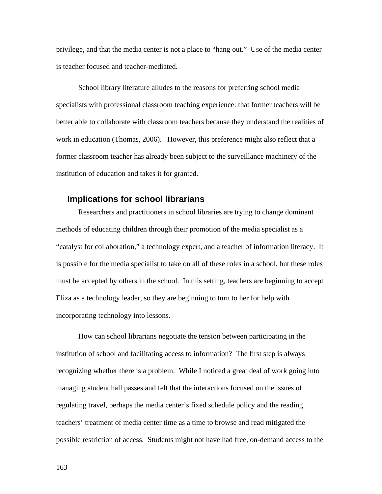privilege, and that the media center is not a place to "hang out." Use of the media center is teacher focused and teacher-mediated.

School library literature alludes to the reasons for preferring school media specialists with professional classroom teaching experience: that former teachers will be better able to collaborate with classroom teachers because they understand the realities of work in education (Thomas, 2006). However, this preference might also reflect that a former classroom teacher has already been subject to the surveillance machinery of the institution of education and takes it for granted.

### **Implications for school librarians**

Researchers and practitioners in school libraries are trying to change dominant methods of educating children through their promotion of the media specialist as a "catalyst for collaboration," a technology expert, and a teacher of information literacy. It is possible for the media specialist to take on all of these roles in a school, but these roles must be accepted by others in the school. In this setting, teachers are beginning to accept Eliza as a technology leader, so they are beginning to turn to her for help with incorporating technology into lessons.

How can school librarians negotiate the tension between participating in the institution of school and facilitating access to information? The first step is always recognizing whether there is a problem. While I noticed a great deal of work going into managing student hall passes and felt that the interactions focused on the issues of regulating travel, perhaps the media center's fixed schedule policy and the reading teachers' treatment of media center time as a time to browse and read mitigated the possible restriction of access. Students might not have had free, on-demand access to the

163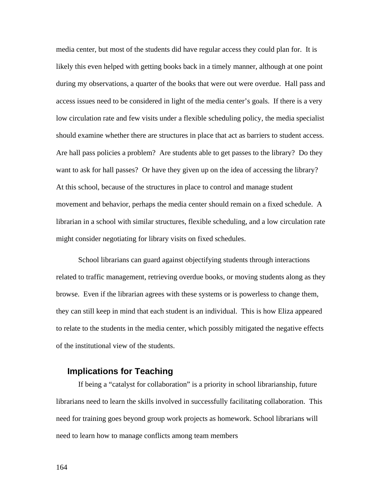media center, but most of the students did have regular access they could plan for. It is likely this even helped with getting books back in a timely manner, although at one point during my observations, a quarter of the books that were out were overdue. Hall pass and access issues need to be considered in light of the media center's goals. If there is a very low circulation rate and few visits under a flexible scheduling policy, the media specialist should examine whether there are structures in place that act as barriers to student access. Are hall pass policies a problem? Are students able to get passes to the library? Do they want to ask for hall passes? Or have they given up on the idea of accessing the library? At this school, because of the structures in place to control and manage student movement and behavior, perhaps the media center should remain on a fixed schedule. A librarian in a school with similar structures, flexible scheduling, and a low circulation rate might consider negotiating for library visits on fixed schedules.

School librarians can guard against objectifying students through interactions related to traffic management, retrieving overdue books, or moving students along as they browse. Even if the librarian agrees with these systems or is powerless to change them, they can still keep in mind that each student is an individual. This is how Eliza appeared to relate to the students in the media center, which possibly mitigated the negative effects of the institutional view of the students.

### **Implications for Teaching**

If being a "catalyst for collaboration" is a priority in school librarianship, future librarians need to learn the skills involved in successfully facilitating collaboration. This need for training goes beyond group work projects as homework. School librarians will need to learn how to manage conflicts among team members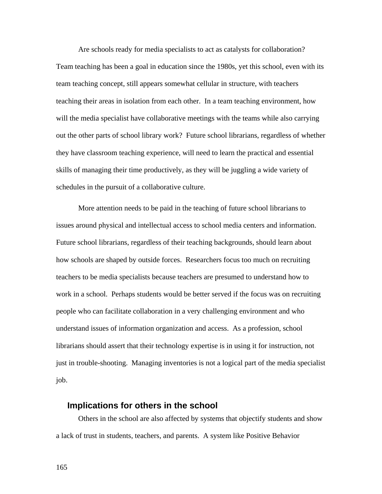Are schools ready for media specialists to act as catalysts for collaboration? Team teaching has been a goal in education since the 1980s, yet this school, even with its team teaching concept, still appears somewhat cellular in structure, with teachers teaching their areas in isolation from each other. In a team teaching environment, how will the media specialist have collaborative meetings with the teams while also carrying out the other parts of school library work? Future school librarians, regardless of whether they have classroom teaching experience, will need to learn the practical and essential skills of managing their time productively, as they will be juggling a wide variety of schedules in the pursuit of a collaborative culture.

More attention needs to be paid in the teaching of future school librarians to issues around physical and intellectual access to school media centers and information. Future school librarians, regardless of their teaching backgrounds, should learn about how schools are shaped by outside forces. Researchers focus too much on recruiting teachers to be media specialists because teachers are presumed to understand how to work in a school. Perhaps students would be better served if the focus was on recruiting people who can facilitate collaboration in a very challenging environment and who understand issues of information organization and access. As a profession, school librarians should assert that their technology expertise is in using it for instruction, not just in trouble-shooting. Managing inventories is not a logical part of the media specialist job.

### **Implications for others in the school**

Others in the school are also affected by systems that objectify students and show a lack of trust in students, teachers, and parents. A system like Positive Behavior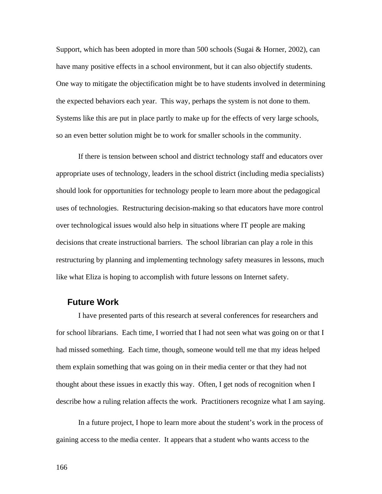Support, which has been adopted in more than 500 schools (Sugai & Horner, 2002), can have many positive effects in a school environment, but it can also objectify students. One way to mitigate the objectification might be to have students involved in determining the expected behaviors each year. This way, perhaps the system is not done to them. Systems like this are put in place partly to make up for the effects of very large schools, so an even better solution might be to work for smaller schools in the community.

If there is tension between school and district technology staff and educators over appropriate uses of technology, leaders in the school district (including media specialists) should look for opportunities for technology people to learn more about the pedagogical uses of technologies. Restructuring decision-making so that educators have more control over technological issues would also help in situations where IT people are making decisions that create instructional barriers. The school librarian can play a role in this restructuring by planning and implementing technology safety measures in lessons, much like what Eliza is hoping to accomplish with future lessons on Internet safety.

### **Future Work**

I have presented parts of this research at several conferences for researchers and for school librarians. Each time, I worried that I had not seen what was going on or that I had missed something. Each time, though, someone would tell me that my ideas helped them explain something that was going on in their media center or that they had not thought about these issues in exactly this way. Often, I get nods of recognition when I describe how a ruling relation affects the work. Practitioners recognize what I am saying.

In a future project, I hope to learn more about the student's work in the process of gaining access to the media center. It appears that a student who wants access to the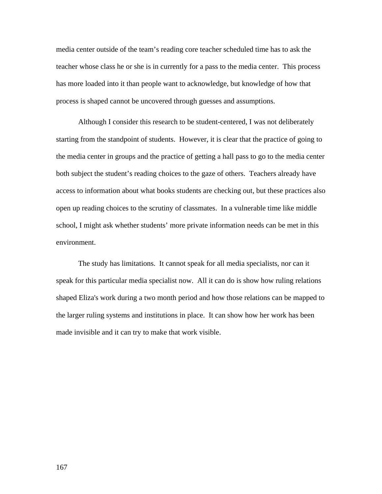media center outside of the team's reading core teacher scheduled time has to ask the teacher whose class he or she is in currently for a pass to the media center. This process has more loaded into it than people want to acknowledge, but knowledge of how that process is shaped cannot be uncovered through guesses and assumptions.

Although I consider this research to be student-centered, I was not deliberately starting from the standpoint of students. However, it is clear that the practice of going to the media center in groups and the practice of getting a hall pass to go to the media center both subject the student's reading choices to the gaze of others. Teachers already have access to information about what books students are checking out, but these practices also open up reading choices to the scrutiny of classmates. In a vulnerable time like middle school, I might ask whether students' more private information needs can be met in this environment.

The study has limitations. It cannot speak for all media specialists, nor can it speak for this particular media specialist now. All it can do is show how ruling relations shaped Eliza's work during a two month period and how those relations can be mapped to the larger ruling systems and institutions in place. It can show how her work has been made invisible and it can try to make that work visible.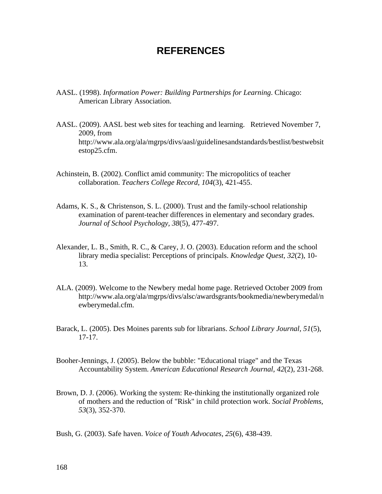# **REFERENCES**

- AASL. (1998). *Information Power: Building Partnerships for Learning*. Chicago: American Library Association.
- AASL. (2009). AASL best web sites for teaching and learning. Retrieved November 7, 2009, from http://www.ala.org/ala/mgrps/divs/aasl/guidelinesandstandards/bestlist/bestwebsit estop25.cfm.
- Achinstein, B. (2002). Conflict amid community: The micropolitics of teacher collaboration. *Teachers College Record, 104*(3), 421-455.
- Adams, K. S., & Christenson, S. L. (2000). Trust and the family-school relationship examination of parent-teacher differences in elementary and secondary grades. *Journal of School Psychology, 38*(5), 477-497.
- Alexander, L. B., Smith, R. C., & Carey, J. O. (2003). Education reform and the school library media specialist: Perceptions of principals. *Knowledge Quest, 32*(2), 10- 13.
- ALA. (2009). Welcome to the Newbery medal home page. Retrieved October 2009 from http://www.ala.org/ala/mgrps/divs/alsc/awardsgrants/bookmedia/newberymedal/n ewberymedal.cfm.
- Barack, L. (2005). Des Moines parents sub for librarians. *School Library Journal, 51*(5), 17-17.
- Booher-Jennings, J. (2005). Below the bubble: "Educational triage" and the Texas Accountability System. *American Educational Research Journal, 42*(2), 231-268.
- Brown, D. J. (2006). Working the system: Re-thinking the institutionally organized role of mothers and the reduction of "Risk" in child protection work. *Social Problems, 53*(3), 352-370.
- Bush, G. (2003). Safe haven. *Voice of Youth Advocates, 25*(6), 438-439.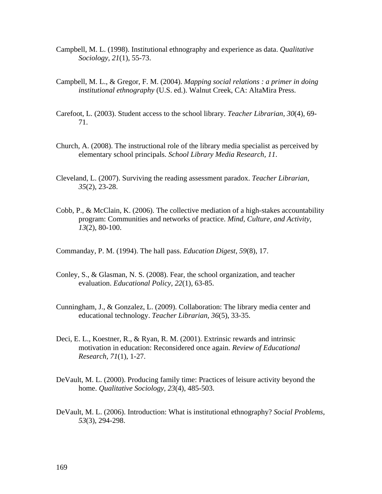- Campbell, M. L. (1998). Institutional ethnography and experience as data. *Qualitative Sociology, 21*(1), 55-73.
- Campbell, M. L., & Gregor, F. M. (2004). *Mapping social relations : a primer in doing institutional ethnography* (U.S. ed.). Walnut Creek, CA: AltaMira Press.
- Carefoot, L. (2003). Student access to the school library. *Teacher Librarian, 30*(4), 69- 71.
- Church, A. (2008). The instructional role of the library media specialist as perceived by elementary school principals. *School Library Media Research, 11*.
- Cleveland, L. (2007). Surviving the reading assessment paradox. *Teacher Librarian, 35*(2), 23-28.
- Cobb, P., & McClain, K. (2006). The collective mediation of a high-stakes accountability program: Communities and networks of practice. *Mind, Culture, and Activity, 13*(2), 80-100.
- Commanday, P. M. (1994). The hall pass. *Education Digest, 59*(8), 17.
- Conley, S., & Glasman, N. S. (2008). Fear, the school organization, and teacher evaluation. *Educational Policy, 22*(1), 63-85.
- Cunningham, J., & Gonzalez, L. (2009). Collaboration: The library media center and educational technology. *Teacher Librarian, 36*(5), 33-35.
- Deci, E. L., Koestner, R., & Ryan, R. M. (2001). Extrinsic rewards and intrinsic motivation in education: Reconsidered once again. *Review of Educational Research, 71*(1), 1-27.
- DeVault, M. L. (2000). Producing family time: Practices of leisure activity beyond the home. *Qualitative Sociology, 23*(4), 485-503.
- DeVault, M. L. (2006). Introduction: What is institutional ethnography? *Social Problems, 53*(3), 294-298.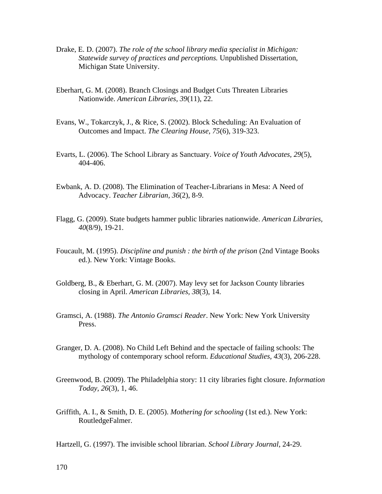- Drake, E. D. (2007). *The role of the school library media specialist in Michigan: Statewide survey of practices and perceptions.* Unpublished Dissertation, Michigan State University.
- Eberhart, G. M. (2008). Branch Closings and Budget Cuts Threaten Libraries Nationwide. *American Libraries, 39*(11), 22.
- Evans, W., Tokarczyk, J., & Rice, S. (2002). Block Scheduling: An Evaluation of Outcomes and Impact. *The Clearing House, 75*(6), 319-323.
- Evarts, L. (2006). The School Library as Sanctuary. *Voice of Youth Advocates, 29*(5), 404-406.
- Ewbank, A. D. (2008). The Elimination of Teacher-Librarians in Mesa: A Need of Advocacy. *Teacher Librarian, 36*(2), 8-9.
- Flagg, G. (2009). State budgets hammer public libraries nationwide. *American Libraries, 40*(8/9), 19-21.
- Foucault, M. (1995). *Discipline and punish : the birth of the prison* (2nd Vintage Books ed.). New York: Vintage Books.
- Goldberg, B., & Eberhart, G. M. (2007). May levy set for Jackson County libraries closing in April. *American Libraries, 38*(3), 14.
- Gramsci, A. (1988). *The Antonio Gramsci Reader*. New York: New York University Press.
- Granger, D. A. (2008). No Child Left Behind and the spectacle of failing schools: The mythology of contemporary school reform. *Educational Studies, 43*(3), 206-228.
- Greenwood, B. (2009). The Philadelphia story: 11 city libraries fight closure. *Information Today, 26*(3), 1, 46.
- Griffith, A. I., & Smith, D. E. (2005). *Mothering for schooling* (1st ed.). New York: RoutledgeFalmer.

Hartzell, G. (1997). The invisible school librarian. *School Library Journal*, 24-29.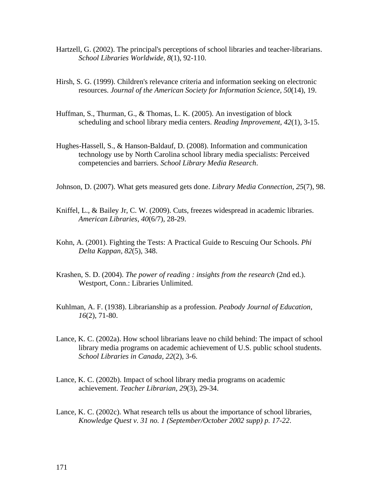- Hartzell, G. (2002). The principal's perceptions of school libraries and teacher-librarians. *School Libraries Worldwide, 8*(1), 92-110.
- Hirsh, S. G. (1999). Children's relevance criteria and information seeking on electronic resources. *Journal of the American Society for Information Science, 50*(14), 19.
- Huffman, S., Thurman, G., & Thomas, L. K. (2005). An investigation of block scheduling and school library media centers. *Reading Improvement, 42*(1), 3-15.
- Hughes-Hassell, S., & Hanson-Baldauf, D. (2008). Information and communication technology use by North Carolina school library media specialists: Perceived competencies and barriers. *School Library Media Research*.
- Johnson, D. (2007). What gets measured gets done. *Library Media Connection, 25*(7), 98.
- Kniffel, L., & Bailey Jr, C. W. (2009). Cuts, freezes widespread in academic libraries. *American Libraries, 40*(6/7), 28-29.
- Kohn, A. (2001). Fighting the Tests: A Practical Guide to Rescuing Our Schools. *Phi Delta Kappan, 82*(5), 348.
- Krashen, S. D. (2004). *The power of reading : insights from the research* (2nd ed.). Westport, Conn.: Libraries Unlimited.
- Kuhlman, A. F. (1938). Librarianship as a profession. *Peabody Journal of Education, 16*(2), 71-80.
- Lance, K. C. (2002a). How school librarians leave no child behind: The impact of school library media programs on academic achievement of U.S. public school students. *School Libraries in Canada, 22*(2), 3-6.
- Lance, K. C. (2002b). Impact of school library media programs on academic achievement. *Teacher Librarian, 29*(3), 29-34.
- Lance, K. C. (2002c). What research tells us about the importance of school libraries, *Knowledge Quest v. 31 no. 1 (September/October 2002 supp) p. 17-22*.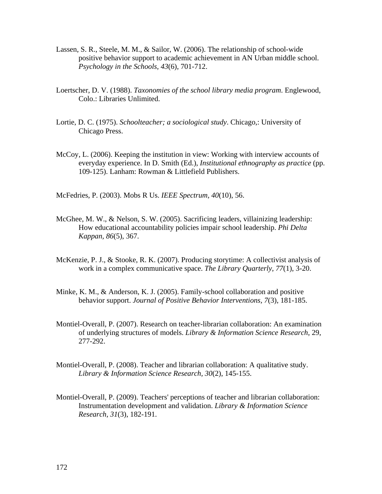- Lassen, S. R., Steele, M. M., & Sailor, W. (2006). The relationship of school-wide positive behavior support to academic achievement in AN Urban middle school. *Psychology in the Schools, 43*(6), 701-712.
- Loertscher, D. V. (1988). *Taxonomies of the school library media program*. Englewood, Colo.: Libraries Unlimited.
- Lortie, D. C. (1975). *Schoolteacher; a sociological study*. Chicago,: University of Chicago Press.
- McCoy, L. (2006). Keeping the institution in view: Working with interview accounts of everyday experience. In D. Smith (Ed.), *Institutional ethnography as practice* (pp. 109-125). Lanham: Rowman & Littlefield Publishers.

McFedries, P. (2003). Mobs R Us. *IEEE Spectrum, 40*(10), 56.

- McGhee, M. W., & Nelson, S. W. (2005). Sacrificing leaders, villainizing leadership: How educational accountability policies impair school leadership. *Phi Delta Kappan, 86*(5), 367.
- McKenzie, P. J., & Stooke, R. K. (2007). Producing storytime: A collectivist analysis of work in a complex communicative space. *The Library Quarterly, 77*(1), 3-20.
- Minke, K. M., & Anderson, K. J. (2005). Family-school collaboration and positive behavior support. *Journal of Positive Behavior Interventions, 7*(3), 181-185.
- Montiel-Overall, P. (2007). Research on teacher-librarian collaboration: An examination of underlying structures of models. *Library & Information Science Research*, 29, 277-292.
- Montiel-Overall, P. (2008). Teacher and librarian collaboration: A qualitative study. *Library & Information Science Research, 30*(2), 145-155.
- Montiel-Overall, P. (2009). Teachers' perceptions of teacher and librarian collaboration: Instrumentation development and validation. *Library & Information Science Research, 31*(3), 182-191.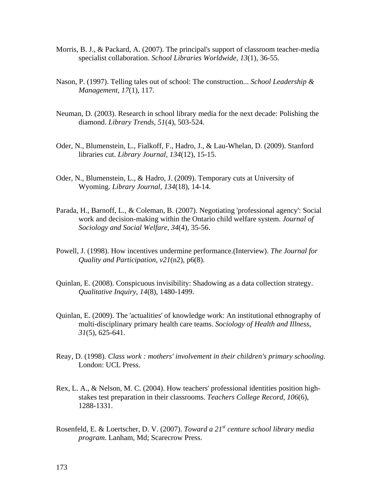- Morris, B. J., & Packard, A. (2007). The principal's support of classroom teacher-media specialist collaboration. *School Libraries Worldwide, 13*(1), 36-55.
- Nason, P. (1997). Telling tales out of school: The construction... *School Leadership & Management, 17*(1), 117.
- Neuman, D. (2003). Research in school library media for the next decade: Polishing the diamond. *Library Trends, 51*(4), 503-524.
- Oder, N., Blumenstein, L., Fialkoff, F., Hadro, J., & Lau-Whelan, D. (2009). Stanford libraries cut. *Library Journal, 134*(12), 15-15.
- Oder, N., Blumenstein, L., & Hadro, J. (2009). Temporary cuts at University of Wyoming. *Library Journal, 134*(18), 14-14.
- Parada, H., Barnoff, L., & Coleman, B. (2007). Negotiating 'professional agency': Social work and decision-making within the Ontario child welfare system. *Journal of Sociology and Social Welfare, 34*(4), 35-56.
- Powell, J. (1998). How incentives undermine performance.(Interview). *The Journal for Quality and Participation, v21*(n2), p6(8).
- Quinlan, E. (2008). Conspicuous invisibility: Shadowing as a data collection strategy. *Qualitative Inquiry, 14*(8), 1480-1499.
- Quinlan, E. (2009). The 'actualities' of knowledge work: An institutional ethnography of multi-disciplinary primary health care teams. *Sociology of Health and Illness, 31*(5), 625-641.
- Reay, D. (1998). *Class work : mothers' involvement in their children's primary schooling*. London: UCL Press.
- Rex, L. A., & Nelson, M. C. (2004). How teachers' professional identities position highstakes test preparation in their classrooms. *Teachers College Record, 106*(6), 1288-1331.
- Rosenfeld, E. & Loertscher, D. V. (2007). *Toward a 21st centure school library media program*. Lanham, Md; Scarecrow Press.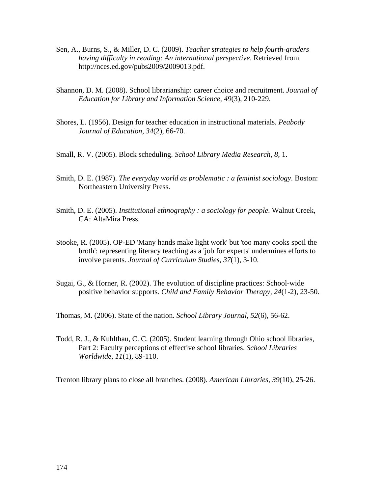- Sen, A., Burns, S., & Miller, D. C. (2009). *Teacher strategies to help fourth-graders having difficulty in reading: An international perspective*. Retrieved from http://nces.ed.gov/pubs2009/2009013.pdf.
- Shannon, D. M. (2008). School librarianship: career choice and recruitment. *Journal of Education for Library and Information Science, 49*(3), 210-229.
- Shores, L. (1956). Design for teacher education in instructional materials. *Peabody Journal of Education, 34*(2), 66-70.
- Small, R. V. (2005). Block scheduling. *School Library Media Research, 8*, 1.
- Smith, D. E. (1987). *The everyday world as problematic : a feminist sociology*. Boston: Northeastern University Press.
- Smith, D. E. (2005). *Institutional ethnography : a sociology for people*. Walnut Creek, CA: AltaMira Press.
- Stooke, R. (2005). OP-ED 'Many hands make light work' but 'too many cooks spoil the broth': representing literacy teaching as a 'job for experts' undermines efforts to involve parents. *Journal of Curriculum Studies, 37*(1), 3-10.
- Sugai, G., & Horner, R. (2002). The evolution of discipline practices: School-wide positive behavior supports. *Child and Family Behavior Therapy, 24*(1-2), 23-50.

Thomas, M. (2006). State of the nation. *School Library Journal, 52*(6), 56-62.

Todd, R. J., & Kuhlthau, C. C. (2005). Student learning through Ohio school libraries, Part 2: Faculty perceptions of effective school libraries. *School Libraries Worldwide, 11*(1), 89-110.

Trenton library plans to close all branches. (2008). *American Libraries, 39*(10), 25-26.